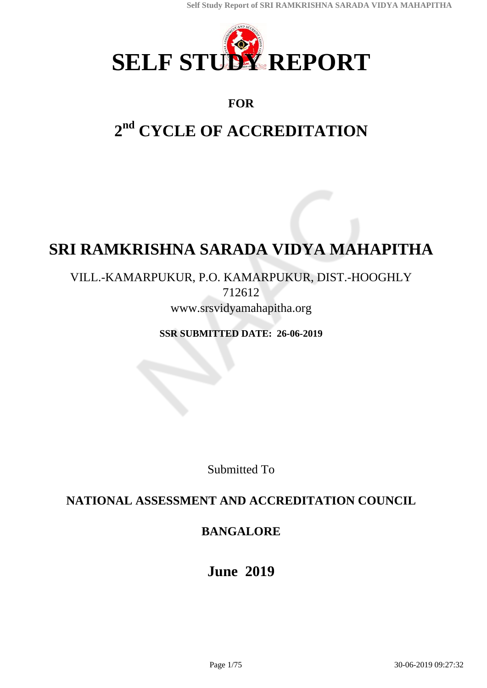

## **FOR**

# **2 nd CYCLE OF ACCREDITATION**

# **SRI RAMKRISHNA SARADA VIDYA MAHAPITHA**

## VILL.-KAMARPUKUR, P.O. KAMARPUKUR, DIST.-HOOGHLY 712612 www.srsvidyamahapitha.org

**SSR SUBMITTED DATE: 26-06-2019**

Submitted To

## **NATIONAL ASSESSMENT AND ACCREDITATION COUNCIL**

## **BANGALORE**

**June 2019**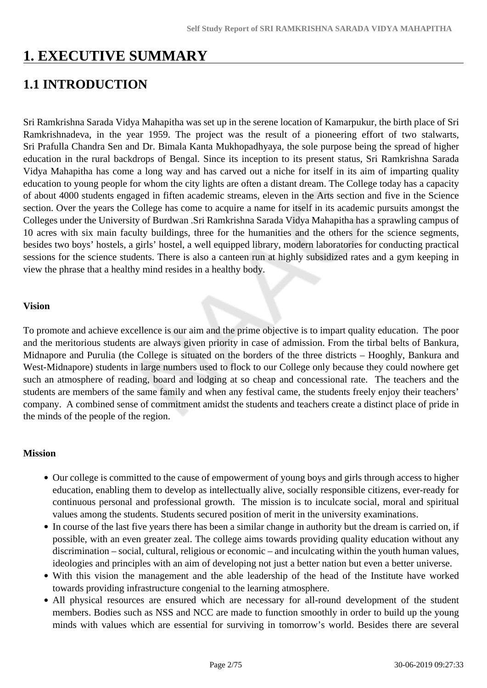## **1. EXECUTIVE SUMMARY**

## **1.1 INTRODUCTION**

Sri Ramkrishna Sarada Vidya Mahapitha was set up in the serene location of Kamarpukur, the birth place of Sri Ramkrishnadeva, in the year 1959. The project was the result of a pioneering effort of two stalwarts, Sri Prafulla Chandra Sen and Dr. Bimala Kanta Mukhopadhyaya, the sole purpose being the spread of higher education in the rural backdrops of Bengal. Since its inception to its present status, Sri Ramkrishna Sarada Vidya Mahapitha has come a long way and has carved out a niche for itself in its aim of imparting quality education to young people for whom the city lights are often a distant dream. The College today has a capacity of about 4000 students engaged in fiften academic streams, eleven in the Arts section and five in the Science section. Over the years the College has come to acquire a name for itself in its academic pursuits amongst the Colleges under the University of Burdwan .Sri Ramkrishna Sarada Vidya Mahapitha has a sprawling campus of 10 acres with six main faculty buildings, three for the humanities and the others for the science segments, besides two boys' hostels, a girls' hostel, a well equipped library, modern laboratories for conducting practical sessions for the science students. There is also a canteen run at highly subsidized rates and a gym keeping in view the phrase that a healthy mind resides in a healthy body.

#### **Vision**

To promote and achieve excellence is our aim and the prime objective is to impart quality education. The poor and the meritorious students are always given priority in case of admission. From the tirbal belts of Bankura, Midnapore and Purulia (the College is situated on the borders of the three districts – Hooghly, Bankura and West-Midnapore) students in large numbers used to flock to our College only because they could nowhere get such an atmosphere of reading, board and lodging at so cheap and concessional rate. The teachers and the students are members of the same family and when any festival came, the students freely enjoy their teachers' company. A combined sense of commitment amidst the students and teachers create a distinct place of pride in the minds of the people of the region.

### **Mission**

- Our college is committed to the cause of empowerment of young boys and girls through access to higher education, enabling them to develop as intellectually alive, socially responsible citizens, ever-ready for continuous personal and professional growth. The mission is to inculcate social, moral and spiritual values among the students. Students secured position of merit in the university examinations.
- In course of the last five years there has been a similar change in authority but the dream is carried on, if possible, with an even greater zeal. The college aims towards providing quality education without any discrimination – social, cultural, religious or economic – and inculcating within the youth human values, ideologies and principles with an aim of developing not just a better nation but even a better universe.
- With this vision the management and the able leadership of the head of the Institute have worked towards providing infrastructure congenial to the learning atmosphere.
- All physical resources are ensured which are necessary for all-round development of the student members. Bodies such as NSS and NCC are made to function smoothly in order to build up the young minds with values which are essential for surviving in tomorrow's world. Besides there are several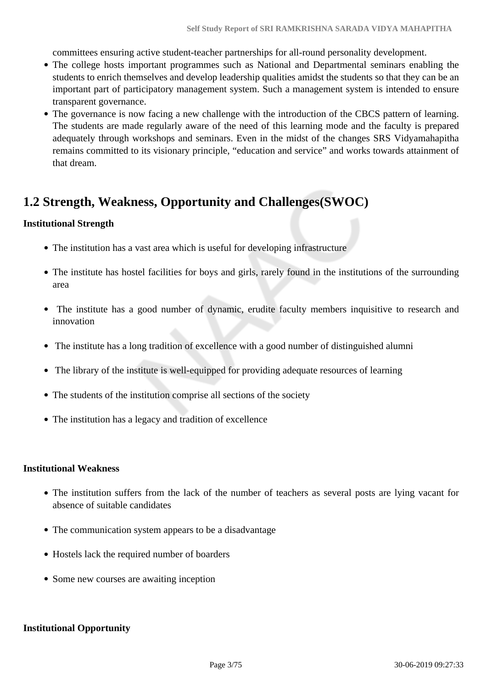committees ensuring active student-teacher partnerships for all-round personality development.

- The college hosts important programmes such as National and Departmental seminars enabling the students to enrich themselves and develop leadership qualities amidst the students so that they can be an important part of participatory management system. Such a management system is intended to ensure transparent governance.
- The governance is now facing a new challenge with the introduction of the CBCS pattern of learning. The students are made regularly aware of the need of this learning mode and the faculty is prepared adequately through workshops and seminars. Even in the midst of the changes SRS Vidyamahapitha remains committed to its visionary principle, "education and service" and works towards attainment of that dream.

## **1.2 Strength, Weakness, Opportunity and Challenges(SWOC)**

### **Institutional Strength**

- The institution has a vast area which is useful for developing infrastructure
- The institute has hostel facilities for boys and girls, rarely found in the institutions of the surrounding area
- The institute has a good number of dynamic, erudite faculty members inquisitive to research and innovation
- The institute has a long tradition of excellence with a good number of distinguished alumni
- The library of the institute is well-equipped for providing adequate resources of learning
- The students of the institution comprise all sections of the society
- The institution has a legacy and tradition of excellence

#### **Institutional Weakness**

- The institution suffers from the lack of the number of teachers as several posts are lying vacant for absence of suitable candidates
- The communication system appears to be a disadvantage
- Hostels lack the required number of boarders
- Some new courses are awaiting inception

## **Institutional Opportunity**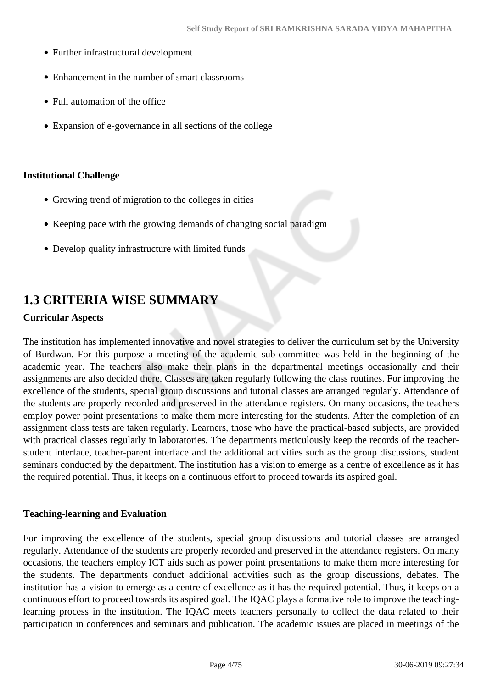- Further infrastructural development
- Enhancement in the number of smart classrooms
- Full automation of the office
- Expansion of e-governance in all sections of the college

#### **Institutional Challenge**

- Growing trend of migration to the colleges in cities
- Keeping pace with the growing demands of changing social paradigm
- Develop quality infrastructure with limited funds

## **1.3 CRITERIA WISE SUMMARY**

#### **Curricular Aspects**

The institution has implemented innovative and novel strategies to deliver the curriculum set by the University of Burdwan. For this purpose a meeting of the academic sub-committee was held in the beginning of the academic year. The teachers also make their plans in the departmental meetings occasionally and their assignments are also decided there. Classes are taken regularly following the class routines. For improving the excellence of the students, special group discussions and tutorial classes are arranged regularly. Attendance of the students are properly recorded and preserved in the attendance registers. On many occasions, the teachers employ power point presentations to make them more interesting for the students. After the completion of an assignment class tests are taken regularly. Learners, those who have the practical-based subjects, are provided with practical classes regularly in laboratories. The departments meticulously keep the records of the teacherstudent interface, teacher-parent interface and the additional activities such as the group discussions, student seminars conducted by the department. The institution has a vision to emerge as a centre of excellence as it has the required potential. Thus, it keeps on a continuous effort to proceed towards its aspired goal.

#### **Teaching-learning and Evaluation**

For improving the excellence of the students, special group discussions and tutorial classes are arranged regularly. Attendance of the students are properly recorded and preserved in the attendance registers. On many occasions, the teachers employ ICT aids such as power point presentations to make them more interesting for the students. The departments conduct additional activities such as the group discussions, debates. The institution has a vision to emerge as a centre of excellence as it has the required potential. Thus, it keeps on a continuous effort to proceed towards its aspired goal. The IQAC plays a formative role to improve the teachinglearning process in the institution. The IQAC meets teachers personally to collect the data related to their participation in conferences and seminars and publication. The academic issues are placed in meetings of the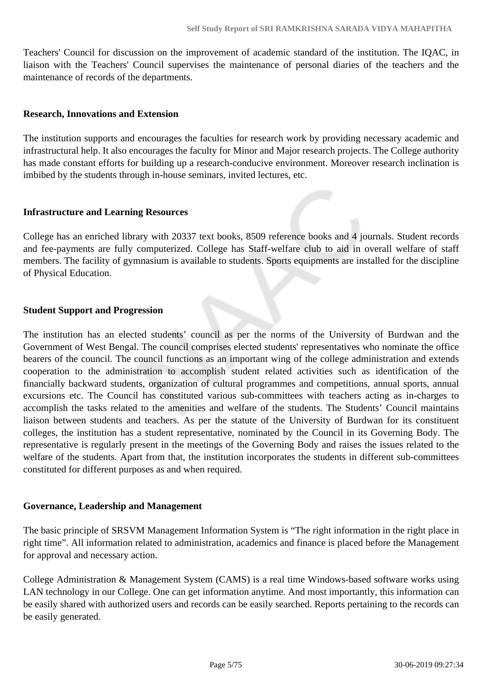Teachers' Council for discussion on the improvement of academic standard of the institution. The IQAC, in liaison with the Teachers' Council supervises the maintenance of personal diaries of the teachers and the maintenance of records of the departments.

#### **Research, Innovations and Extension**

The institution supports and encourages the faculties for research work by providing necessary academic and infrastructural help. It also encourages the faculty for Minor and Major research projects. The College authority has made constant efforts for building up a research-conducive environment. Moreover research inclination is imbibed by the students through in-house seminars, invited lectures, etc.

### **Infrastructure and Learning Resources**

College has an enriched library with 20337 text books, 8509 reference books and 4 journals. Student records and fee-payments are fully computerized. College has Staff-welfare club to aid in overall welfare of staff members. The facility of gymnasium is available to students. Sports equipments are installed for the discipline of Physical Education.

### **Student Support and Progression**

The institution has an elected students' council as per the norms of the University of Burdwan and the Government of West Bengal. The council comprises elected students' representatives who nominate the office bearers of the council. The council functions as an important wing of the college administration and extends cooperation to the administration to accomplish student related activities such as identification of the financially backward students, organization of cultural programmes and competitions, annual sports, annual excursions etc. The Council has constituted various sub-committees with teachers acting as in-charges to accomplish the tasks related to the amenities and welfare of the students. The Students' Council maintains liaison between students and teachers. As per the statute of the University of Burdwan for its constituent colleges, the institution has a student representative, nominated by the Council in its Governing Body. The representative is regularly present in the meetings of the Governing Body and raises the issues related to the welfare of the students. Apart from that, the institution incorporates the students in different sub-committees constituted for different purposes as and when required.

#### **Governance, Leadership and Management**

The basic principle of SRSVM Management Information System is "The right information in the right place in right time". All information related to administration, academics and finance is placed before the Management for approval and necessary action.

College Administration & Management System (CAMS) is a real time Windows-based software works using LAN technology in our College. One can get information anytime. And most importantly, this information can be easily shared with authorized users and records can be easily searched. Reports pertaining to the records can be easily generated.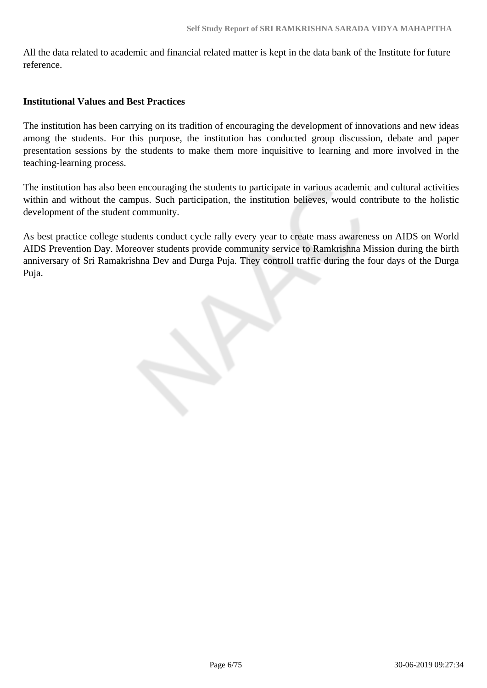All the data related to academic and financial related matter is kept in the data bank of the Institute for future reference.

## **Institutional Values and Best Practices**

The institution has been carrying on its tradition of encouraging the development of innovations and new ideas among the students. For this purpose, the institution has conducted group discussion, debate and paper presentation sessions by the students to make them more inquisitive to learning and more involved in the teaching-learning process.

The institution has also been encouraging the students to participate in various academic and cultural activities within and without the campus. Such participation, the institution believes, would contribute to the holistic development of the student community.

As best practice college students conduct cycle rally every year to create mass awareness on AIDS on World AIDS Prevention Day. Moreover students provide community service to Ramkrishna Mission during the birth anniversary of Sri Ramakrishna Dev and Durga Puja. They controll traffic during the four days of the Durga Puja.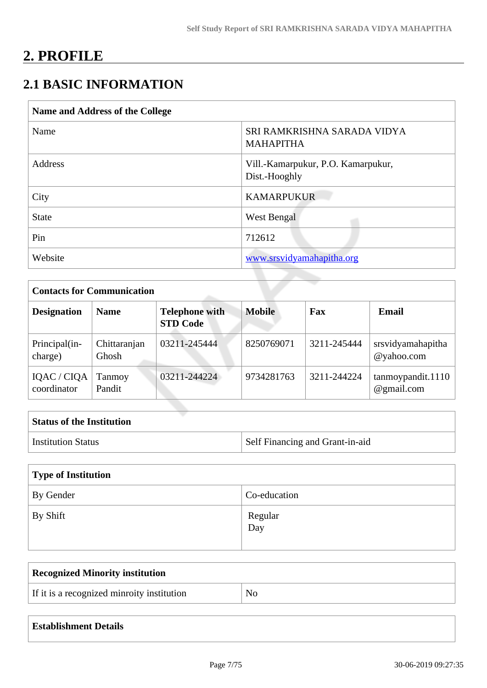# **2. PROFILE**

## **2.1 BASIC INFORMATION**

| SRI RAMKRISHNA SARADA VIDYA<br><b>MAHAPITHA</b>     |
|-----------------------------------------------------|
|                                                     |
| Vill.-Kamarpukur, P.O. Kamarpukur,<br>Dist.-Hooghly |
| <b>KAMARPUKUR</b>                                   |
| West Bengal                                         |
| 712612                                              |
| www.srsvidyamahapitha.org                           |
|                                                     |

| <b>Contacts for Communication</b> |                       |                                          |               |             |                                 |  |  |  |  |
|-----------------------------------|-----------------------|------------------------------------------|---------------|-------------|---------------------------------|--|--|--|--|
| <b>Designation</b>                | <b>Name</b>           | <b>Telephone with</b><br><b>STD Code</b> | <b>Mobile</b> | Fax         | Email                           |  |  |  |  |
| Principal(in-<br>charge)          | Chittaranjan<br>Ghosh | 03211-245444                             | 8250769071    | 3211-245444 | srsvidyamahapitha<br>@yahoo.com |  |  |  |  |
| IQAC / CIQA<br>coordinator        | Tanmoy<br>Pandit      | 03211-244224                             | 9734281763    | 3211-244224 | tannoypandit.1110<br>@gmail.com |  |  |  |  |

| <b>Status of the Institution</b> |                                 |
|----------------------------------|---------------------------------|
| Institution Status               | Self Financing and Grant-in-aid |

| Type of Institution |                |  |  |  |  |
|---------------------|----------------|--|--|--|--|
| By Gender           | Co-education   |  |  |  |  |
| By Shift            | Regular<br>Day |  |  |  |  |

| <b>Recognized Minority institution</b>     |     |
|--------------------------------------------|-----|
| If it is a recognized minroity institution | No. |

## **Establishment Details**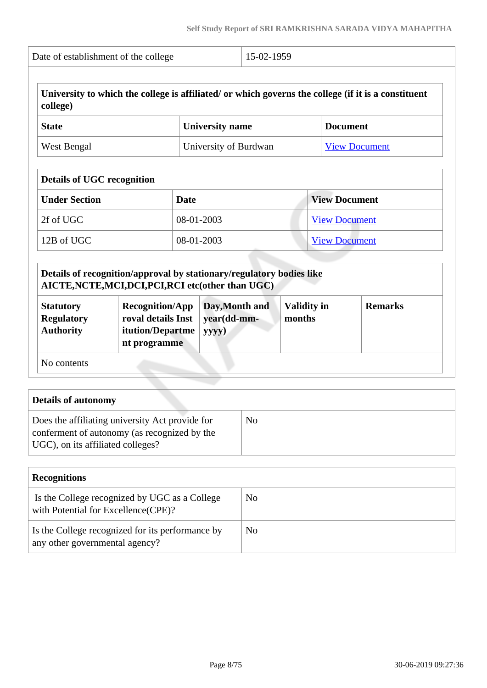|                                       | Date of establishment of the college         |             |                                                                                                                                                              |                              |  |                      |
|---------------------------------------|----------------------------------------------|-------------|--------------------------------------------------------------------------------------------------------------------------------------------------------------|------------------------------|--|----------------------|
| college)                              |                                              |             | University to which the college is affiliated/ or which governs the college (if it is a constituent                                                          |                              |  |                      |
| <b>State</b>                          | <b>University name</b>                       |             | <b>Document</b>                                                                                                                                              |                              |  |                      |
| <b>West Bengal</b>                    |                                              |             | University of Burdwan                                                                                                                                        |                              |  | <b>View Document</b> |
| <b>Details of UGC recognition</b>     |                                              |             |                                                                                                                                                              |                              |  |                      |
| <b>Under Section</b>                  |                                              | <b>Date</b> |                                                                                                                                                              | <b>View Document</b>         |  |                      |
| 2f of UGC                             |                                              |             | 08-01-2003                                                                                                                                                   | <b>View Document</b>         |  |                      |
| 12B of UGC                            |                                              |             | 08-01-2003                                                                                                                                                   | <b>View Document</b>         |  |                      |
| <b>Statutory</b><br><b>Regulatory</b> | <b>Recognition/App</b><br>roval details Inst |             | Details of recognition/approval by stationary/regulatory bodies like<br>AICTE, NCTE, MCI, DCI, PCI, RCI etc(other than UGC)<br>Day, Month and<br>year(dd-mm- | <b>Validity in</b><br>months |  | <b>Remarks</b>       |
| <b>Authority</b>                      | itution/Departme<br>nt programme             |             | yyyy)                                                                                                                                                        |                              |  |                      |
| No contents                           |                                              |             |                                                                                                                                                              |                              |  |                      |

| <b>Details of autonomy</b>                                                                                                           |    |
|--------------------------------------------------------------------------------------------------------------------------------------|----|
| Does the affiliating university Act provide for<br>conferment of autonomy (as recognized by the<br>UGC), on its affiliated colleges? | No |

| <b>Recognitions</b>                                                                   |    |  |  |  |  |  |  |
|---------------------------------------------------------------------------------------|----|--|--|--|--|--|--|
| Is the College recognized by UGC as a College<br>with Potential for Excellence (CPE)? | No |  |  |  |  |  |  |
| Is the College recognized for its performance by<br>any other governmental agency?    | No |  |  |  |  |  |  |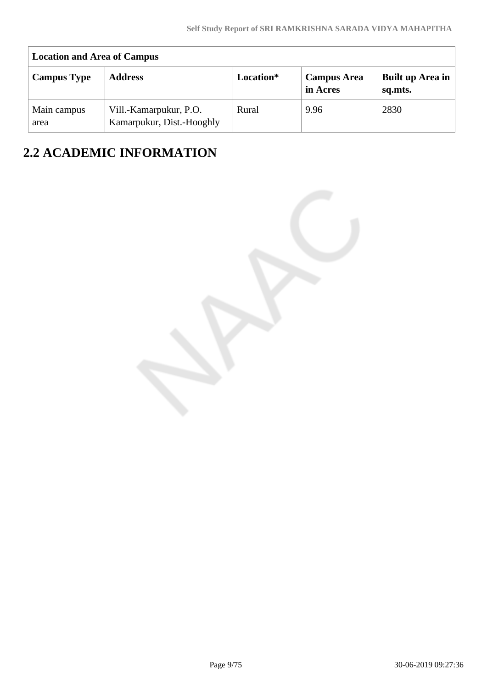| <b>Location and Area of Campus</b> |                                                     |           |                                |                             |  |  |  |  |  |
|------------------------------------|-----------------------------------------------------|-----------|--------------------------------|-----------------------------|--|--|--|--|--|
| <b>Campus Type</b>                 | <b>Address</b>                                      | Location* | <b>Campus Area</b><br>in Acres | Built up Area in<br>sq.mts. |  |  |  |  |  |
| Main campus<br>area                | Vill.-Kamarpukur, P.O.<br>Kamarpukur, Dist.-Hooghly | Rural     | 9.96                           | 2830                        |  |  |  |  |  |

## **2.2 ACADEMIC INFORMATION**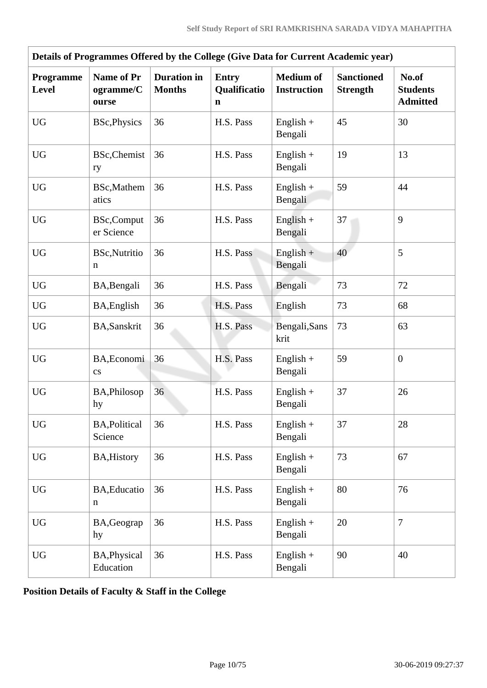| Details of Programmes Offered by the College (Give Data for Current Academic year) |                                         |                                     |                                             |                                        |                                      |                                             |  |  |
|------------------------------------------------------------------------------------|-----------------------------------------|-------------------------------------|---------------------------------------------|----------------------------------------|--------------------------------------|---------------------------------------------|--|--|
| Programme<br><b>Level</b>                                                          | <b>Name of Pr</b><br>ogramme/C<br>ourse | <b>Duration</b> in<br><b>Months</b> | <b>Entry</b><br>Qualificatio<br>$\mathbf n$ | <b>Medium of</b><br><b>Instruction</b> | <b>Sanctioned</b><br><b>Strength</b> | No.of<br><b>Students</b><br><b>Admitted</b> |  |  |
| <b>UG</b>                                                                          | <b>BSc, Physics</b>                     | 36                                  | H.S. Pass                                   | English $+$<br>Bengali                 | 45                                   | 30                                          |  |  |
| <b>UG</b>                                                                          | <b>BSc, Chemist</b><br>ry               | 36                                  | H.S. Pass                                   | $English +$<br>Bengali                 | 19                                   | 13                                          |  |  |
| <b>UG</b>                                                                          | BSc, Mathem<br>atics                    | 36                                  | H.S. Pass                                   | English $+$<br>Bengali                 | 59                                   | 44                                          |  |  |
| <b>UG</b>                                                                          | <b>BSc,Comput</b><br>er Science         | 36                                  | H.S. Pass                                   | $English +$<br>Bengali                 | 37                                   | 9                                           |  |  |
| <b>UG</b>                                                                          | <b>BSc, Nutritio</b><br>n               | 36                                  | H.S. Pass                                   | $English +$<br>Bengali                 | 40                                   | 5                                           |  |  |
| <b>UG</b>                                                                          | BA, Bengali                             | 36                                  | H.S. Pass                                   | Bengali                                | 73                                   | 72                                          |  |  |
| <b>UG</b>                                                                          | BA, English                             | 36                                  | H.S. Pass                                   | English                                | 73                                   | 68                                          |  |  |
| <b>UG</b>                                                                          | <b>BA,Sanskrit</b>                      | 36                                  | H.S. Pass                                   | Bengali, Sans<br>krit                  | 73                                   | 63                                          |  |  |
| <b>UG</b>                                                                          | BA, Economi<br>$\mathbf{c}\mathbf{s}$   | 36                                  | H.S. Pass                                   | $English +$<br>Bengali                 | 59                                   | $\mathbf{0}$                                |  |  |
| <b>UG</b>                                                                          | BA, Philosop<br>hy                      | 36                                  | H.S. Pass                                   | English $+$<br>Bengali                 | 37                                   | 26                                          |  |  |
| <b>UG</b>                                                                          | <b>BA, Political</b><br>Science         | 36                                  | H.S. Pass                                   | $English +$<br>Bengali                 | 37                                   | 28                                          |  |  |
| <b>UG</b>                                                                          | <b>BA, History</b>                      | 36                                  | H.S. Pass                                   | $English +$<br>Bengali                 | 73                                   | 67                                          |  |  |
| <b>UG</b>                                                                          | BA, Educatio<br>n                       | 36                                  | H.S. Pass                                   | $English +$<br>Bengali                 | 80                                   | 76                                          |  |  |
| <b>UG</b>                                                                          | BA, Geograp<br>hy                       | 36                                  | H.S. Pass                                   | $English +$<br>Bengali                 | 20                                   | $\overline{7}$                              |  |  |
| <b>UG</b>                                                                          | BA, Physical<br>Education               | 36                                  | H.S. Pass                                   | English $+$<br>Bengali                 | 90                                   | 40                                          |  |  |

**Position Details of Faculty & Staff in the College**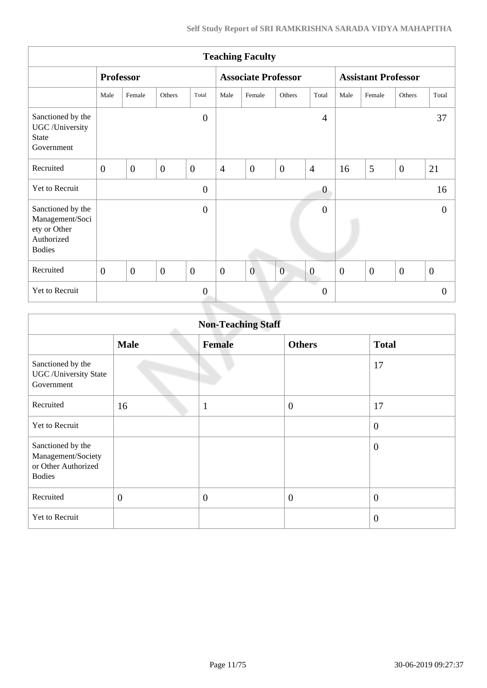| <b>Teaching Faculty</b>                                                             |                  |                |                |                            |                  |                |                            |                  |          |                |                |                |
|-------------------------------------------------------------------------------------|------------------|----------------|----------------|----------------------------|------------------|----------------|----------------------------|------------------|----------|----------------|----------------|----------------|
|                                                                                     | <b>Professor</b> |                |                | <b>Associate Professor</b> |                  |                | <b>Assistant Professor</b> |                  |          |                |                |                |
|                                                                                     | Male             | Female         | Others         | Total                      | Male             | Female         | Others                     | Total            | Male     | Female         | Others         | Total          |
| Sanctioned by the<br>UGC /University<br><b>State</b><br>Government                  |                  |                |                | $\overline{0}$             |                  |                |                            | $\overline{4}$   |          |                |                | 37             |
| Recruited                                                                           | $\overline{0}$   | $\overline{0}$ | $\mathbf{0}$   | $\mathbf{0}$               | $\overline{4}$   | $\mathbf{0}$   | $\overline{0}$             | $\overline{4}$   | 16       | 5              | $\overline{0}$ | 21             |
| Yet to Recruit                                                                      |                  |                |                | $\boldsymbol{0}$           |                  |                |                            | $\boldsymbol{0}$ |          |                |                | 16             |
| Sanctioned by the<br>Management/Soci<br>ety or Other<br>Authorized<br><b>Bodies</b> |                  |                |                | $\overline{0}$             |                  |                |                            | $\overline{0}$   |          |                |                | $\mathbf{0}$   |
| Recruited                                                                           | $\overline{0}$   | $\overline{0}$ | $\overline{0}$ | $\overline{0}$             | $\boldsymbol{0}$ | $\overline{0}$ | $\overline{0}$             | $\boldsymbol{0}$ | $\theta$ | $\overline{0}$ | $\overline{0}$ | $\overline{0}$ |
| Yet to Recruit                                                                      |                  |                |                | $\overline{0}$             |                  |                |                            | $\theta$         |          |                |                | $\Omega$       |
|                                                                                     |                  |                |                |                            |                  |                |                            |                  |          |                |                |                |

| <b>Non-Teaching Staff</b>                                                       |                |                |                  |                  |  |  |  |
|---------------------------------------------------------------------------------|----------------|----------------|------------------|------------------|--|--|--|
|                                                                                 | <b>Male</b>    | <b>Female</b>  | <b>Others</b>    | <b>Total</b>     |  |  |  |
| Sanctioned by the<br><b>UGC</b> / University State<br>Government                |                |                |                  | 17               |  |  |  |
| Recruited                                                                       | 16             | $\mathbf{1}$   | $\boldsymbol{0}$ | 17               |  |  |  |
| <b>Yet to Recruit</b>                                                           |                |                |                  | $\boldsymbol{0}$ |  |  |  |
| Sanctioned by the<br>Management/Society<br>or Other Authorized<br><b>Bodies</b> |                |                |                  | $\theta$         |  |  |  |
| Recruited                                                                       | $\overline{0}$ | $\overline{0}$ | $\overline{0}$   | $\overline{0}$   |  |  |  |
| Yet to Recruit                                                                  |                |                |                  | $\overline{0}$   |  |  |  |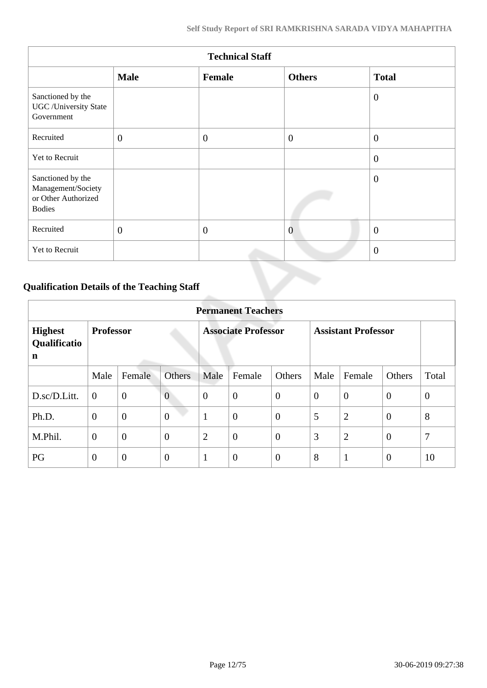| <b>Technical Staff</b>                                                          |              |              |                |                |  |  |  |
|---------------------------------------------------------------------------------|--------------|--------------|----------------|----------------|--|--|--|
|                                                                                 | <b>Male</b>  | Female       | <b>Others</b>  | <b>Total</b>   |  |  |  |
| Sanctioned by the<br><b>UGC</b> / University State<br>Government                |              |              |                | $\overline{0}$ |  |  |  |
| Recruited                                                                       | $\mathbf{0}$ | $\mathbf{0}$ | $\overline{0}$ | $\theta$       |  |  |  |
| Yet to Recruit                                                                  |              |              |                | $\overline{0}$ |  |  |  |
| Sanctioned by the<br>Management/Society<br>or Other Authorized<br><b>Bodies</b> |              |              |                | $\theta$       |  |  |  |
| Recruited                                                                       | $\mathbf{0}$ | $\theta$     | $\overline{0}$ | $\mathbf{0}$   |  |  |  |
| Yet to Recruit                                                                  |              |              |                | $\overline{0}$ |  |  |  |

## **Qualification Details of the Teaching Staff**

|                                     | <b>Permanent Teachers</b> |                |                            |                |                |                            |                |                |                |                |
|-------------------------------------|---------------------------|----------------|----------------------------|----------------|----------------|----------------------------|----------------|----------------|----------------|----------------|
| <b>Highest</b><br>Qualificatio<br>n | <b>Professor</b>          |                | <b>Associate Professor</b> |                |                | <b>Assistant Professor</b> |                |                |                |                |
|                                     | Male                      | Female         | <b>Others</b>              | Male           | Female         | Others                     | Male           | Female         | Others         | Total          |
| D.sc/D.Litt.                        | $\overline{0}$            | $\mathbf{0}$   | $\overline{0}$             | $\theta$       | $\overline{0}$ | $\overline{0}$             | $\overline{0}$ | $\theta$       | $\overline{0}$ | $\overline{0}$ |
| Ph.D.                               | $\overline{0}$            | $\overline{0}$ | $\overline{0}$             | 1              | $\overline{0}$ | $\theta$                   | 5              | $\overline{2}$ | $\overline{0}$ | 8              |
| M.Phil.                             | $\overline{0}$            | $\mathbf{0}$   | $\overline{0}$             | $\overline{2}$ | $\overline{0}$ | $\overline{0}$             | 3              | $\overline{2}$ | $\overline{0}$ | 7              |
| PG                                  | $\theta$                  | $\overline{0}$ | $\overline{0}$             | $\mathbf{1}$   | $\overline{0}$ | $\overline{0}$             | 8              | $\mathbf{1}$   | $\overline{0}$ | 10             |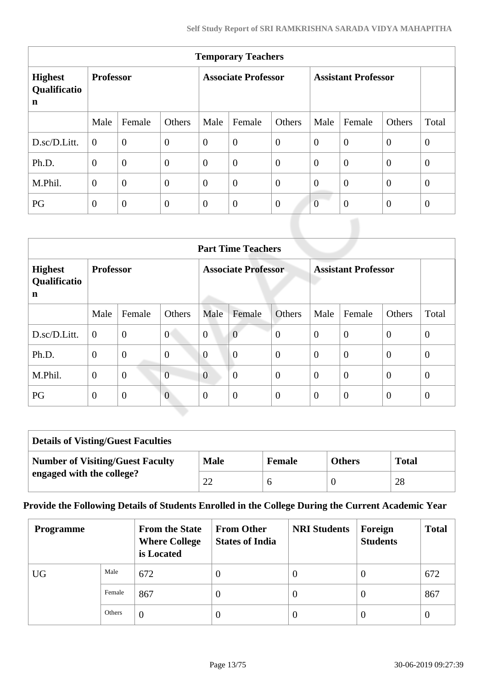| <b>Temporary Teachers</b>                     |                  |                |                            |                |                  |                            |                |                |                |                |
|-----------------------------------------------|------------------|----------------|----------------------------|----------------|------------------|----------------------------|----------------|----------------|----------------|----------------|
| <b>Highest</b><br>Qualificatio<br>$\mathbf n$ | <b>Professor</b> |                | <b>Associate Professor</b> |                |                  | <b>Assistant Professor</b> |                |                |                |                |
|                                               | Male             | Female         | Others                     | Male           | Female           | Others                     | Male           | Female         | Others         | Total          |
| D.sc/D.Litt.                                  | $\overline{0}$   | $\overline{0}$ | $\boldsymbol{0}$           | $\overline{0}$ | $\boldsymbol{0}$ | $\overline{0}$             | $\overline{0}$ | $\overline{0}$ | $\overline{0}$ | $\overline{0}$ |
| Ph.D.                                         | $\overline{0}$   | $\overline{0}$ | $\overline{0}$             | $\theta$       | $\overline{0}$   | $\theta$                   | $\theta$       | $\theta$       | $\theta$       | $\overline{0}$ |
| M.Phil.                                       | $\overline{0}$   | $\overline{0}$ | $\boldsymbol{0}$           | $\overline{0}$ | $\boldsymbol{0}$ | $\overline{0}$             | $\overline{0}$ | $\overline{0}$ | $\theta$       | $\overline{0}$ |
| PG                                            | $\theta$         | $\overline{0}$ | $\theta$                   | $\theta$       | $\theta$         | $\overline{0}$             | $\overline{0}$ | $\overline{0}$ | $\theta$       | $\overline{0}$ |

|                                     | <b>Part Time Teachers</b> |                |                            |                |                  |                            |                |                |                |                |
|-------------------------------------|---------------------------|----------------|----------------------------|----------------|------------------|----------------------------|----------------|----------------|----------------|----------------|
| <b>Highest</b><br>Qualificatio<br>n | <b>Professor</b>          |                | <b>Associate Professor</b> |                |                  | <b>Assistant Professor</b> |                |                |                |                |
|                                     | Male                      | Female         | Others                     | Male           | Female           | Others                     | Male           | Female         | Others         | Total          |
| D.sc/D.Litt.                        | $\overline{0}$            | $\overline{0}$ | $\theta$                   | $\overline{0}$ | $\overline{0}$   | $\theta$                   | $\theta$       | $\overline{0}$ | $\overline{0}$ | $\mathbf{0}$   |
| Ph.D.                               | $\overline{0}$            | $\overline{0}$ | $\overline{0}$             | $\overline{0}$ | $\overline{0}$   | $\overline{0}$             | $\theta$       | $\Omega$       | $\overline{0}$ | $\mathbf{0}$   |
| M.Phil.                             | $\boldsymbol{0}$          | $\overline{0}$ | $\overline{0}$             | $\overline{0}$ | $\boldsymbol{0}$ | $\overline{0}$             | $\theta$       | $\overline{0}$ | $\theta$       | $\overline{0}$ |
| PG                                  | $\overline{0}$            | $\overline{0}$ | $\overline{0}$             | $\theta$       | $\overline{0}$   | $\overline{0}$             | $\overline{0}$ | $\theta$       | $\overline{0}$ | $\theta$       |

| <b>Details of Visting/Guest Faculties</b> |             |               |               |              |
|-------------------------------------------|-------------|---------------|---------------|--------------|
| <b>Number of Visiting/Guest Faculty</b>   | <b>Male</b> | <b>Female</b> | <b>Others</b> | <b>Total</b> |
| engaged with the college?                 |             |               |               | 28           |

## **Provide the Following Details of Students Enrolled in the College During the Current Academic Year**

| <b>Programme</b> |        | <b>From the State</b><br><b>Where College</b><br>is Located | <b>From Other</b><br><b>States of India</b> | <b>NRI Students</b> | Foreign<br><b>Students</b> | <b>Total</b> |
|------------------|--------|-------------------------------------------------------------|---------------------------------------------|---------------------|----------------------------|--------------|
| <b>UG</b>        | Male   | 672                                                         | $\theta$                                    | v                   | $\theta$                   | 672          |
|                  | Female | 867                                                         | 0                                           | $\theta$            | $\theta$                   | 867          |
|                  | Others | $\overline{0}$                                              | 0                                           | $\theta$            | $\theta$                   | $\theta$     |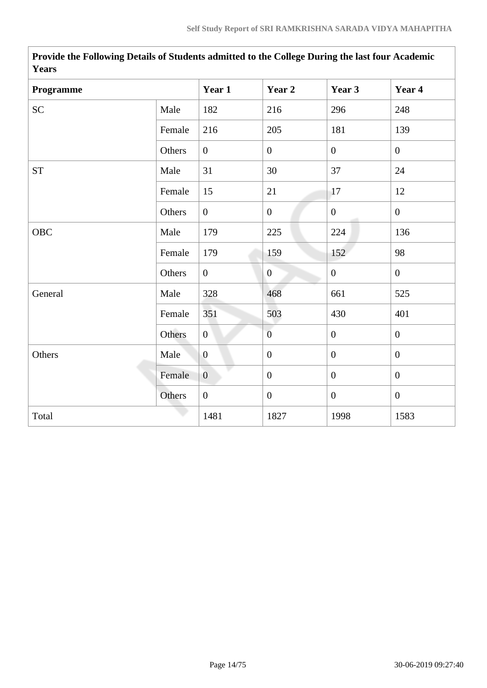| r ears     |        |                  |                  |                  |                |  |  |
|------------|--------|------------------|------------------|------------------|----------------|--|--|
| Programme  |        | Year 1           | Year 2           | Year 3           | Year 4         |  |  |
| <b>SC</b>  | Male   | 182              | 216              | 296              | 248            |  |  |
|            | Female | 216              | 205              | 181              | 139            |  |  |
|            | Others | $\overline{0}$   | $\boldsymbol{0}$ | $\overline{0}$   | $\overline{0}$ |  |  |
| <b>ST</b>  | Male   | 31               | 30               | 37               | 24             |  |  |
|            | Female | 15               | 21               | 17               | 12             |  |  |
|            | Others | $\overline{0}$   | $\mathbf{0}$     | $\mathbf{0}$     | $\overline{0}$ |  |  |
| <b>OBC</b> | Male   | 179              | 225              | 224              | 136            |  |  |
|            | Female | 179              | 159              | 152              | 98             |  |  |
|            | Others | $\overline{0}$   | $\boldsymbol{0}$ | $\boldsymbol{0}$ | $\overline{0}$ |  |  |
| General    | Male   | 328              | 468              | 661              | 525            |  |  |
|            | Female | 351              | 503              | 430              | 401            |  |  |
|            | Others | $\overline{0}$   | $\overline{0}$   | $\overline{0}$   | $\overline{0}$ |  |  |
| Others     | Male   | $\overline{0}$   | $\boldsymbol{0}$ | $\mathbf{0}$     | $\overline{0}$ |  |  |
|            | Female | $\overline{0}$   | $\boldsymbol{0}$ | $\overline{0}$   | $\mathbf{0}$   |  |  |
|            | Others | $\boldsymbol{0}$ | $\boldsymbol{0}$ | $\boldsymbol{0}$ | $\overline{0}$ |  |  |
| Total      |        | 1481             | 1827             | 1998             | 1583           |  |  |

 **Provide the Following Details of Students admitted to the College During the last four Academic Years**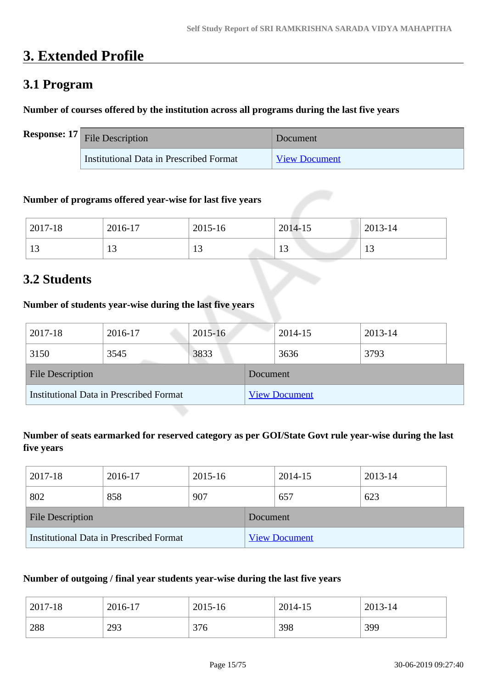## **3. Extended Profile**

## **3.1 Program**

## **Number of courses offered by the institution across all programs during the last five years**

| <b>Response:</b> $17$ File Description  | Document             |
|-----------------------------------------|----------------------|
| Institutional Data in Prescribed Format | <b>View Document</b> |

## **Number of programs offered year-wise for last five years**

| 2017-18             | 2016-17        | 2015-16                  | 2014-15               | 2013-14 |
|---------------------|----------------|--------------------------|-----------------------|---------|
| 1 <sub>2</sub><br>ᆚ | $\overline{1}$ | $\sim$<br>$\overline{1}$ | 1 <sub>2</sub><br>1 J |         |

## **3.2 Students**

## **Number of students year-wise during the last five years**

| 2017-18                                        | 2016-17 | $2015 - 16$ |                      | 2014-15 | 2013-14 |  |
|------------------------------------------------|---------|-------------|----------------------|---------|---------|--|
| 3150                                           | 3545    | 3833        |                      | 3636    | 3793    |  |
| <b>File Description</b>                        |         |             | Document             |         |         |  |
| <b>Institutional Data in Prescribed Format</b> |         |             | <b>View Document</b> |         |         |  |

## **Number of seats earmarked for reserved category as per GOI/State Govt rule year-wise during the last five years**

| 2017-18                                 | 2016-17 | 2015-16 |                      | 2014-15 | 2013-14 |  |
|-----------------------------------------|---------|---------|----------------------|---------|---------|--|
| 802                                     | 858     | 907     |                      | 657     | 623     |  |
| <b>File Description</b>                 |         |         | Document.            |         |         |  |
| Institutional Data in Prescribed Format |         |         | <b>View Document</b> |         |         |  |

## **Number of outgoing / final year students year-wise during the last five years**

| 2017-18 | 2016-17 | 2015-16 | 2014-15 | 2013-14 |
|---------|---------|---------|---------|---------|
| 288     | 293     | 376     | 398     | 399     |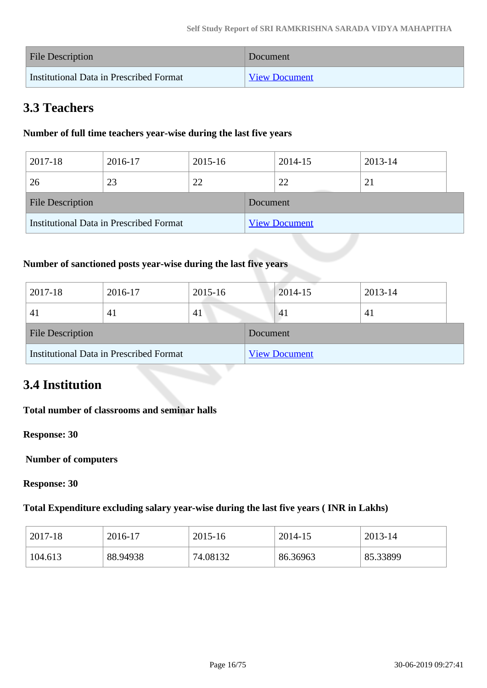| <b>File Description</b>                 | Document             |
|-----------------------------------------|----------------------|
| Institutional Data in Prescribed Format | <b>View Document</b> |

## **3.3 Teachers**

## **Number of full time teachers year-wise during the last five years**

| 2017-18                                 | 2016-17 | 2015-16 |                      | 2014-15 | 2013-14 |  |
|-----------------------------------------|---------|---------|----------------------|---------|---------|--|
| 26                                      | 23      | 22      |                      | 22      | 21      |  |
| <b>File Description</b>                 |         |         | Document             |         |         |  |
| Institutional Data in Prescribed Format |         |         | <b>View Document</b> |         |         |  |

## **Number of sanctioned posts year-wise during the last five years**

| 2017-18                                 | 2016-17 | 2015-16 |                      | $2014 - 15$ | 2013-14      |
|-----------------------------------------|---------|---------|----------------------|-------------|--------------|
| 4 <sup>1</sup>                          | 41      | 41      |                      | 41          | $\mathbf{A}$ |
| <b>File Description</b>                 |         |         | Document             |             |              |
| Institutional Data in Prescribed Format |         |         | <b>View Document</b> |             |              |

## **3.4 Institution**

## **Total number of classrooms and seminar halls**

**Response: 30**

 **Number of computers**

**Response: 30**

## **Total Expenditure excluding salary year-wise during the last five years ( INR in Lakhs)**

| 2017-18 | 2016-17  | 2015-16  | 2014-15  | 2013-14  |
|---------|----------|----------|----------|----------|
| 104.613 | 88.94938 | 74.08132 | 86.36963 | 85.33899 |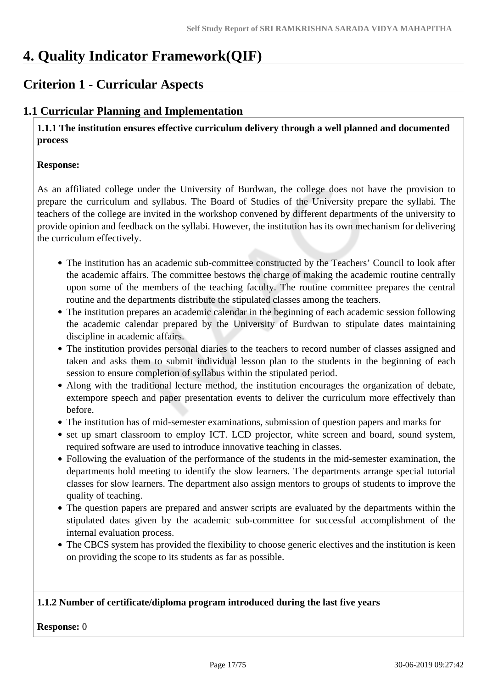## **4. Quality Indicator Framework(QIF)**

## **Criterion 1 - Curricular Aspects**

## **1.1 Curricular Planning and Implementation**

 **1.1.1 The institution ensures effective curriculum delivery through a well planned and documented process** 

### **Response:**

As an affiliated college under the University of Burdwan, the college does not have the provision to prepare the curriculum and syllabus. The Board of Studies of the University prepare the syllabi. The teachers of the college are invited in the workshop convened by different departments of the university to provide opinion and feedback on the syllabi. However, the institution has its own mechanism for delivering the curriculum effectively.

- The institution has an academic sub-committee constructed by the Teachers' Council to look after the academic affairs. The committee bestows the charge of making the academic routine centrally upon some of the members of the teaching faculty. The routine committee prepares the central routine and the departments distribute the stipulated classes among the teachers.
- The institution prepares an academic calendar in the beginning of each academic session following the academic calendar prepared by the University of Burdwan to stipulate dates maintaining discipline in academic affairs.
- The institution provides personal diaries to the teachers to record number of classes assigned and taken and asks them to submit individual lesson plan to the students in the beginning of each session to ensure completion of syllabus within the stipulated period.
- Along with the traditional lecture method, the institution encourages the organization of debate, extempore speech and paper presentation events to deliver the curriculum more effectively than before.
- The institution has of mid-semester examinations, submission of question papers and marks for
- set up smart classroom to employ ICT. LCD projector, white screen and board, sound system, required software are used to introduce innovative teaching in classes.
- Following the evaluation of the performance of the students in the mid-semester examination, the departments hold meeting to identify the slow learners. The departments arrange special tutorial classes for slow learners. The department also assign mentors to groups of students to improve the quality of teaching.
- The question papers are prepared and answer scripts are evaluated by the departments within the stipulated dates given by the academic sub-committee for successful accomplishment of the internal evaluation process.
- The CBCS system has provided the flexibility to choose generic electives and the institution is keen on providing the scope to its students as far as possible.

## **1.1.2 Number of certificate/diploma program introduced during the last five years**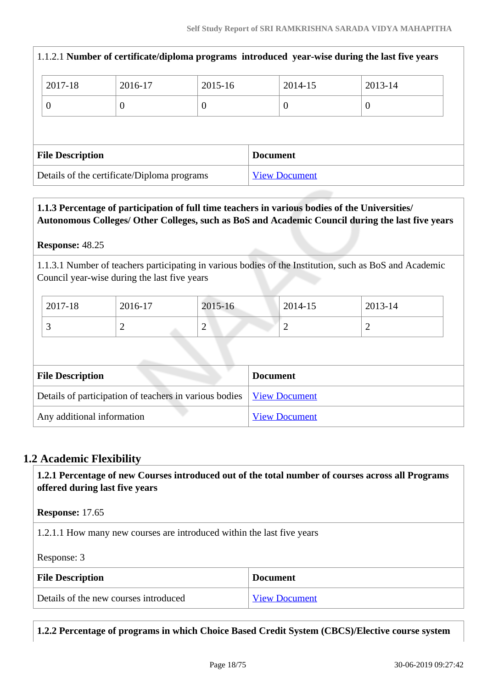| 2017-18                                     | 2016-17  | 2015-16  |  | 2014-15 | 2013-14              |                                                                                                |
|---------------------------------------------|----------|----------|--|---------|----------------------|------------------------------------------------------------------------------------------------|
| $\overline{0}$                              | $\theta$ | $\theta$ |  | 0       | $\theta$             |                                                                                                |
|                                             |          |          |  |         |                      |                                                                                                |
| <b>File Description</b><br><b>Document</b>  |          |          |  |         |                      |                                                                                                |
| Details of the certificate/Diploma programs |          |          |  |         |                      |                                                                                                |
|                                             |          |          |  |         | <b>View Document</b> | 1.1.2.1 Number of certificate/diploma programs introduced year-wise during the last five years |

## **1.1.3 Percentage of participation of full time teachers in various bodies of the Universities/ Autonomous Colleges/ Other Colleges, such as BoS and Academic Council during the last five years**

## **Response:** 48.25

1.1.3.1 Number of teachers participating in various bodies of the Institution, such as BoS and Academic Council year-wise during the last five years

| 2017-18 | 2016-17 | 2015-16                                   | 2014-15 | 2013-14 |
|---------|---------|-------------------------------------------|---------|---------|
|         | -       | ∠<br>the company's state of the company's | ∽       | ∼       |

| <b>File Description</b>                                                | <b>Document</b>      |
|------------------------------------------------------------------------|----------------------|
| Details of participation of teachers in various bodies   View Document |                      |
| Any additional information                                             | <b>View Document</b> |

## **1.2 Academic Flexibility**

 **1.2.1 Percentage of new Courses introduced out of the total number of courses across all Programs offered during last five years**

**Response:** 17.65

1.2.1.1 How many new courses are introduced within the last five years

Response: 3

| <b>File Description</b>               | <b>Document</b>      |
|---------------------------------------|----------------------|
| Details of the new courses introduced | <b>View Document</b> |

**1.2.2 Percentage of programs in which Choice Based Credit System (CBCS)/Elective course system**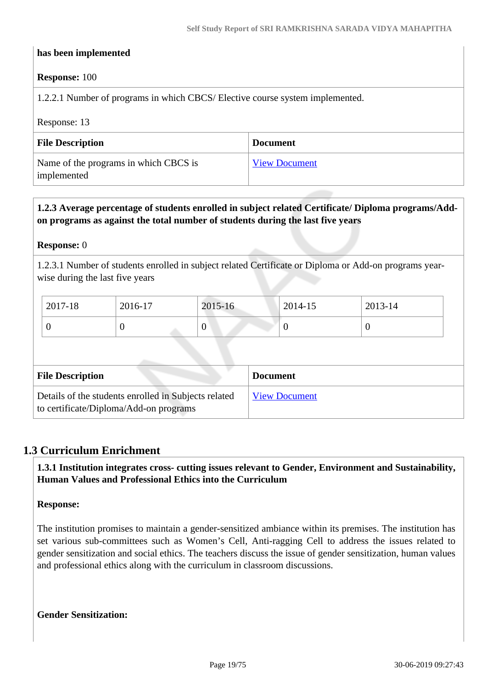### **has been implemented**

#### **Response:** 100

1.2.2.1 Number of programs in which CBCS/ Elective course system implemented.

#### Response: 13

| <b>File Description</b>                              | <b>Document</b>      |
|------------------------------------------------------|----------------------|
| Name of the programs in which CBCS is<br>implemented | <b>View Document</b> |

## **1.2.3 Average percentage of students enrolled in subject related Certificate/ Diploma programs/Addon programs as against the total number of students during the last five years**

#### **Response:** 0

1.2.3.1 Number of students enrolled in subject related Certificate or Diploma or Add-on programs yearwise during the last five years

| 2017-18 | 2016-17 | 2015-16 | 2014-15 | 2013-14 |
|---------|---------|---------|---------|---------|
| ິ       | ◡       | ν       | ν       |         |

| <b>File Description</b>                                                                        | <b>Document</b>      |
|------------------------------------------------------------------------------------------------|----------------------|
| Details of the students enrolled in Subjects related<br>to certificate/Diploma/Add-on programs | <b>View Document</b> |

### **1.3 Curriculum Enrichment**

 **1.3.1 Institution integrates cross- cutting issues relevant to Gender, Environment and Sustainability, Human Values and Professional Ethics into the Curriculum**

#### **Response:**

The institution promises to maintain a gender-sensitized ambiance within its premises. The institution has set various sub-committees such as Women's Cell, Anti-ragging Cell to address the issues related to gender sensitization and social ethics. The teachers discuss the issue of gender sensitization, human values and professional ethics along with the curriculum in classroom discussions.

**Gender Sensitization:**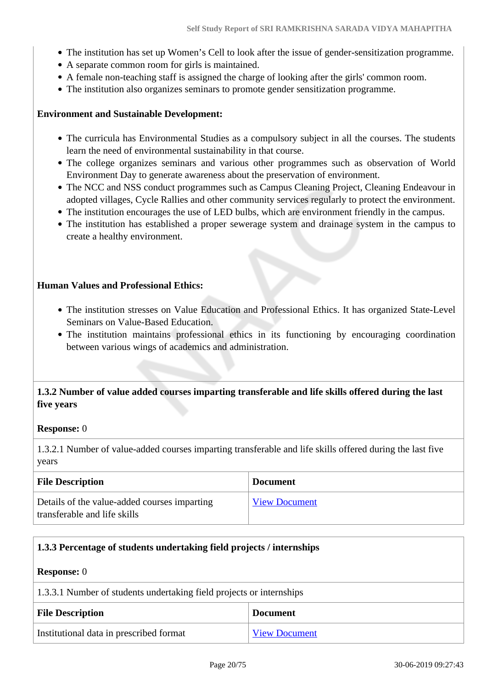- The institution has set up Women's Cell to look after the issue of gender-sensitization programme.
- A separate common room for girls is maintained.
- A female non-teaching staff is assigned the charge of looking after the girls' common room.
- The institution also organizes seminars to promote gender sensitization programme.

### **Environment and Sustainable Development:**

- The curricula has Environmental Studies as a compulsory subject in all the courses. The students learn the need of environmental sustainability in that course.
- The college organizes seminars and various other programmes such as observation of World Environment Day to generate awareness about the preservation of environment.
- The NCC and NSS conduct programmes such as Campus Cleaning Project, Cleaning Endeavour in adopted villages, Cycle Rallies and other community services regularly to protect the environment.
- The institution encourages the use of LED bulbs, which are environment friendly in the campus.
- The institution has established a proper sewerage system and drainage system in the campus to create a healthy environment.

### **Human Values and Professional Ethics:**

- The institution stresses on Value Education and Professional Ethics. It has organized State-Level Seminars on Value-Based Education.
- The institution maintains professional ethics in its functioning by encouraging coordination between various wings of academics and administration.

## **1.3.2 Number of value added courses imparting transferable and life skills offered during the last five years**

#### **Response:** 0

1.3.2.1 Number of value-added courses imparting transferable and life skills offered during the last five years

| <b>File Description</b>                                                      | <b>Document</b>      |
|------------------------------------------------------------------------------|----------------------|
| Details of the value-added courses imparting<br>transferable and life skills | <b>View Document</b> |

## **1.3.3 Percentage of students undertaking field projects / internships**

| <b>Response:</b> 0                                                   |                      |  |
|----------------------------------------------------------------------|----------------------|--|
| 1.3.3.1 Number of students undertaking field projects or internships |                      |  |
| <b>File Description</b><br><b>Document</b>                           |                      |  |
| Institutional data in prescribed format                              | <b>View Document</b> |  |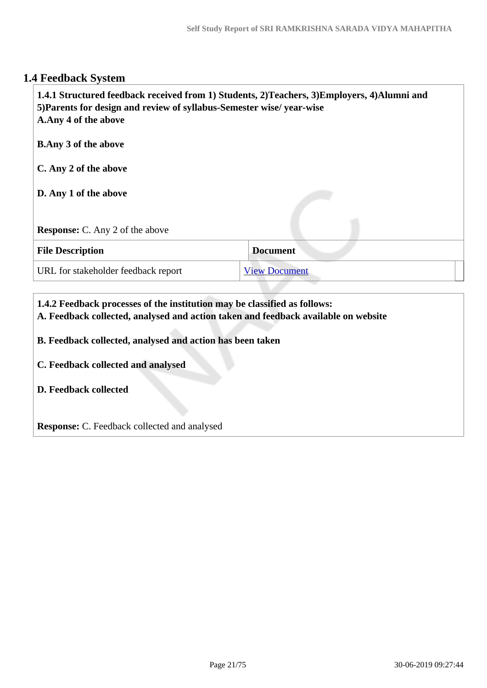## **1.4 Feedback System**

| 1.4.1 Structured feedback received from 1) Students, 2)Teachers, 3)Employers, 4)Alumni and<br>5) Parents for design and review of syllabus-Semester wise/ year-wise<br>A.Any 4 of the above |                      |
|---------------------------------------------------------------------------------------------------------------------------------------------------------------------------------------------|----------------------|
| <b>B.Any 3 of the above</b>                                                                                                                                                                 |                      |
| C. Any 2 of the above                                                                                                                                                                       |                      |
| D. Any 1 of the above                                                                                                                                                                       |                      |
| <b>Response:</b> C. Any 2 of the above                                                                                                                                                      |                      |
| <b>File Description</b>                                                                                                                                                                     | <b>Document</b>      |
| URL for stakeholder feedback report                                                                                                                                                         | <b>View Document</b> |
|                                                                                                                                                                                             |                      |

## **1.4.2 Feedback processes of the institution may be classified as follows:**

**A. Feedback collected, analysed and action taken and feedback available on website**

**B. Feedback collected, analysed and action has been taken**

**C. Feedback collected and analysed**

**D. Feedback collected**

**Response:** C. Feedback collected and analysed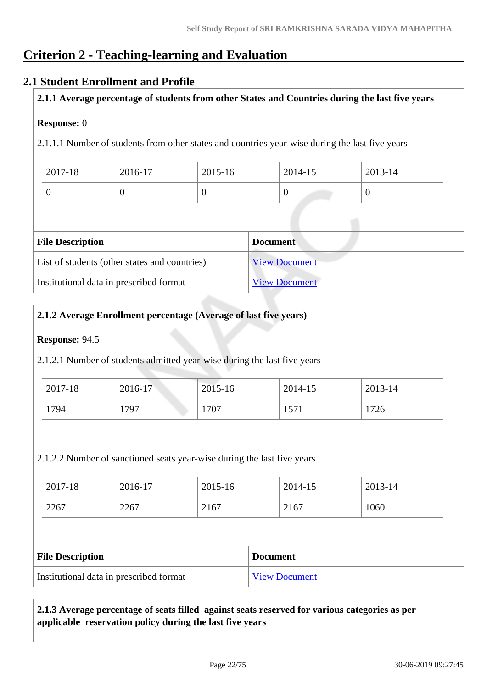## **Criterion 2 - Teaching-learning and Evaluation**

## **2.1 Student Enrollment and Profile**

**2.1.1 Average percentage of students from other States and Countries during the last five years**

## **Response:** 0

2.1.1.1 Number of students from other states and countries year-wise during the last five years

| 2017-18 | 2016-17 | 2015-16 | 2014-15 | 2013-14 |
|---------|---------|---------|---------|---------|
|         |         |         |         |         |

| <b>File Description</b>                       | <b>Document</b>      |
|-----------------------------------------------|----------------------|
| List of students (other states and countries) | <b>View Document</b> |
| Institutional data in prescribed format       | <b>View Document</b> |

## **2.1.2 Average Enrollment percentage (Average of last five years)**

### **Response:** 94.5

2.1.2.1 Number of students admitted year-wise during the last five years

| 2017-18 | 2016-17 | 2015-16 | 2014-15 | 2013-14 |
|---------|---------|---------|---------|---------|
| 1794    | 1797    | 1707    | 1571    | 726     |

2.1.2.2 Number of sanctioned seats year-wise during the last five years

| $2017 - 18$ | 2016-17 | 2015-16 | 2014-15 | 2013-14 |
|-------------|---------|---------|---------|---------|
| 2267        | 2267    | 2167    | 2167    | 1060    |

| <b>File Description</b>                 | <b>Document</b>      |
|-----------------------------------------|----------------------|
| Institutional data in prescribed format | <b>View Document</b> |

## **2.1.3 Average percentage of seats filled against seats reserved for various categories as per applicable reservation policy during the last five years**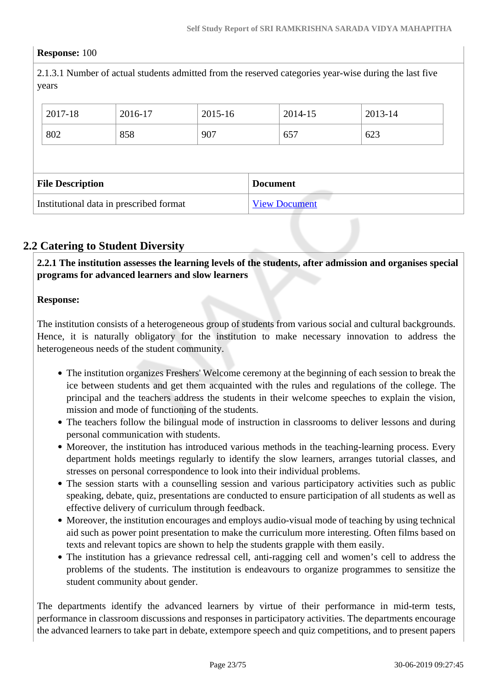### **Response:** 100

2.1.3.1 Number of actual students admitted from the reserved categories year-wise during the last five years

| 2017-18                                    | 2016-17 | 2015-16 |  | 2014-15 | 2013-14 |
|--------------------------------------------|---------|---------|--|---------|---------|
| 802                                        | 858     | 907     |  | 657     | 623     |
|                                            |         |         |  |         |         |
| <b>File Description</b><br><b>Document</b> |         |         |  |         |         |
|                                            |         |         |  |         |         |

## **2.2 Catering to Student Diversity**

 **2.2.1 The institution assesses the learning levels of the students, after admission and organises special programs for advanced learners and slow learners**

### **Response:**

The institution consists of a heterogeneous group of students from various social and cultural backgrounds. Hence, it is naturally obligatory for the institution to make necessary innovation to address the heterogeneous needs of the student community.

- The institution organizes Freshers' Welcome ceremony at the beginning of each session to break the ice between students and get them acquainted with the rules and regulations of the college. The principal and the teachers address the students in their welcome speeches to explain the vision, mission and mode of functioning of the students.
- The teachers follow the bilingual mode of instruction in classrooms to deliver lessons and during personal communication with students.
- Moreover, the institution has introduced various methods in the teaching-learning process. Every department holds meetings regularly to identify the slow learners, arranges tutorial classes, and stresses on personal correspondence to look into their individual problems.
- The session starts with a counselling session and various participatory activities such as public speaking, debate, quiz, presentations are conducted to ensure participation of all students as well as effective delivery of curriculum through feedback.
- Moreover, the institution encourages and employs audio-visual mode of teaching by using technical aid such as power point presentation to make the curriculum more interesting. Often films based on texts and relevant topics are shown to help the students grapple with them easily.
- The institution has a grievance redressal cell, anti-ragging cell and women's cell to address the problems of the students. The institution is endeavours to organize programmes to sensitize the student community about gender.

The departments identify the advanced learners by virtue of their performance in mid-term tests, performance in classroom discussions and responses in participatory activities. The departments encourage the advanced learners to take part in debate, extempore speech and quiz competitions, and to present papers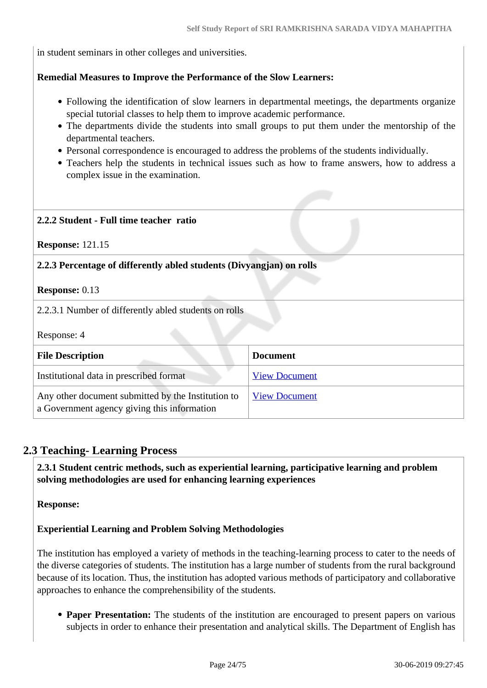in student seminars in other colleges and universities.

#### **Remedial Measures to Improve the Performance of the Slow Learners:**

- Following the identification of slow learners in departmental meetings, the departments organize special tutorial classes to help them to improve academic performance.
- The departments divide the students into small groups to put them under the mentorship of the departmental teachers.
- Personal correspondence is encouraged to address the problems of the students individually.
- Teachers help the students in technical issues such as how to frame answers, how to address a complex issue in the examination.

# **2.2.2 Student - Full time teacher ratio**

**Response:** 121.15

#### **2.2.3 Percentage of differently abled students (Divyangjan) on rolls**

**Response:** 0.13

2.2.3.1 Number of differently abled students on rolls

Response: 4

| <b>File Description</b>                                                                           | <b>Document</b>      |
|---------------------------------------------------------------------------------------------------|----------------------|
| Institutional data in prescribed format                                                           | <b>View Document</b> |
| Any other document submitted by the Institution to<br>a Government agency giving this information | <b>View Document</b> |

#### **2.3 Teaching- Learning Process**

 **2.3.1 Student centric methods, such as experiential learning, participative learning and problem solving methodologies are used for enhancing learning experiences**

**Response:** 

#### **Experiential Learning and Problem Solving Methodologies**

The institution has employed a variety of methods in the teaching-learning process to cater to the needs of the diverse categories of students. The institution has a large number of students from the rural background because of its location. Thus, the institution has adopted various methods of participatory and collaborative approaches to enhance the comprehensibility of the students.

• **Paper Presentation:** The students of the institution are encouraged to present papers on various subjects in order to enhance their presentation and analytical skills. The Department of English has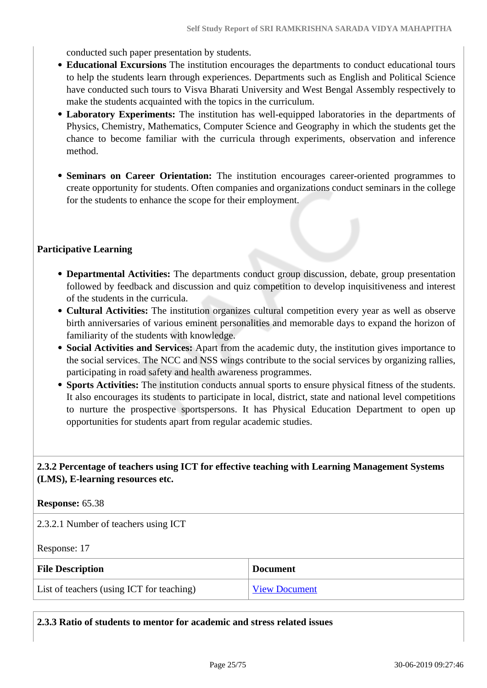conducted such paper presentation by students.

- **Educational Excursions** The institution encourages the departments to conduct educational tours to help the students learn through experiences. Departments such as English and Political Science have conducted such tours to Visva Bharati University and West Bengal Assembly respectively to make the students acquainted with the topics in the curriculum.
- **Laboratory Experiments:** The institution has well-equipped laboratories in the departments of Physics, Chemistry, Mathematics, Computer Science and Geography in which the students get the chance to become familiar with the curricula through experiments, observation and inference method.
- **Seminars on Career Orientation:** The institution encourages career-oriented programmes to create opportunity for students. Often companies and organizations conduct seminars in the college for the students to enhance the scope for their employment.

### **Participative Learning**

- **Departmental Activities:** The departments conduct group discussion, debate, group presentation followed by feedback and discussion and quiz competition to develop inquisitiveness and interest of the students in the curricula.
- **Cultural Activities:** The institution organizes cultural competition every year as well as observe birth anniversaries of various eminent personalities and memorable days to expand the horizon of familiarity of the students with knowledge.
- **Social Activities and Services:** Apart from the academic duty, the institution gives importance to the social services. The NCC and NSS wings contribute to the social services by organizing rallies, participating in road safety and health awareness programmes.
- **Sports Activities:** The institution conducts annual sports to ensure physical fitness of the students. It also encourages its students to participate in local, district, state and national level competitions to nurture the prospective sportspersons. It has Physical Education Department to open up opportunities for students apart from regular academic studies.

## **2.3.2 Percentage of teachers using ICT for effective teaching with Learning Management Systems (LMS), E-learning resources etc.**

#### **Response:** 65.38

2.3.2.1 Number of teachers using ICT

Response: 17

| <b>File Description</b>                   | <b>Document</b>      |
|-------------------------------------------|----------------------|
| List of teachers (using ICT for teaching) | <b>View Document</b> |

**2.3.3 Ratio of students to mentor for academic and stress related issues**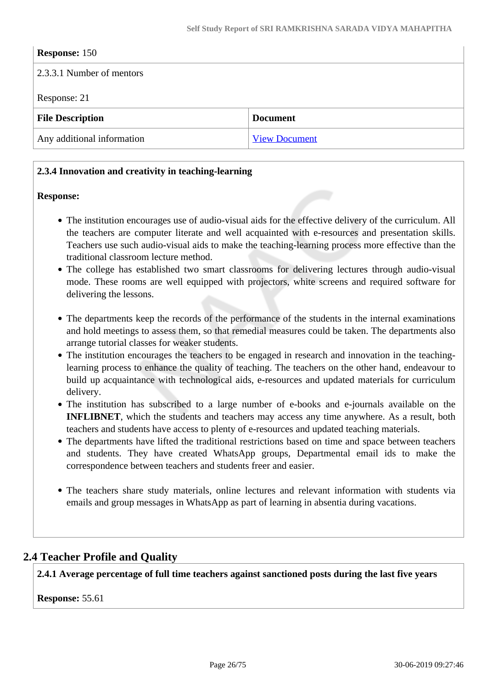| <b>Response: 150</b>       |                      |
|----------------------------|----------------------|
| 2.3.3.1 Number of mentors  |                      |
| Response: 21               |                      |
| <b>File Description</b>    | <b>Document</b>      |
| Any additional information | <b>View Document</b> |

## **2.3.4 Innovation and creativity in teaching-learning**

#### **Response:**

- The institution encourages use of audio-visual aids for the effective delivery of the curriculum. All the teachers are computer literate and well acquainted with e-resources and presentation skills. Teachers use such audio-visual aids to make the teaching-learning process more effective than the traditional classroom lecture method.
- The college has established two smart classrooms for delivering lectures through audio-visual mode. These rooms are well equipped with projectors, white screens and required software for delivering the lessons.
- The departments keep the records of the performance of the students in the internal examinations and hold meetings to assess them, so that remedial measures could be taken. The departments also arrange tutorial classes for weaker students.
- The institution encourages the teachers to be engaged in research and innovation in the teachinglearning process to enhance the quality of teaching. The teachers on the other hand, endeavour to build up acquaintance with technological aids, e-resources and updated materials for curriculum delivery.
- The institution has subscribed to a large number of e-books and e-journals available on the **INFLIBNET**, which the students and teachers may access any time anywhere. As a result, both teachers and students have access to plenty of e-resources and updated teaching materials.
- The departments have lifted the traditional restrictions based on time and space between teachers and students. They have created WhatsApp groups, Departmental email ids to make the correspondence between teachers and students freer and easier.
- The teachers share study materials, online lectures and relevant information with students via emails and group messages in WhatsApp as part of learning in absentia during vacations.

## **2.4 Teacher Profile and Quality**

**2.4.1 Average percentage of full time teachers against sanctioned posts during the last five years**

**Response:** 55.61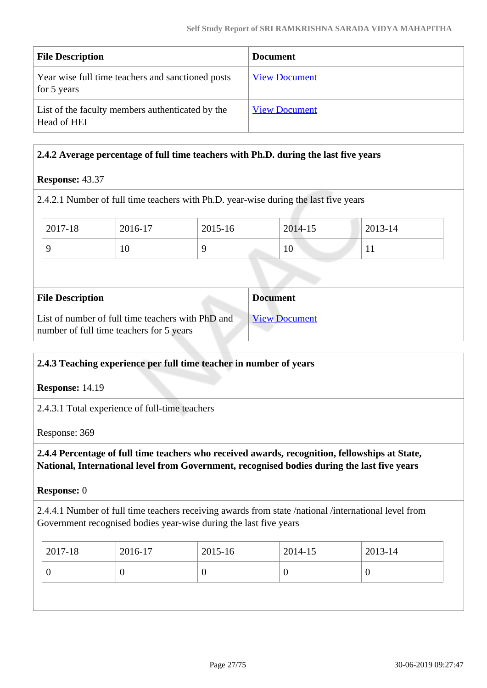| <b>File Description</b>                                          | <b>Document</b>      |
|------------------------------------------------------------------|----------------------|
| Year wise full time teachers and sanctioned posts<br>for 5 years | <b>View Document</b> |
| List of the faculty members authenticated by the<br>Head of HEI  | <b>View Document</b> |

## **2.4.2 Average percentage of full time teachers with Ph.D. during the last five years**

## **Response:** 43.37

2.4.2.1 Number of full time teachers with Ph.D. year-wise during the last five years

| $12017 - 18$ | 2016-17 | 2015-16 | 2014-15 | 2013-14 |
|--------------|---------|---------|---------|---------|
|              | 1Ψ      |         | 10      | . .     |

| <b>File Description</b>                                                                       | <b>Document</b>      |
|-----------------------------------------------------------------------------------------------|----------------------|
| List of number of full time teachers with PhD and<br>number of full time teachers for 5 years | <b>View Document</b> |

## **2.4.3 Teaching experience per full time teacher in number of years**

**Response:** 14.19

2.4.3.1 Total experience of full-time teachers

Response: 369

## **2.4.4 Percentage of full time teachers who received awards, recognition, fellowships at State, National, International level from Government, recognised bodies during the last five years**

#### **Response:** 0

2.4.4.1 Number of full time teachers receiving awards from state /national /international level from Government recognised bodies year-wise during the last five years

| 2017-18 | 2016-17 | 2015-16 | 2014-15 | 2013-14 |
|---------|---------|---------|---------|---------|
|         |         |         | -0      | U       |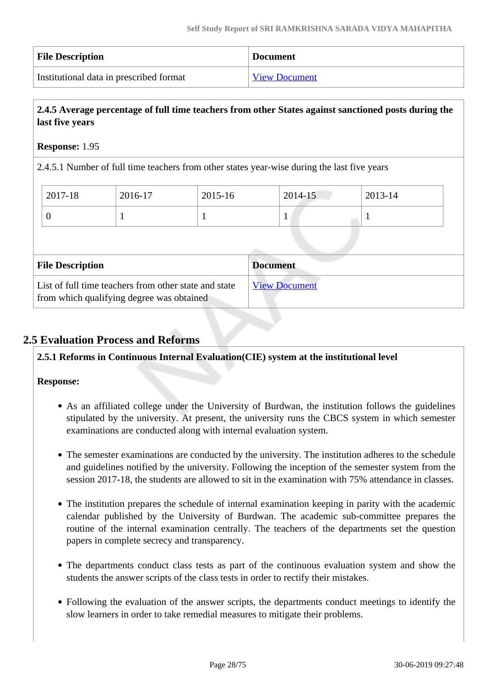| <b>File Description</b>                 | <b>Document</b>      |
|-----------------------------------------|----------------------|
| Institutional data in prescribed format | <b>View Document</b> |

## **2.4.5 Average percentage of full time teachers from other States against sanctioned posts during the last five years**

## **Response:** 1.95

2.4.5.1 Number of full time teachers from other states year-wise during the last five years

| 2017-18                 | 2016-17 | 2015-16 | 2014-15         | 2013-14 |
|-------------------------|---------|---------|-----------------|---------|
| $\theta$                |         |         | $\mathbf{I}$    |         |
|                         |         |         |                 |         |
|                         |         |         |                 |         |
| <b>File Description</b> |         |         | <b>Document</b> |         |

## **2.5 Evaluation Process and Reforms**

**2.5.1 Reforms in Continuous Internal Evaluation(CIE) system at the institutional level**

- As an affiliated college under the University of Burdwan, the institution follows the guidelines stipulated by the university. At present, the university runs the CBCS system in which semester examinations are conducted along with internal evaluation system.
- The semester examinations are conducted by the university. The institution adheres to the schedule and guidelines notified by the university. Following the inception of the semester system from the session 2017-18, the students are allowed to sit in the examination with 75% attendance in classes.
- The institution prepares the schedule of internal examination keeping in parity with the academic calendar published by the University of Burdwan. The academic sub-committee prepares the routine of the internal examination centrally. The teachers of the departments set the question papers in complete secrecy and transparency.
- The departments conduct class tests as part of the continuous evaluation system and show the students the answer scripts of the class tests in order to rectify their mistakes.
- Following the evaluation of the answer scripts, the departments conduct meetings to identify the slow learners in order to take remedial measures to mitigate their problems.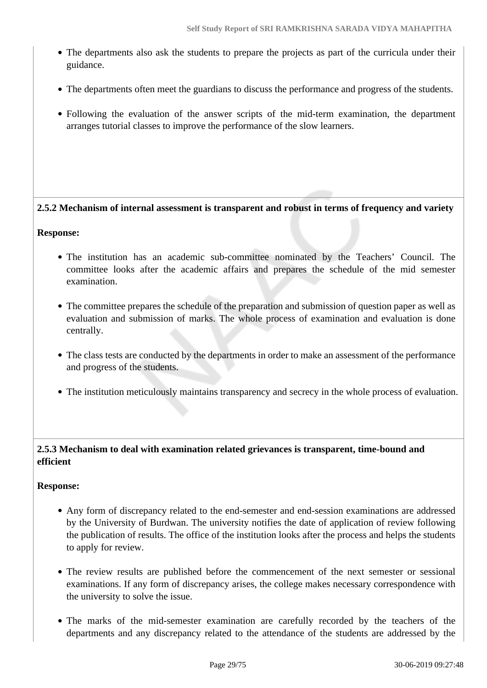- The departments also ask the students to prepare the projects as part of the curricula under their guidance.
- The departments often meet the guardians to discuss the performance and progress of the students.
- Following the evaluation of the answer scripts of the mid-term examination, the department arranges tutorial classes to improve the performance of the slow learners.

## **2.5.2 Mechanism of internal assessment is transparent and robust in terms of frequency and variety**

#### **Response:**

- The institution has an academic sub-committee nominated by the Teachers' Council. The committee looks after the academic affairs and prepares the schedule of the mid semester examination.
- The committee prepares the schedule of the preparation and submission of question paper as well as evaluation and submission of marks. The whole process of examination and evaluation is done centrally.
- The class tests are conducted by the departments in order to make an assessment of the performance and progress of the students.
- The institution meticulously maintains transparency and secrecy in the whole process of evaluation.

## **2.5.3 Mechanism to deal with examination related grievances is transparent, time-bound and efficient**

- Any form of discrepancy related to the end-semester and end-session examinations are addressed by the University of Burdwan. The university notifies the date of application of review following the publication of results. The office of the institution looks after the process and helps the students to apply for review.
- The review results are published before the commencement of the next semester or sessional examinations. If any form of discrepancy arises, the college makes necessary correspondence with the university to solve the issue.
- The marks of the mid-semester examination are carefully recorded by the teachers of the departments and any discrepancy related to the attendance of the students are addressed by the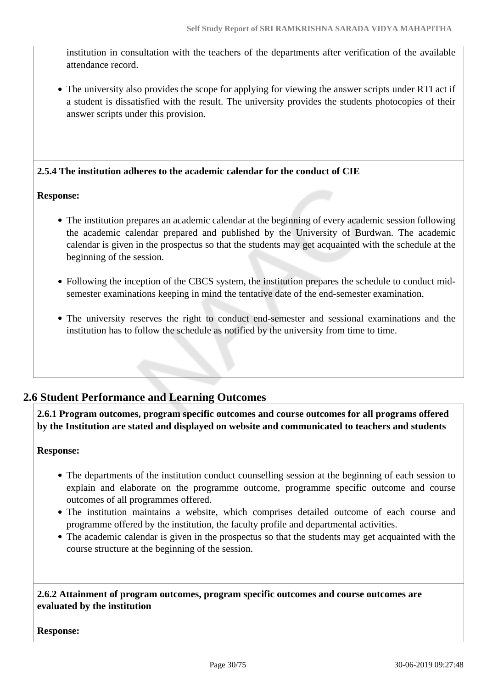institution in consultation with the teachers of the departments after verification of the available attendance record.

The university also provides the scope for applying for viewing the answer scripts under RTI act if a student is dissatisfied with the result. The university provides the students photocopies of their answer scripts under this provision.

**2.5.4 The institution adheres to the academic calendar for the conduct of CIE**

#### **Response:**

- The institution prepares an academic calendar at the beginning of every academic session following the academic calendar prepared and published by the University of Burdwan. The academic calendar is given in the prospectus so that the students may get acquainted with the schedule at the beginning of the session.
- Following the inception of the CBCS system, the institution prepares the schedule to conduct midsemester examinations keeping in mind the tentative date of the end-semester examination.
- The university reserves the right to conduct end-semester and sessional examinations and the institution has to follow the schedule as notified by the university from time to time.

## **2.6 Student Performance and Learning Outcomes**

 **2.6.1 Program outcomes, program specific outcomes and course outcomes for all programs offered by the Institution are stated and displayed on website and communicated to teachers and students**

#### **Response:**

- The departments of the institution conduct counselling session at the beginning of each session to explain and elaborate on the programme outcome, programme specific outcome and course outcomes of all programmes offered.
- The institution maintains a website, which comprises detailed outcome of each course and programme offered by the institution, the faculty profile and departmental activities.
- The academic calendar is given in the prospectus so that the students may get acquainted with the course structure at the beginning of the session.

 **2.6.2 Attainment of program outcomes, program specific outcomes and course outcomes are evaluated by the institution**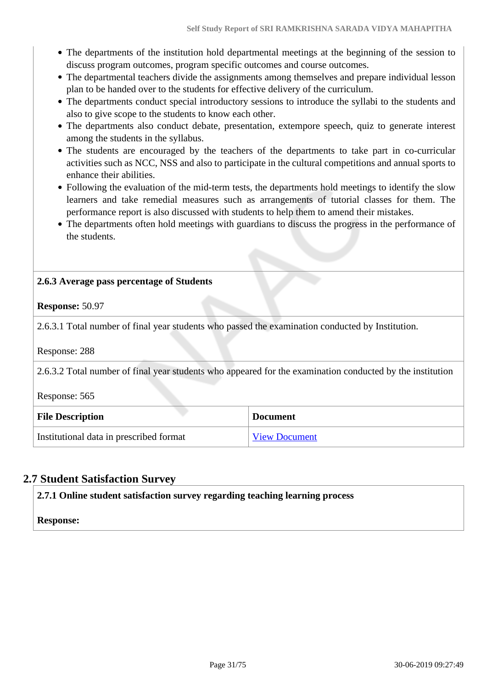- The departments of the institution hold departmental meetings at the beginning of the session to discuss program outcomes, program specific outcomes and course outcomes.
- The departmental teachers divide the assignments among themselves and prepare individual lesson plan to be handed over to the students for effective delivery of the curriculum.
- The departments conduct special introductory sessions to introduce the syllabi to the students and also to give scope to the students to know each other.
- The departments also conduct debate, presentation, extempore speech, quiz to generate interest among the students in the syllabus.
- The students are encouraged by the teachers of the departments to take part in co-curricular activities such as NCC, NSS and also to participate in the cultural competitions and annual sports to enhance their abilities.
- Following the evaluation of the mid-term tests, the departments hold meetings to identify the slow learners and take remedial measures such as arrangements of tutorial classes for them. The performance report is also discussed with students to help them to amend their mistakes.
- The departments often hold meetings with guardians to discuss the progress in the performance of the students.

## **2.6.3 Average pass percentage of Students**

### **Response:** 50.97

2.6.3.1 Total number of final year students who passed the examination conducted by Institution.

Response: 288

2.6.3.2 Total number of final year students who appeared for the examination conducted by the institution

Response: 565

| <b>File Description</b>                 | <b>Document</b>      |
|-----------------------------------------|----------------------|
| Institutional data in prescribed format | <b>View Document</b> |

## **2.7 Student Satisfaction Survey**

**2.7.1 Online student satisfaction survey regarding teaching learning process**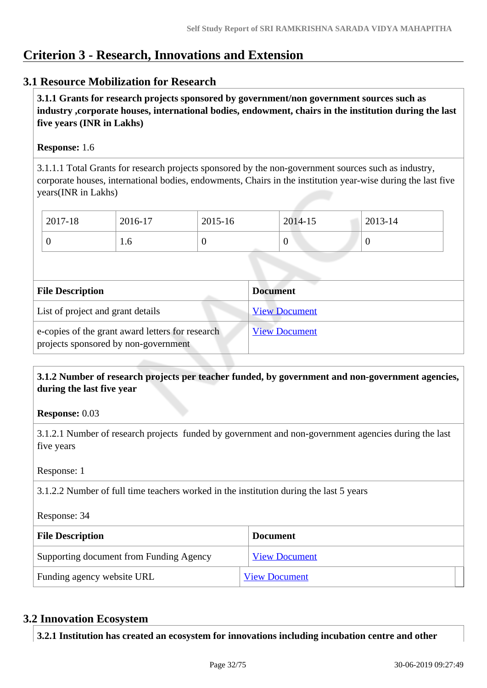## **Criterion 3 - Research, Innovations and Extension**

## **3.1 Resource Mobilization for Research**

 **3.1.1 Grants for research projects sponsored by government/non government sources such as industry ,corporate houses, international bodies, endowment, chairs in the institution during the last five years (INR in Lakhs)** 

## **Response:** 1.6

3.1.1.1 Total Grants for research projects sponsored by the non-government sources such as industry, corporate houses, international bodies, endowments, Chairs in the institution year-wise during the last five years(INR in Lakhs)

| 2017-18 | 2016-17 | 2015-16 | 2014-15 | 2013-14 |
|---------|---------|---------|---------|---------|
|         | 1.0     | υ       |         | ◡       |

| <b>File Description</b>                                                                  | <b>Document</b>      |
|------------------------------------------------------------------------------------------|----------------------|
| List of project and grant details                                                        | <b>View Document</b> |
| e-copies of the grant award letters for research<br>projects sponsored by non-government | <b>View Document</b> |

 **3.1.2 Number of research projects per teacher funded, by government and non-government agencies, during the last five year**

**Response:** 0.03

3.1.2.1 Number of research projects funded by government and non-government agencies during the last five years

Response: 1

3.1.2.2 Number of full time teachers worked in the institution during the last 5 years

Response: 34

| <b>File Description</b>                 | <b>Document</b>      |
|-----------------------------------------|----------------------|
| Supporting document from Funding Agency | <b>View Document</b> |
| Funding agency website URL              | <b>View Document</b> |

## **3.2 Innovation Ecosystem**

**3.2.1 Institution has created an ecosystem for innovations including incubation centre and other**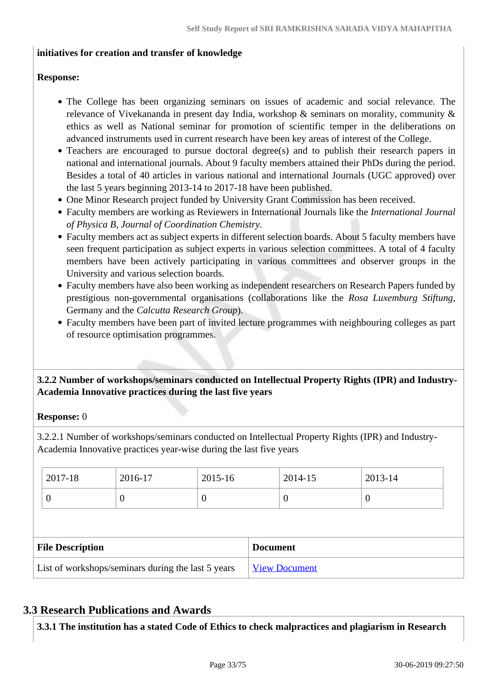### **initiatives for creation and transfer of knowledge**

### **Response:**

- The College has been organizing seminars on issues of academic and social relevance. The relevance of Vivekananda in present day India, workshop & seminars on morality, community & ethics as well as National seminar for promotion of scientific temper in the deliberations on advanced instruments used in current research have been key areas of interest of the College.
- Teachers are encouraged to pursue doctoral degree(s) and to publish their research papers in national and international journals. About 9 faculty members attained their PhDs during the period. Besides a total of 40 articles in various national and international Journals (UGC approved) over the last 5 years beginning 2013-14 to 2017-18 have been published.
- One Minor Research project funded by University Grant Commission has been received.
- Faculty members are working as Reviewers in International Journals like the *International Journal of Physica B, Journal of Coordination Chemistry.*
- Faculty members act as subject experts in different selection boards. About 5 faculty members have seen frequent participation as subject experts in various selection committees. A total of 4 faculty members have been actively participating in various committees and observer groups in the University and various selection boards.
- Faculty members have also been working as independent researchers on Research Papers funded by prestigious non-governmental organisations (collaborations like the *Rosa Luxemburg Stiftung*, Germany and the *Calcutta Research Group*).
- Faculty members have been part of invited lecture programmes with neighbouring colleges as part of resource optimisation programmes.

## **3.2.2 Number of workshops/seminars conducted on Intellectual Property Rights (IPR) and Industry-Academia Innovative practices during the last five years**

## **Response:** 0

3.2.2.1 Number of workshops/seminars conducted on Intellectual Property Rights (IPR) and Industry-Academia Innovative practices year-wise during the last five years

| 2017-18                                            | 2016-17  | 2015-16 | 2014-15              | 2013-14  |  |
|----------------------------------------------------|----------|---------|----------------------|----------|--|
| 0                                                  | $\theta$ | 0       | $\theta$             | $\theta$ |  |
|                                                    |          |         |                      |          |  |
| <b>File Description</b>                            |          |         | <b>Document</b>      |          |  |
| List of workshops/seminars during the last 5 years |          |         | <b>View Document</b> |          |  |

## **3.3 Research Publications and Awards**

**3.3.1 The institution has a stated Code of Ethics to check malpractices and plagiarism in Research**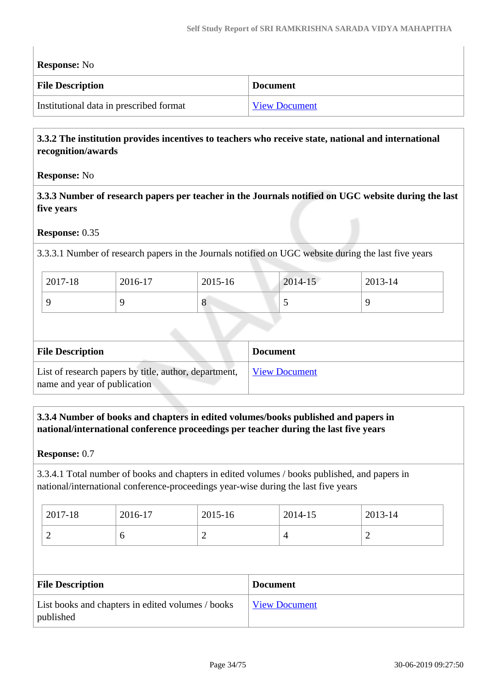| <b>Response:</b> No                        |                      |  |  |  |
|--------------------------------------------|----------------------|--|--|--|
| <b>File Description</b><br><b>Document</b> |                      |  |  |  |
| Institutional data in prescribed format    | <b>View Document</b> |  |  |  |

## **3.3.2 The institution provides incentives to teachers who receive state, national and international recognition/awards**

## **Response:** No

 **3.3.3 Number of research papers per teacher in the Journals notified on UGC website during the last five years**

### **Response:** 0.35

3.3.3.1 Number of research papers in the Journals notified on UGC website during the last five years

| 2017-18 | 2016-17 | 2015-16 | 2014-15                  | 2013-14 |
|---------|---------|---------|--------------------------|---------|
|         |         | $\circ$ | $\overline{\phantom{0}}$ |         |

| <b>File Description</b>                                                               | <b>Document</b>      |
|---------------------------------------------------------------------------------------|----------------------|
| List of research papers by title, author, department,<br>name and year of publication | <b>View Document</b> |

## **3.3.4 Number of books and chapters in edited volumes/books published and papers in national/international conference proceedings per teacher during the last five years**

**Response:** 0.7

3.3.4.1 Total number of books and chapters in edited volumes / books published, and papers in national/international conference-proceedings year-wise during the last five years

| 2017-18 | 2016-17 | 2015-16 | 2014-15 | 2013-14 |
|---------|---------|---------|---------|---------|
| ∽       | v       | ∽       |         | ∼       |

| <b>File Description</b>                                        | <b>Document</b>      |
|----------------------------------------------------------------|----------------------|
| List books and chapters in edited volumes / books<br>published | <b>View Document</b> |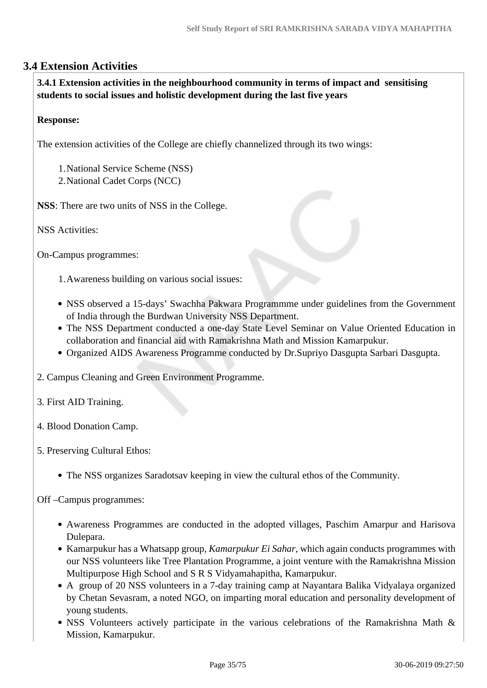## **3.4 Extension Activities**

 **3.4.1 Extension activities in the neighbourhood community in terms of impact and sensitising students to social issues and holistic development during the last five years**

## **Response:**

The extension activities of the College are chiefly channelized through its two wings:

1.National Service Scheme (NSS)

2.National Cadet Corps (NCC)

**NSS**: There are two units of NSS in the College.

NSS Activities:

On-Campus programmes:

1.Awareness building on various social issues:

- NSS observed a 15-days' Swachha Pakwara Programmme under guidelines from the Government of India through the Burdwan University NSS Department.
- The NSS Department conducted a one-day State Level Seminar on Value Oriented Education in collaboration and financial aid with Ramakrishna Math and Mission Kamarpukur.
- Organized AIDS Awareness Programme conducted by Dr.Supriyo Dasgupta Sarbari Dasgupta.

2. Campus Cleaning and Green Environment Programme.

3. First AID Training.

- 4. Blood Donation Camp.
- 5. Preserving Cultural Ethos:
	- The NSS organizes Saradotsav keeping in view the cultural ethos of the Community.

Off –Campus programmes:

- Awareness Programmes are conducted in the adopted villages, Paschim Amarpur and Harisova Dulepara.
- Kamarpukur has a Whatsapp group, *Kamarpukur Ei Sahar*, which again conducts programmes with our NSS volunteers like Tree Plantation Programme, a joint venture with the Ramakrishna Mission Multipurpose High School and S R S Vidyamahapitha, Kamarpukur.
- A group of 20 NSS volunteers in a 7-day training camp at Nayantara Balika Vidyalaya organized by Chetan Sevasram, a noted NGO, on imparting moral education and personality development of young students.
- NSS Volunteers actively participate in the various celebrations of the Ramakrishna Math & Mission, Kamarpukur.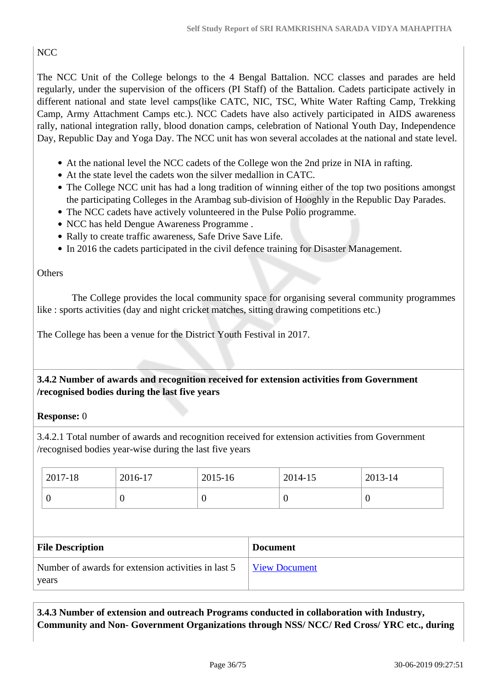## **NCC**

The NCC Unit of the College belongs to the 4 Bengal Battalion. NCC classes and parades are held regularly, under the supervision of the officers (PI Staff) of the Battalion. Cadets participate actively in different national and state level camps(like CATC, NIC, TSC, White Water Rafting Camp, Trekking Camp, Army Attachment Camps etc.). NCC Cadets have also actively participated in AIDS awareness rally, national integration rally, blood donation camps, celebration of National Youth Day, Independence Day, Republic Day and Yoga Day. The NCC unit has won several accolades at the national and state level.

- At the national level the NCC cadets of the College won the 2nd prize in NIA in rafting.
- At the state level the cadets won the silver medallion in CATC.
- The College NCC unit has had a long tradition of winning either of the top two positions amongst the participating Colleges in the Arambag sub-division of Hooghly in the Republic Day Parades.
- The NCC cadets have actively volunteered in the Pulse Polio programme.
- NCC has held Dengue Awareness Programme .
- Rally to create traffic awareness, Safe Drive Save Life.
- In 2016 the cadets participated in the civil defence training for Disaster Management.

## **Others**

 The College provides the local community space for organising several community programmes like : sports activities (day and night cricket matches, sitting drawing competitions etc.)

The College has been a venue for the District Youth Festival in 2017.

 **3.4.2 Number of awards and recognition received for extension activities from Government /recognised bodies during the last five years**

## **Response:** 0

3.4.2.1 Total number of awards and recognition received for extension activities from Government /recognised bodies year-wise during the last five years

| $\frac{1}{2017}$ -18 | 2016-17 | 2015-16 | 2014-15 | $2013 - 14$ |
|----------------------|---------|---------|---------|-------------|
|                      | ◡       |         | U       | ν           |

| <b>File Description</b>                                      | <b>Document</b> |
|--------------------------------------------------------------|-----------------|
| Number of awards for extension activities in last 5<br>years | View Document   |
|                                                              |                 |

 **3.4.3 Number of extension and outreach Programs conducted in collaboration with Industry, Community and Non- Government Organizations through NSS/ NCC/ Red Cross/ YRC etc., during**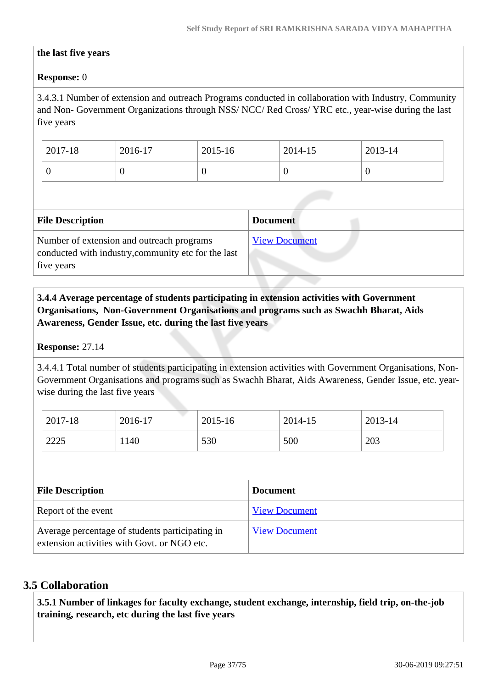#### **the last five years**

## **Response:** 0

3.4.3.1 Number of extension and outreach Programs conducted in collaboration with Industry, Community and Non- Government Organizations through NSS/ NCC/ Red Cross/ YRC etc., year-wise during the last five years

| 2017-18 | 2016-17 | 2015-16 | 2014-15 | 2013-14 |
|---------|---------|---------|---------|---------|
|         |         |         |         | ν       |

| <b>File Description</b>                                                                                        | <b>Document</b>      |
|----------------------------------------------------------------------------------------------------------------|----------------------|
| Number of extension and outreach programs<br>conducted with industry, community etc for the last<br>five years | <b>View Document</b> |

# **3.4.4 Average percentage of students participating in extension activities with Government Organisations, Non-Government Organisations and programs such as Swachh Bharat, Aids Awareness, Gender Issue, etc. during the last five years**

#### **Response:** 27.14

3.4.4.1 Total number of students participating in extension activities with Government Organisations, Non-Government Organisations and programs such as Swachh Bharat, Aids Awareness, Gender Issue, etc. yearwise during the last five years

| 2017-18 | 2016-17 | 2015-16 | 2014-15 | 2013-14 |
|---------|---------|---------|---------|---------|
| 2225    | 1140    | 530     | 500     | 203     |

| <b>File Description</b>                                                                        | <b>Document</b>      |
|------------------------------------------------------------------------------------------------|----------------------|
| Report of the event                                                                            | <b>View Document</b> |
| Average percentage of students participating in<br>extension activities with Govt. or NGO etc. | <b>View Document</b> |

# **3.5 Collaboration**

 **3.5.1 Number of linkages for faculty exchange, student exchange, internship, field trip, on-the-job training, research, etc during the last five years**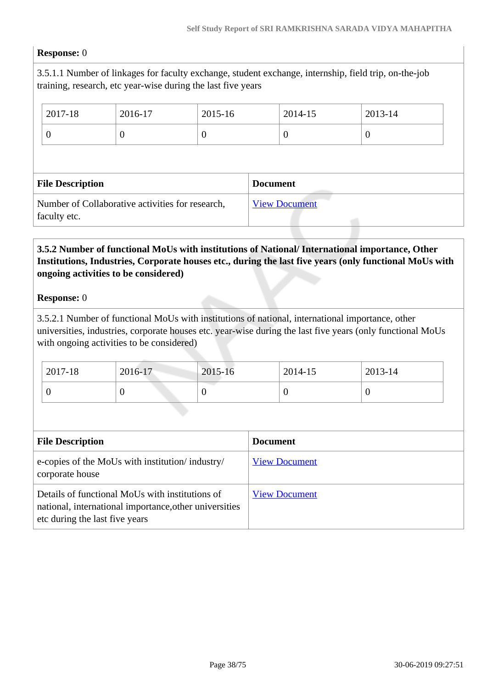#### **Response:** 0

3.5.1.1 Number of linkages for faculty exchange, student exchange, internship, field trip, on-the-job training, research, etc year-wise during the last five years

| 2017-18                                                          | 2016-17  | 2015-16  |                 | 2014-15              | 2013-14  |
|------------------------------------------------------------------|----------|----------|-----------------|----------------------|----------|
| $\boldsymbol{0}$                                                 | $\theta$ | $\theta$ |                 | $\theta$             | $\theta$ |
|                                                                  |          |          |                 |                      |          |
| <b>File Description</b>                                          |          |          | <b>Document</b> |                      |          |
| Number of Collaborative activities for research,<br>faculty etc. |          |          |                 | <b>View Document</b> |          |

# **3.5.2 Number of functional MoUs with institutions of National/ International importance, Other Institutions, Industries, Corporate houses etc., during the last five years (only functional MoUs with ongoing activities to be considered)**

#### **Response:** 0

3.5.2.1 Number of functional MoUs with institutions of national, international importance, other universities, industries, corporate houses etc. year-wise during the last five years (only functional MoUs with ongoing activities to be considered)

| 2017-18 | 2016-17 | 2015-16 | 2014-15 | $2013 - 14$ |
|---------|---------|---------|---------|-------------|
|         |         | ν       |         |             |

| <b>File Description</b>                                                                                                                     | <b>Document</b>      |
|---------------------------------------------------------------------------------------------------------------------------------------------|----------------------|
| e-copies of the MoUs with institution/ industry/<br>corporate house                                                                         | <b>View Document</b> |
| Details of functional MoUs with institutions of<br>national, international importance, other universities<br>etc during the last five years | <b>View Document</b> |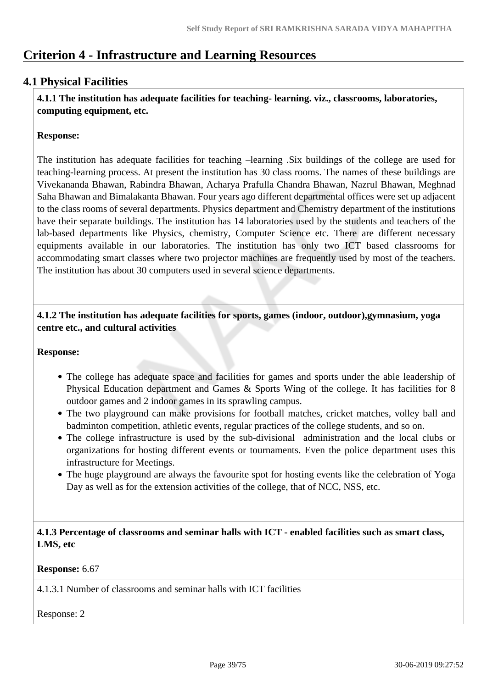# **Criterion 4 - Infrastructure and Learning Resources**

# **4.1 Physical Facilities**

 **4.1.1 The institution has adequate facilities for teaching- learning. viz., classrooms, laboratories, computing equipment, etc.**

#### **Response:**

The institution has adequate facilities for teaching –learning .Six buildings of the college are used for teaching-learning process. At present the institution has 30 class rooms. The names of these buildings are Vivekananda Bhawan, Rabindra Bhawan, Acharya Prafulla Chandra Bhawan, Nazrul Bhawan, Meghnad Saha Bhawan and Bimalakanta Bhawan. Four years ago different departmental offices were set up adjacent to the class rooms of several departments. Physics department and Chemistry department of the institutions have their separate buildings. The institution has 14 laboratories used by the students and teachers of the lab-based departments like Physics, chemistry, Computer Science etc. There are different necessary equipments available in our laboratories. The institution has only two ICT based classrooms for accommodating smart classes where two projector machines are frequently used by most of the teachers. The institution has about 30 computers used in several science departments.

 **4.1.2 The institution has adequate facilities for sports, games (indoor, outdoor),gymnasium, yoga centre etc., and cultural activities**

#### **Response:**

- The college has adequate space and facilities for games and sports under the able leadership of Physical Education department and Games & Sports Wing of the college. It has facilities for 8 outdoor games and 2 indoor games in its sprawling campus.
- The two playground can make provisions for football matches, cricket matches, volley ball and badminton competition, athletic events, regular practices of the college students, and so on.
- The college infrastructure is used by the sub-divisional administration and the local clubs or organizations for hosting different events or tournaments. Even the police department uses this infrastructure for Meetings.
- The huge playground are always the favourite spot for hosting events like the celebration of Yoga Day as well as for the extension activities of the college, that of NCC, NSS, etc.

 **4.1.3 Percentage of classrooms and seminar halls with ICT - enabled facilities such as smart class, LMS, etc**

#### **Response:** 6.67

4.1.3.1 Number of classrooms and seminar halls with ICT facilities

Response: 2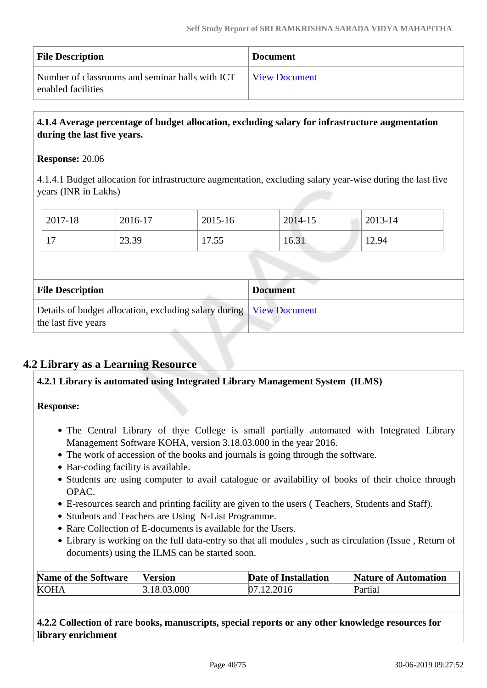| <b>File Description</b>                                               | <b>Document</b>      |
|-----------------------------------------------------------------------|----------------------|
| Number of classrooms and seminar halls with ICT<br>enabled facilities | <b>View Document</b> |

## **4.1.4 Average percentage of budget allocation, excluding salary for infrastructure augmentation during the last five years.**

#### **Response:** 20.06

4.1.4.1 Budget allocation for infrastructure augmentation, excluding salary year-wise during the last five years (INR in Lakhs)

| 2017-18                    | 2016-17 | 2015-16     | 2014-15 | 2013-14 |
|----------------------------|---------|-------------|---------|---------|
| 1 <sub>7</sub><br><b>T</b> | 23.39   | 55<br>11.JJ | 16.31   | 12.94   |

| <b>File Description</b>                                                                      | <b>Document</b> |
|----------------------------------------------------------------------------------------------|-----------------|
| Details of budget allocation, excluding salary during   View Document<br>the last five years |                 |

# **4.2 Library as a Learning Resource**

#### **4.2.1 Library is automated using Integrated Library Management System (ILMS)**

**Response:** 

- The Central Library of thye College is small partially automated with Integrated Library Management Software KOHA, version 3.18.03.000 in the year 2016.
- The work of accession of the books and journals is going through the software.
- Bar-coding facility is available.
- Students are using computer to avail catalogue or availability of books of their choice through OPAC.
- E-resources search and printing facility are given to the users ( Teachers, Students and Staff).
- Students and Teachers are Using N-List Programme.
- Rare Collection of E-documents is available for the Users.
- Library is working on the full data-entry so that all modules, such as circulation (Issue, Return of documents) using the ILMS can be started soon.

| Name of the Software | Version    | <b>Date of Installation</b> | <b>Nature of Automation</b> |
|----------------------|------------|-----------------------------|-----------------------------|
| <b>KOHA</b>          | .18.03.000 | 07.12.2016                  | Partial                     |

 **4.2.2 Collection of rare books, manuscripts, special reports or any other knowledge resources for library enrichment**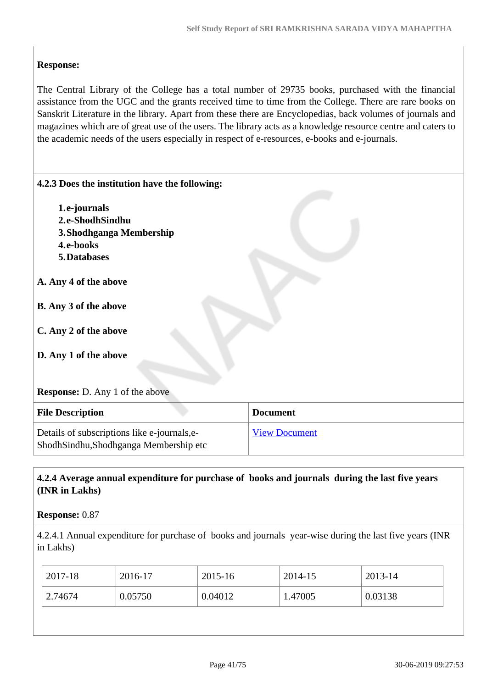# **Response:**

The Central Library of the College has a total number of 29735 books, purchased with the financial assistance from the UGC and the grants received time to time from the College. There are rare books on Sanskrit Literature in the library. Apart from these there are Encyclopedias, back volumes of journals and magazines which are of great use of the users. The library acts as a knowledge resource centre and caters to the academic needs of the users especially in respect of e-resources, e-books and e-journals.

| 4.2.3 Does the institution have the following:                                       |                      |
|--------------------------------------------------------------------------------------|----------------------|
| 1.e-journals                                                                         |                      |
| 2.e-ShodhSindhu                                                                      |                      |
| 3. Shodhganga Membership                                                             |                      |
| 4.e-books                                                                            |                      |
| 5. Databases                                                                         |                      |
| A. Any 4 of the above                                                                |                      |
| <b>B.</b> Any 3 of the above                                                         |                      |
| C. Any 2 of the above                                                                |                      |
| D. Any 1 of the above                                                                |                      |
| <b>Response:</b> D. Any 1 of the above                                               |                      |
| <b>File Description</b>                                                              | <b>Document</b>      |
| Details of subscriptions like e-journals,e-<br>ShodhSindhu,Shodhganga Membership etc | <b>View Document</b> |

# **4.2.4 Average annual expenditure for purchase of books and journals during the last five years (INR in Lakhs)**

#### **Response:** 0.87

4.2.4.1 Annual expenditure for purchase of books and journals year-wise during the last five years (INR in Lakhs)

| 2017-18 | 2016-17 | 2015-16 | 2014-15 | 2013-14 |
|---------|---------|---------|---------|---------|
| 2.74674 | 0.05750 | 0.04012 | 1.47005 | 0.03138 |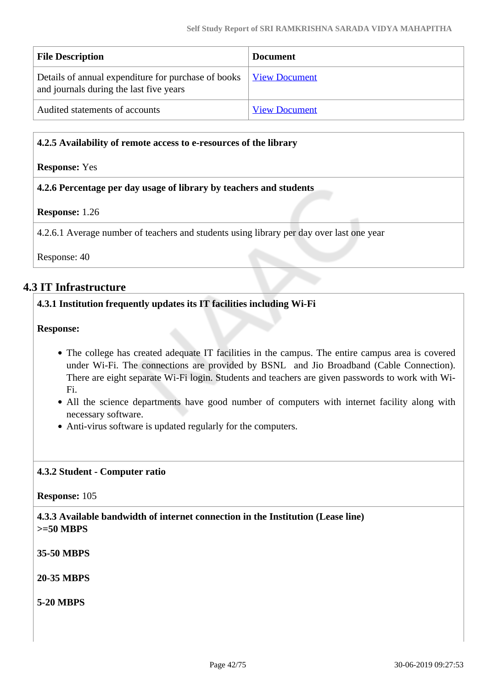| <b>File Description</b>                                                                                               | <b>Document</b>      |
|-----------------------------------------------------------------------------------------------------------------------|----------------------|
| Details of annual expenditure for purchase of books   <u>View Document</u><br>and journals during the last five years |                      |
| Audited statements of accounts                                                                                        | <b>View Document</b> |

#### **4.2.5 Availability of remote access to e-resources of the library**

#### **Response:** Yes

#### **4.2.6 Percentage per day usage of library by teachers and students**

#### **Response:** 1.26

4.2.6.1 Average number of teachers and students using library per day over last one year

Response: 40

## **4.3 IT Infrastructure**

#### **4.3.1 Institution frequently updates its IT facilities including Wi-Fi**

**Response:** 

- The college has created adequate IT facilities in the campus. The entire campus area is covered under Wi-Fi. The connections are provided by BSNL and Jio Broadband (Cable Connection). There are eight separate Wi-Fi login. Students and teachers are given passwords to work with Wi-Fi.
- All the science departments have good number of computers with internet facility along with necessary software.
- Anti-virus software is updated regularly for the computers.

#### **4.3.2 Student - Computer ratio**

**Response:** 105

 **4.3.3 Available bandwidth of internet connection in the Institution (Lease line) >=50 MBPS**

**35-50 MBPS**

**20-35 MBPS**

**5-20 MBPS**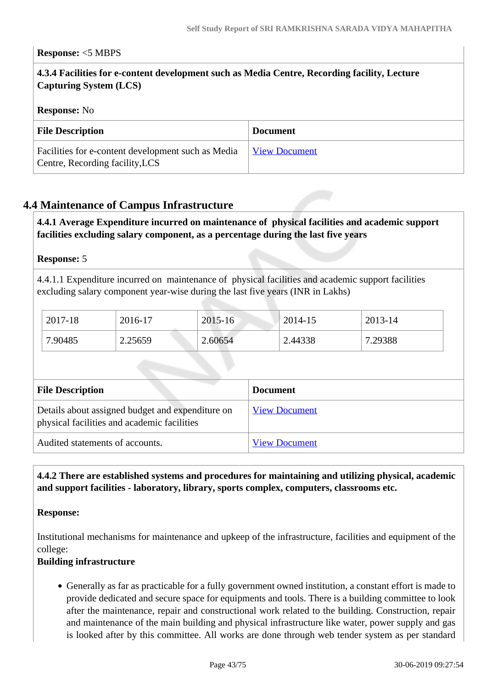#### **Response:** <5 MBPS

# **4.3.4 Facilities for e-content development such as Media Centre, Recording facility, Lecture Capturing System (LCS)**

#### **Response:** No

| <b>File Description</b>                                                               | <b>Document</b>      |
|---------------------------------------------------------------------------------------|----------------------|
| Facilities for e-content development such as Media<br>Centre, Recording facility, LCS | <b>View Document</b> |

## **4.4 Maintenance of Campus Infrastructure**

#### **4.4.1 Average Expenditure incurred on maintenance of physical facilities and academic support facilities excluding salary component, as a percentage during the last five years**

#### **Response:** 5

4.4.1.1 Expenditure incurred on maintenance of physical facilities and academic support facilities excluding salary component year-wise during the last five years (INR in Lakhs)

| 2017-18 | 2016-17 | 2015-16 | $2014 - 15$ | 2013-14 |
|---------|---------|---------|-------------|---------|
| 7.90485 | 2.25659 | 2.60654 | 2.44338     | 7.29388 |

| <b>File Description</b>                                                                         | <b>Document</b>      |
|-------------------------------------------------------------------------------------------------|----------------------|
| Details about assigned budget and expenditure on<br>physical facilities and academic facilities | <b>View Document</b> |
| Audited statements of accounts.                                                                 | <b>View Document</b> |

# **4.4.2 There are established systems and procedures for maintaining and utilizing physical, academic and support facilities - laboratory, library, sports complex, computers, classrooms etc.**

#### **Response:**

Institutional mechanisms for maintenance and upkeep of the infrastructure, facilities and equipment of the college:

#### **Building infrastructure**

Generally as far as practicable for a fully government owned institution, a constant effort is made to provide dedicated and secure space for equipments and tools. There is a building committee to look after the maintenance, repair and constructional work related to the building. Construction, repair and maintenance of the main building and physical infrastructure like water, power supply and gas is looked after by this committee. All works are done through web tender system as per standard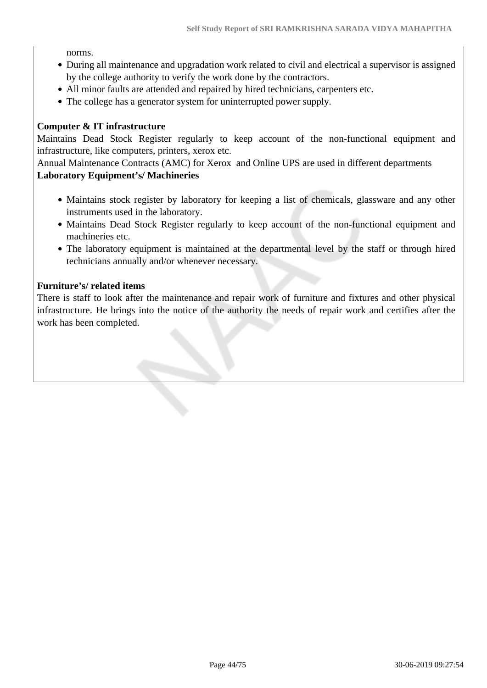norms.

- During all maintenance and upgradation work related to civil and electrical a supervisor is assigned by the college authority to verify the work done by the contractors.
- All minor faults are attended and repaired by hired technicians, carpenters etc.
- The college has a generator system for uninterrupted power supply.

#### **Computer & IT infrastructure**

Maintains Dead Stock Register regularly to keep account of the non-functional equipment and infrastructure, like computers, printers, xerox etc.

Annual Maintenance Contracts (AMC) for Xerox and Online UPS are used in different departments

# **Laboratory Equipment's/ Machineries**

- Maintains stock register by laboratory for keeping a list of chemicals, glassware and any other instruments used in the laboratory.
- Maintains Dead Stock Register regularly to keep account of the non-functional equipment and machineries etc.
- The laboratory equipment is maintained at the departmental level by the staff or through hired technicians annually and/or whenever necessary.

#### **Furniture's/ related items**

There is staff to look after the maintenance and repair work of furniture and fixtures and other physical infrastructure. He brings into the notice of the authority the needs of repair work and certifies after the work has been completed.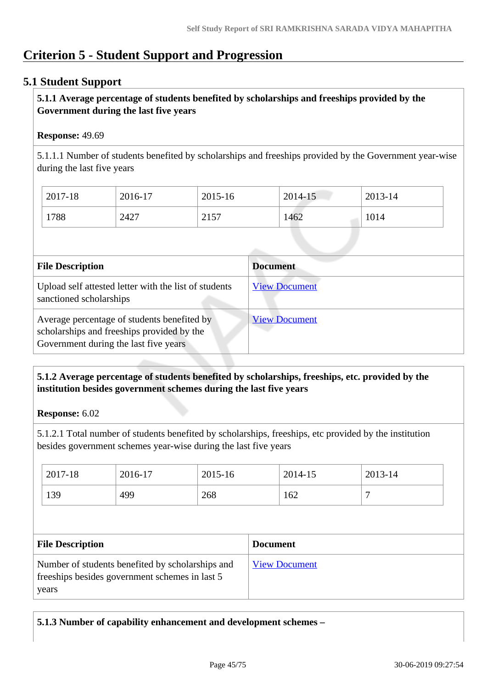# **Criterion 5 - Student Support and Progression**

# **5.1 Student Support**

# **5.1.1 Average percentage of students benefited by scholarships and freeships provided by the Government during the last five years**

#### **Response:** 49.69

5.1.1.1 Number of students benefited by scholarships and freeships provided by the Government year-wise during the last five years

| 2017-18 | 2016-17 | 2015-16 | 2014-15 | 2013-14 |
|---------|---------|---------|---------|---------|
| 1788    | 2427    | 2157    | 1462    | 1014    |

| <b>File Description</b>                                                                                                            | <b>Document</b>      |
|------------------------------------------------------------------------------------------------------------------------------------|----------------------|
| Upload self attested letter with the list of students<br>sanctioned scholarships                                                   | <b>View Document</b> |
| Average percentage of students benefited by<br>scholarships and freeships provided by the<br>Government during the last five years | <b>View Document</b> |

# **5.1.2 Average percentage of students benefited by scholarships, freeships, etc. provided by the institution besides government schemes during the last five years**

**Response:** 6.02

5.1.2.1 Total number of students benefited by scholarships, freeships, etc provided by the institution besides government schemes year-wise during the last five years

| 2017-18 | 2016-17 | 2015-16 | 2014-15 | 2013-14 |
|---------|---------|---------|---------|---------|
| 139     | 499     | 268     | 162     |         |

| <b>File Description</b>                                                                                      | <b>Document</b>      |
|--------------------------------------------------------------------------------------------------------------|----------------------|
| Number of students benefited by scholarships and<br>free ships besides government schemes in last 5<br>years | <b>View Document</b> |

**5.1.3 Number of capability enhancement and development schemes –**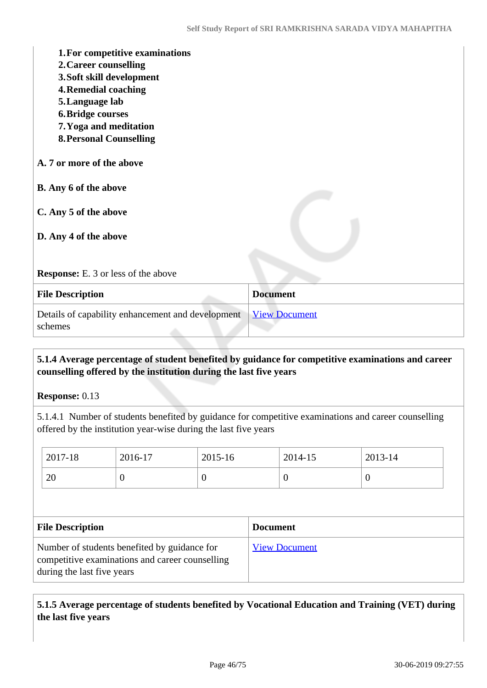| 1. For competitive examinations<br>2. Career counselling<br>3. Soft skill development<br><b>4. Remedial coaching</b><br>5. Language lab<br><b>6. Bridge courses</b><br>7. Yoga and meditation<br><b>8. Personal Counselling</b> |                      |
|---------------------------------------------------------------------------------------------------------------------------------------------------------------------------------------------------------------------------------|----------------------|
| A. 7 or more of the above                                                                                                                                                                                                       |                      |
| <b>B.</b> Any 6 of the above                                                                                                                                                                                                    |                      |
| C. Any 5 of the above                                                                                                                                                                                                           |                      |
| D. Any 4 of the above                                                                                                                                                                                                           |                      |
| <b>Response:</b> E. 3 or less of the above                                                                                                                                                                                      |                      |
| <b>File Description</b>                                                                                                                                                                                                         | <b>Document</b>      |
| Details of capability enhancement and development<br>schemes                                                                                                                                                                    | <b>View Document</b> |

## **5.1.4 Average percentage of student benefited by guidance for competitive examinations and career counselling offered by the institution during the last five years**

**Response:** 0.13

5.1.4.1 Number of students benefited by guidance for competitive examinations and career counselling offered by the institution year-wise during the last five years

| 2017-18                                                                                                                       | 2016-17  | 2015-16  | 2014-15              | 2013-14          |  |  |  |
|-------------------------------------------------------------------------------------------------------------------------------|----------|----------|----------------------|------------------|--|--|--|
| 20                                                                                                                            | $\theta$ | $\Omega$ | $\theta$             | $\boldsymbol{0}$ |  |  |  |
|                                                                                                                               |          |          |                      |                  |  |  |  |
| <b>File Description</b><br><b>Document</b>                                                                                    |          |          |                      |                  |  |  |  |
| Number of students benefited by guidance for<br>competitive examinations and career counselling<br>during the last five years |          |          | <b>View Document</b> |                  |  |  |  |

 **5.1.5 Average percentage of students benefited by Vocational Education and Training (VET) during the last five years**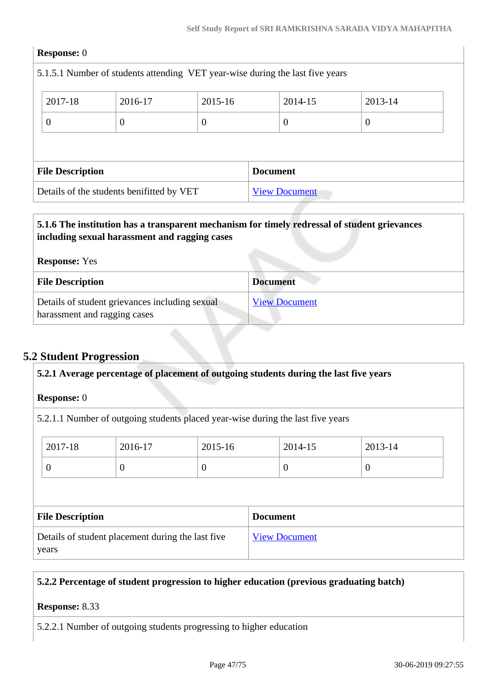|                                                     | <b>Response:</b> 0                                                            |          |          |  |          |          |  |  |  |
|-----------------------------------------------------|-------------------------------------------------------------------------------|----------|----------|--|----------|----------|--|--|--|
|                                                     | 5.1.5.1 Number of students attending VET year-wise during the last five years |          |          |  |          |          |  |  |  |
| 2017-18<br>2015-16<br>2014-15<br>2013-14<br>2016-17 |                                                                               |          |          |  |          |          |  |  |  |
|                                                     | $\overline{0}$                                                                | $\theta$ | $\theta$ |  | $\theta$ | $\theta$ |  |  |  |
|                                                     |                                                                               |          |          |  |          |          |  |  |  |
|                                                     | <b>File Description</b><br><b>Document</b>                                    |          |          |  |          |          |  |  |  |
|                                                     | Details of the students benifitted by VET<br><b>View Document</b>             |          |          |  |          |          |  |  |  |
|                                                     |                                                                               |          |          |  |          |          |  |  |  |

# **5.1.6 The institution has a transparent mechanism for timely redressal of student grievances including sexual harassment and ragging cases**

| <b>Response:</b> Yes                                                           |                      |  |
|--------------------------------------------------------------------------------|----------------------|--|
| <b>File Description</b>                                                        | <b>Document</b>      |  |
| Details of student grievances including sexual<br>harassment and ragging cases | <b>View Document</b> |  |

# **5.2 Student Progression**

| <b>Response:</b> 0      |                                                   |                |                                                                                 |          |  |  |  |  |
|-------------------------|---------------------------------------------------|----------------|---------------------------------------------------------------------------------|----------|--|--|--|--|
|                         |                                                   |                | 5.2.1.1 Number of outgoing students placed year-wise during the last five years |          |  |  |  |  |
| 2017-18                 | 2016-17                                           | 2015-16        | 2014-15                                                                         | 2013-14  |  |  |  |  |
| $\overline{0}$          | $\overline{0}$                                    | $\overline{0}$ | $\overline{0}$                                                                  | $\theta$ |  |  |  |  |
|                         |                                                   |                |                                                                                 |          |  |  |  |  |
|                         |                                                   |                | <b>Document</b>                                                                 |          |  |  |  |  |
| <b>File Description</b> | Details of student placement during the last five |                |                                                                                 |          |  |  |  |  |
|                         |                                                   |                | <b>View Document</b>                                                            |          |  |  |  |  |

# **5.2.2 Percentage of student progression to higher education (previous graduating batch)**

#### **Response:** 8.33

5.2.2.1 Number of outgoing students progressing to higher education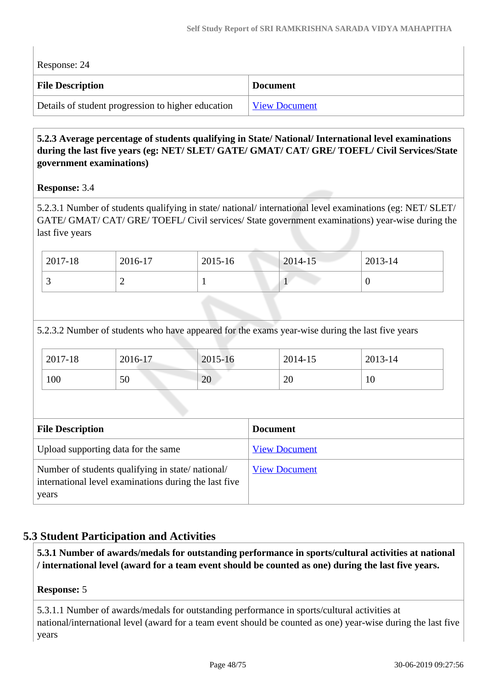| Response: 24                                       |                      |  |  |  |
|----------------------------------------------------|----------------------|--|--|--|
| <b>File Description</b>                            | <b>Document</b>      |  |  |  |
| Details of student progression to higher education | <b>View Document</b> |  |  |  |

# **5.2.3 Average percentage of students qualifying in State/ National/ International level examinations during the last five years (eg: NET/ SLET/ GATE/ GMAT/ CAT/ GRE/ TOEFL/ Civil Services/State government examinations)**

# **Response:** 3.4

5.2.3.1 Number of students qualifying in state/ national/ international level examinations (eg: NET/ SLET/ GATE/ GMAT/ CAT/ GRE/ TOEFL/ Civil services/ State government examinations) year-wise during the last five years

| $12017 - 18$ | 2016-17 | $2015 - 16$ | $2014 - 15$ | $2013 - 14$ |
|--------------|---------|-------------|-------------|-------------|
|              | -       |             |             |             |

5.2.3.2 Number of students who have appeared for the exams year-wise during the last five years

| 2017-18 | 2016-17 | 2015-16 | 2014-15          | 2013-14 |
|---------|---------|---------|------------------|---------|
| 100     | 50      | 20      | or<br>$\angle U$ | 10      |

| <b>File Description</b>                                                                                            | <b>Document</b>      |
|--------------------------------------------------------------------------------------------------------------------|----------------------|
| Upload supporting data for the same                                                                                | <b>View Document</b> |
| Number of students qualifying in state/national/<br>international level examinations during the last five<br>years | <b>View Document</b> |

# **5.3 Student Participation and Activities**

 **5.3.1 Number of awards/medals for outstanding performance in sports/cultural activities at national / international level (award for a team event should be counted as one) during the last five years.**

# **Response:** 5

5.3.1.1 Number of awards/medals for outstanding performance in sports/cultural activities at national/international level (award for a team event should be counted as one) year-wise during the last five years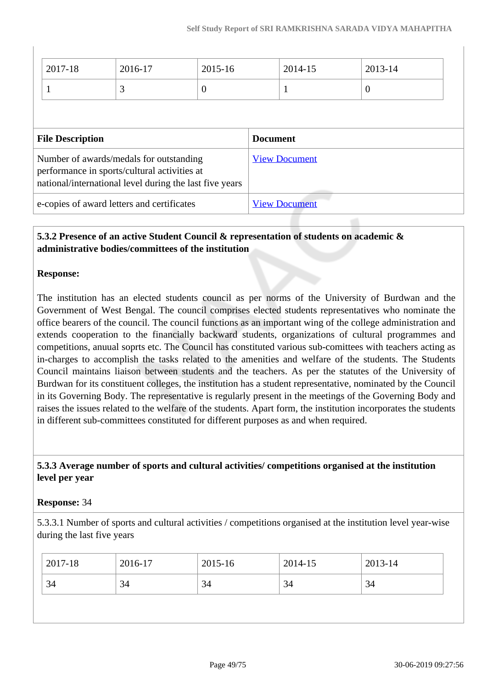|                                            | 2017-18                                                                                                                                            | 2016-17 | $2015 - 16$     |                      | 2014-15              | 2013-14        |
|--------------------------------------------|----------------------------------------------------------------------------------------------------------------------------------------------------|---------|-----------------|----------------------|----------------------|----------------|
|                                            |                                                                                                                                                    | 3       | $\overline{0}$  |                      | 1                    | $\overline{0}$ |
|                                            |                                                                                                                                                    |         |                 |                      |                      |                |
| <b>File Description</b>                    |                                                                                                                                                    |         | <b>Document</b> |                      |                      |                |
|                                            | Number of awards/medals for outstanding<br>performance in sports/cultural activities at<br>national/international level during the last five years |         |                 |                      | <b>View Document</b> |                |
| e-copies of award letters and certificates |                                                                                                                                                    |         |                 | <b>View Document</b> |                      |                |

# **5.3.2 Presence of an active Student Council & representation of students on academic & administrative bodies/committees of the institution**

#### **Response:**

The institution has an elected students council as per norms of the University of Burdwan and the Government of West Bengal. The council comprises elected students representatives who nominate the office bearers of the council. The council functions as an important wing of the college administration and extends cooperation to the financially backward students, organizations of cultural programmes and competitions, anuual soprts etc. The Council has constituted various sub-comittees with teachers acting as in-charges to accomplish the tasks related to the amenities and welfare of the students. The Students Council maintains liaison between students and the teachers. As per the statutes of the University of Burdwan for its constituent colleges, the institution has a student representative, nominated by the Council in its Governing Body. The representative is regularly present in the meetings of the Governing Body and raises the issues related to the welfare of the students. Apart form, the institution incorporates the students in different sub-committees constituted for different purposes as and when required.

## **5.3.3 Average number of sports and cultural activities/ competitions organised at the institution level per year**

#### **Response:** 34

5.3.3.1 Number of sports and cultural activities / competitions organised at the institution level year-wise during the last five years

|                            |  | 2013-14 | 2014-15 | 2015-16 | 2016-17 | 2017-18 |
|----------------------------|--|---------|---------|---------|---------|---------|
| 34<br>34<br>34<br>34<br>34 |  |         |         |         |         |         |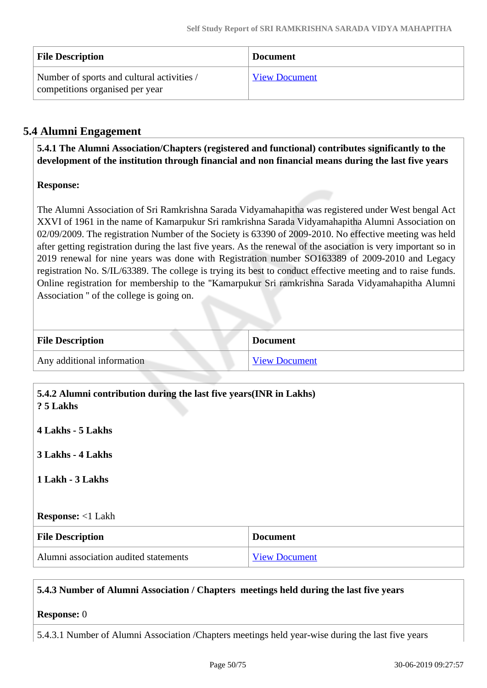| <b>File Description</b>                                                       | <b>Document</b>      |
|-------------------------------------------------------------------------------|----------------------|
| Number of sports and cultural activities /<br>competitions organised per year | <b>View Document</b> |

# **5.4 Alumni Engagement**

 **5.4.1 The Alumni Association/Chapters (registered and functional) contributes significantly to the development of the institution through financial and non financial means during the last five years**

# **Response:**

The Alumni Association of Sri Ramkrishna Sarada Vidyamahapitha was registered under West bengal Act XXVI of 1961 in the name of Kamarpukur Sri ramkrishna Sarada Vidyamahapitha Alumni Association on 02/09/2009. The registration Number of the Society is 63390 of 2009-2010. No effective meeting was held after getting registration during the last five years. As the renewal of the asociation is very important so in 2019 renewal for nine years was done with Registration number SO163389 of 2009-2010 and Legacy registration No. S/IL/63389. The college is trying its best to conduct effective meeting and to raise funds. Online registration for membership to the ''Kamarpukur Sri ramkrishna Sarada Vidyamahapitha Alumni Association '' of the college is going on.

| <b>File Description</b>    | <b>Document</b>      |
|----------------------------|----------------------|
| Any additional information | <b>View Document</b> |

| 5.4.2 Alumni contribution during the last five years(INR in Lakhs)<br>? 5 Lakhs |                      |  |  |  |
|---------------------------------------------------------------------------------|----------------------|--|--|--|
| 4 Lakhs - 5 Lakhs                                                               |                      |  |  |  |
| 3 Lakhs - 4 Lakhs                                                               |                      |  |  |  |
| 1 Lakh - 3 Lakhs                                                                |                      |  |  |  |
| <b>Response:</b> <1 Lakh                                                        |                      |  |  |  |
| <b>File Description</b>                                                         | <b>Document</b>      |  |  |  |
| Alumni association audited statements                                           | <b>View Document</b> |  |  |  |

# **5.4.3 Number of Alumni Association / Chapters meetings held during the last five years**

#### **Response:** 0

5.4.3.1 Number of Alumni Association /Chapters meetings held year-wise during the last five years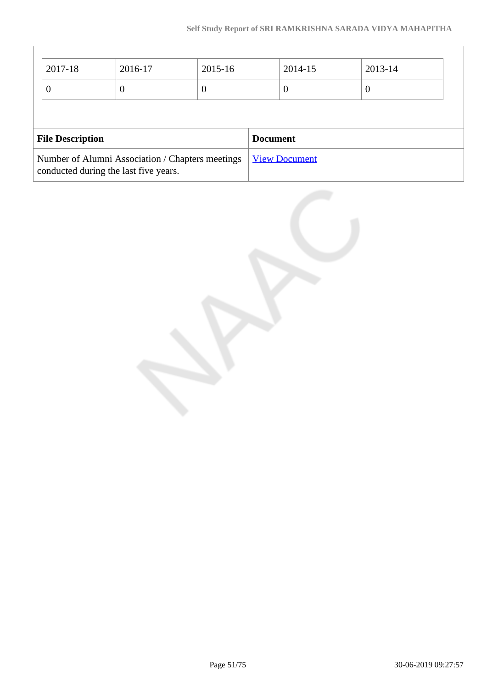$\overline{\phantom{a}}$ 

| 2017-18                                                                                   | 2016-17         | 2015-16          |  | 2014-15              | 2013-14          |  |
|-------------------------------------------------------------------------------------------|-----------------|------------------|--|----------------------|------------------|--|
| $\theta$                                                                                  | $\theta$        | $\boldsymbol{0}$ |  | $\theta$             | $\boldsymbol{0}$ |  |
|                                                                                           |                 |                  |  |                      |                  |  |
| <b>File Description</b>                                                                   | <b>Document</b> |                  |  |                      |                  |  |
| Number of Alumni Association / Chapters meetings<br>conducted during the last five years. |                 |                  |  | <b>View Document</b> |                  |  |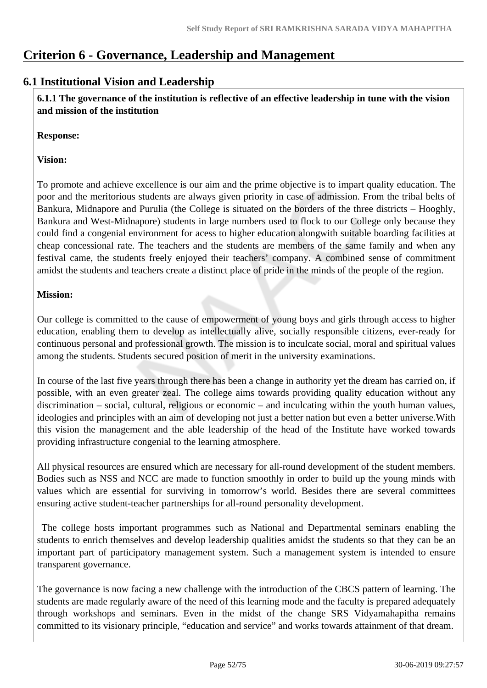# **Criterion 6 - Governance, Leadership and Management**

# **6.1 Institutional Vision and Leadership**

 **6.1.1 The governance of the institution is reflective of an effective leadership in tune with the vision and mission of the institution**

#### **Response:**

#### **Vision:**

To promote and achieve excellence is our aim and the prime objective is to impart quality education. The poor and the meritorious students are always given priority in case of admission. From the tribal belts of Bankura, Midnapore and Purulia (the College is situated on the borders of the three districts – Hooghly, Bankura and West-Midnapore) students in large numbers used to flock to our College only because they could find a congenial environment for acess to higher education alongwith suitable boarding facilities at cheap concessional rate. The teachers and the students are members of the same family and when any festival came, the students freely enjoyed their teachers' company. A combined sense of commitment amidst the students and teachers create a distinct place of pride in the minds of the people of the region.

#### **Mission:**

Our college is committed to the cause of empowerment of young boys and girls through access to higher education, enabling them to develop as intellectually alive, socially responsible citizens, ever-ready for continuous personal and professional growth. The mission is to inculcate social, moral and spiritual values among the students. Students secured position of merit in the university examinations.

In course of the last five years through there has been a change in authority yet the dream has carried on, if possible, with an even greater zeal. The college aims towards providing quality education without any discrimination – social, cultural, religious or economic – and inculcating within the youth human values, ideologies and principles with an aim of developing not just a better nation but even a better universe.With this vision the management and the able leadership of the head of the Institute have worked towards providing infrastructure congenial to the learning atmosphere.

All physical resources are ensured which are necessary for all-round development of the student members. Bodies such as NSS and NCC are made to function smoothly in order to build up the young minds with values which are essential for surviving in tomorrow's world. Besides there are several committees ensuring active student-teacher partnerships for all-round personality development.

 The college hosts important programmes such as National and Departmental seminars enabling the students to enrich themselves and develop leadership qualities amidst the students so that they can be an important part of participatory management system. Such a management system is intended to ensure transparent governance.

The governance is now facing a new challenge with the introduction of the CBCS pattern of learning. The students are made regularly aware of the need of this learning mode and the faculty is prepared adequately through workshops and seminars. Even in the midst of the change SRS Vidyamahapitha remains committed to its visionary principle, "education and service" and works towards attainment of that dream.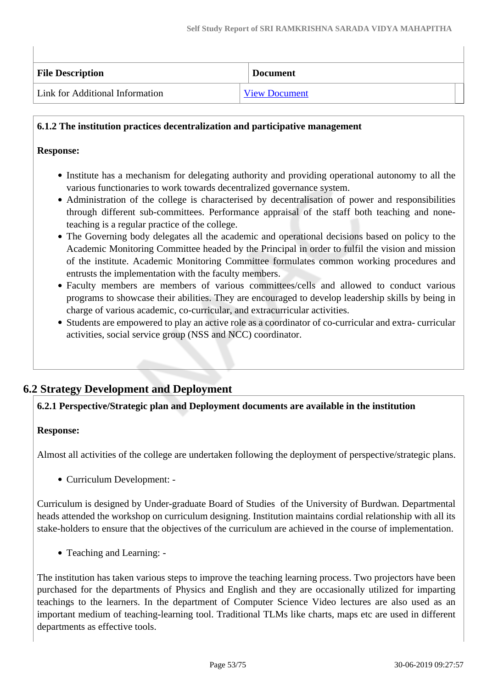| <b>File Description</b>         | <b>Document</b>      |
|---------------------------------|----------------------|
| Link for Additional Information | <b>View Document</b> |

#### **6.1.2 The institution practices decentralization and participative management**

#### **Response:**

- Institute has a mechanism for delegating authority and providing operational autonomy to all the various functionaries to work towards decentralized governance system.
- Administration of the college is characterised by decentralisation of power and responsibilities through different sub-committees. Performance appraisal of the staff both teaching and noneteaching is a regular practice of the college.
- The Governing body delegates all the academic and operational decisions based on policy to the Academic Monitoring Committee headed by the Principal in order to fulfil the vision and mission of the institute. Academic Monitoring Committee formulates common working procedures and entrusts the implementation with the faculty members.
- Faculty members are members of various committees/cells and allowed to conduct various programs to showcase their abilities. They are encouraged to develop leadership skills by being in charge of various academic, co-curricular, and extracurricular activities.
- Students are empowered to play an active role as a coordinator of co-curricular and extra- curricular activities, social service group (NSS and NCC) coordinator.

# **6.2 Strategy Development and Deployment**

# **6.2.1 Perspective/Strategic plan and Deployment documents are available in the institution**

#### **Response:**

Almost all activities of the college are undertaken following the deployment of perspective/strategic plans.

• Curriculum Development: -

Curriculum is designed by Under-graduate Board of Studies of the University of Burdwan. Departmental heads attended the workshop on curriculum designing. Institution maintains cordial relationship with all its stake-holders to ensure that the objectives of the curriculum are achieved in the course of implementation.

• Teaching and Learning: -

The institution has taken various steps to improve the teaching learning process. Two projectors have been purchased for the departments of Physics and English and they are occasionally utilized for imparting teachings to the learners. In the department of Computer Science Video lectures are also used as an important medium of teaching-learning tool. Traditional TLMs like charts, maps etc are used in different departments as effective tools.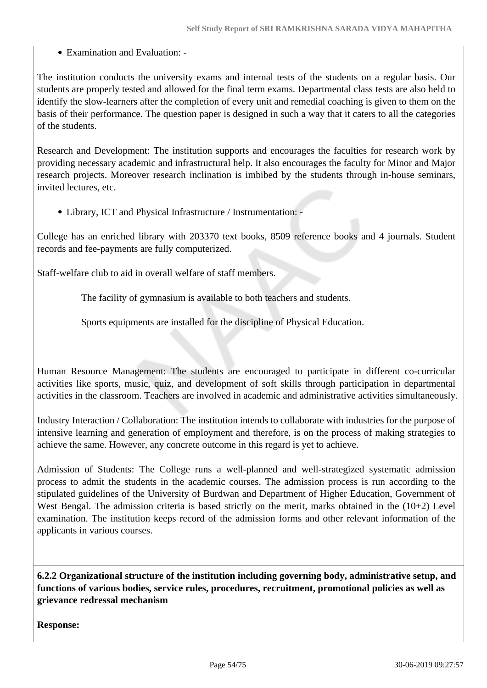Examination and Evaluation: -

The institution conducts the university exams and internal tests of the students on a regular basis. Our students are properly tested and allowed for the final term exams. Departmental class tests are also held to identify the slow-learners after the completion of every unit and remedial coaching is given to them on the basis of their performance. The question paper is designed in such a way that it caters to all the categories of the students.

Research and Development: The institution supports and encourages the faculties for research work by providing necessary academic and infrastructural help. It also encourages the faculty for Minor and Major research projects. Moreover research inclination is imbibed by the students through in-house seminars, invited lectures, etc.

Library, ICT and Physical Infrastructure / Instrumentation: -

College has an enriched library with 203370 text books, 8509 reference books and 4 journals. Student records and fee-payments are fully computerized.

Staff-welfare club to aid in overall welfare of staff members.

The facility of gymnasium is available to both teachers and students.

Sports equipments are installed for the discipline of Physical Education.

Human Resource Management: The students are encouraged to participate in different co-curricular activities like sports, music, quiz, and development of soft skills through participation in departmental activities in the classroom. Teachers are involved in academic and administrative activities simultaneously.

Industry Interaction / Collaboration: The institution intends to collaborate with industries for the purpose of intensive learning and generation of employment and therefore, is on the process of making strategies to achieve the same. However, any concrete outcome in this regard is yet to achieve.

Admission of Students: The College runs a well-planned and well-strategized systematic admission process to admit the students in the academic courses. The admission process is run according to the stipulated guidelines of the University of Burdwan and Department of Higher Education, Government of West Bengal. The admission criteria is based strictly on the merit, marks obtained in the  $(10+2)$  Level examination. The institution keeps record of the admission forms and other relevant information of the applicants in various courses.

 **6.2.2 Organizational structure of the institution including governing body, administrative setup, and functions of various bodies, service rules, procedures, recruitment, promotional policies as well as grievance redressal mechanism**

**Response:**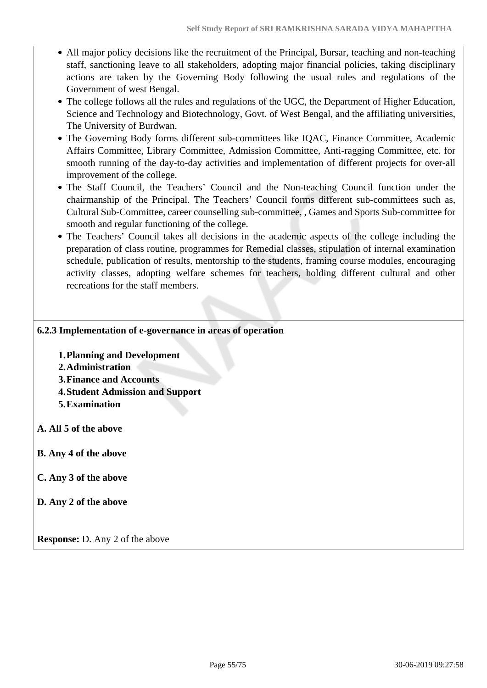- All major policy decisions like the recruitment of the Principal, Bursar, teaching and non-teaching staff, sanctioning leave to all stakeholders, adopting major financial policies, taking disciplinary actions are taken by the Governing Body following the usual rules and regulations of the Government of west Bengal.
- The college follows all the rules and regulations of the UGC, the Department of Higher Education, Science and Technology and Biotechnology, Govt. of West Bengal, and the affiliating universities, The University of Burdwan.
- The Governing Body forms different sub-committees like IQAC, Finance Committee, Academic Affairs Committee, Library Committee, Admission Committee, Anti-ragging Committee, etc. for smooth running of the day-to-day activities and implementation of different projects for over-all improvement of the college.
- The Staff Council, the Teachers' Council and the Non-teaching Council function under the chairmanship of the Principal. The Teachers' Council forms different sub-committees such as, Cultural Sub-Committee, career counselling sub-committee, , Games and Sports Sub-committee for smooth and regular functioning of the college.
- The Teachers' Council takes all decisions in the academic aspects of the college including the preparation of class routine, programmes for Remedial classes, stipulation of internal examination schedule, publication of results, mentorship to the students, framing course modules, encouraging activity classes, adopting welfare schemes for teachers, holding different cultural and other recreations for the staff members.

#### **6.2.3 Implementation of e-governance in areas of operation**

- **1.Planning and Development**
- **2.Administration**
- **3.Finance and Accounts**
- **4.Student Admission and Support**
- **5.Examination**
- **A. All 5 of the above**
- **B. Any 4 of the above**
- **C. Any 3 of the above**
- **D. Any 2 of the above**

**Response:** D. Any 2 of the above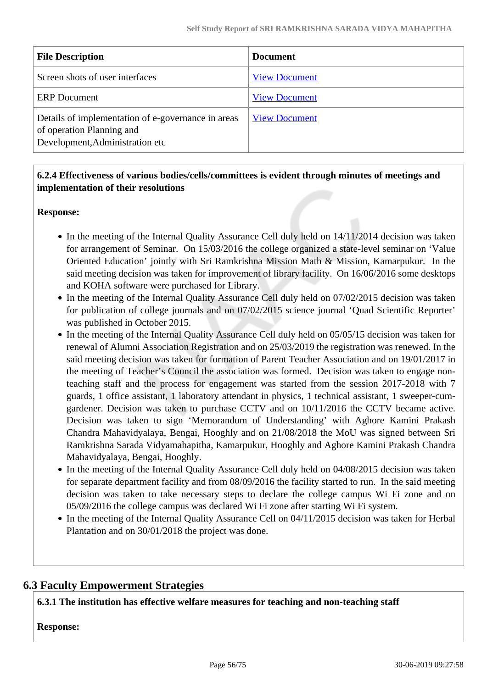| <b>File Description</b>                                                                                            | <b>Document</b>      |
|--------------------------------------------------------------------------------------------------------------------|----------------------|
| Screen shots of user interfaces                                                                                    | <b>View Document</b> |
| <b>ERP</b> Document                                                                                                | <b>View Document</b> |
| Details of implementation of e-governance in areas<br>of operation Planning and<br>Development, Administration etc | <b>View Document</b> |

# **6.2.4 Effectiveness of various bodies/cells/committees is evident through minutes of meetings and implementation of their resolutions**

#### **Response:**

- In the meeting of the Internal Quality Assurance Cell duly held on 14/11/2014 decision was taken for arrangement of Seminar. On 15/03/2016 the college organized a state-level seminar on 'Value Oriented Education' jointly with Sri Ramkrishna Mission Math & Mission, Kamarpukur. In the said meeting decision was taken for improvement of library facility. On 16/06/2016 some desktops and KOHA software were purchased for Library.
- In the meeting of the Internal Quality Assurance Cell duly held on 07/02/2015 decision was taken for publication of college journals and on 07/02/2015 science journal 'Quad Scientific Reporter' was published in October 2015.
- In the meeting of the Internal Quality Assurance Cell duly held on 05/05/15 decision was taken for renewal of Alumni Association Registration and on 25/03/2019 the registration was renewed. In the said meeting decision was taken for formation of Parent Teacher Association and on 19/01/2017 in the meeting of Teacher's Council the association was formed. Decision was taken to engage nonteaching staff and the process for engagement was started from the session 2017-2018 with 7 guards, 1 office assistant, 1 laboratory attendant in physics, 1 technical assistant, 1 sweeper-cumgardener. Decision was taken to purchase CCTV and on 10/11/2016 the CCTV became active. Decision was taken to sign 'Memorandum of Understanding' with Aghore Kamini Prakash Chandra Mahavidyalaya, Bengai, Hooghly and on 21/08/2018 the MoU was signed between Sri Ramkrishna Sarada Vidyamahapitha, Kamarpukur, Hooghly and Aghore Kamini Prakash Chandra Mahavidyalaya, Bengai, Hooghly.
- In the meeting of the Internal Quality Assurance Cell duly held on 04/08/2015 decision was taken for separate department facility and from 08/09/2016 the facility started to run. In the said meeting decision was taken to take necessary steps to declare the college campus Wi Fi zone and on 05/09/2016 the college campus was declared Wi Fi zone after starting Wi Fi system.
- In the meeting of the Internal Quality Assurance Cell on 04/11/2015 decision was taken for Herbal Plantation and on 30/01/2018 the project was done.

# **6.3 Faculty Empowerment Strategies**

**6.3.1 The institution has effective welfare measures for teaching and non-teaching staff**

**Response:**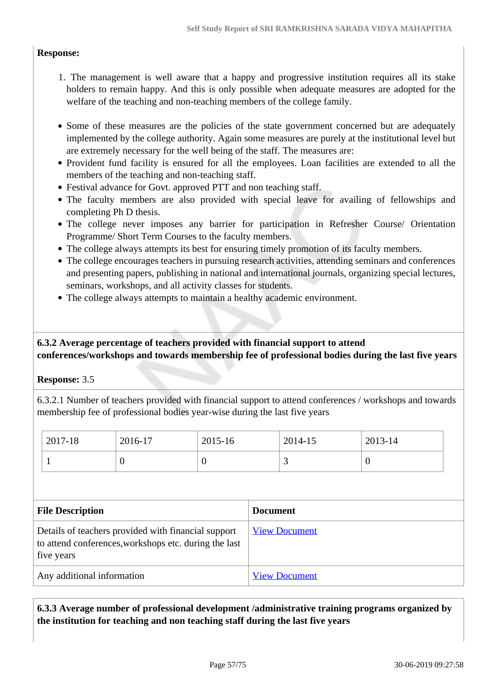#### **Response:**

- 1. The management is well aware that a happy and progressive institution requires all its stake holders to remain happy. And this is only possible when adequate measures are adopted for the welfare of the teaching and non-teaching members of the college family.
- Some of these measures are the policies of the state government concerned but are adequately implemented by the college authority. Again some measures are purely at the institutional level but are extremely necessary for the well being of the staff. The measures are:
- Provident fund facility is ensured for all the employees. Loan facilities are extended to all the members of the teaching and non-teaching staff.
- Festival advance for Govt. approved PTT and non teaching staff.
- The faculty members are also provided with special leave for availing of fellowships and completing Ph D thesis.
- The college never imposes any barrier for participation in Refresher Course/ Orientation Programme/ Short Term Courses to the faculty members.
- The college always attempts its best for ensuring timely promotion of its faculty members.
- The college encourages teachers in pursuing research activities, attending seminars and conferences and presenting papers, publishing in national and international journals, organizing special lectures, seminars, workshops, and all activity classes for students.
- The college always attempts to maintain a healthy academic environment.

## **6.3.2 Average percentage of teachers provided with financial support to attend conferences/workshops and towards membership fee of professional bodies during the last five years**

#### **Response:** 3.5

6.3.2.1 Number of teachers provided with financial support to attend conferences / workshops and towards membership fee of professional bodies year-wise during the last five years

| 2017-18 | 2016-17 | 2015-16 | 2014-15 | 2013-14 |
|---------|---------|---------|---------|---------|
|         | ິ       | ν       | ັ       | ν       |

| <b>File Description</b>                                                                                                    | <b>Document</b>      |
|----------------------------------------------------------------------------------------------------------------------------|----------------------|
| Details of teachers provided with financial support<br>to attend conferences, workshops etc. during the last<br>five years | <b>View Document</b> |
| Any additional information                                                                                                 | <b>View Document</b> |

 **6.3.3 Average number of professional development /administrative training programs organized by the institution for teaching and non teaching staff during the last five years**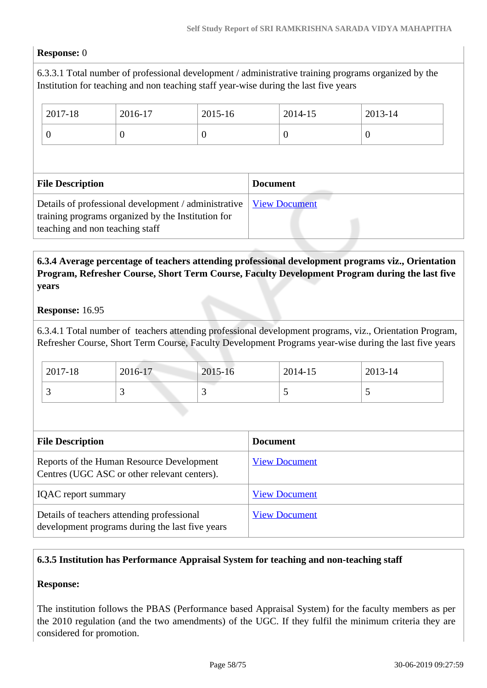#### **Response:** 0

6.3.3.1 Total number of professional development / administrative training programs organized by the Institution for teaching and non teaching staff year-wise during the last five years

| 2017-18                                                                                                                                       | 2016-17  | 2015-16              |                 | 2014-15  | 2013-14  |
|-----------------------------------------------------------------------------------------------------------------------------------------------|----------|----------------------|-----------------|----------|----------|
| $\theta$                                                                                                                                      | $\theta$ | $\theta$             |                 | $\theta$ | $\theta$ |
|                                                                                                                                               |          |                      |                 |          |          |
| <b>File Description</b>                                                                                                                       |          |                      | <b>Document</b> |          |          |
| Details of professional development / administrative<br>training programs organized by the Institution for<br>teaching and non teaching staff |          | <b>View Document</b> |                 |          |          |

## **6.3.4 Average percentage of teachers attending professional development programs viz., Orientation Program, Refresher Course, Short Term Course, Faculty Development Program during the last five years**

#### **Response:** 16.95

6.3.4.1 Total number of teachers attending professional development programs, viz., Orientation Program, Refresher Course, Short Term Course, Faculty Development Programs year-wise during the last five years

| 2017-18 | 2016-17 | 2015-16 | 2014-15 | 2013-14 |
|---------|---------|---------|---------|---------|
|         |         | ັ       |         |         |

| <b>File Description</b>                                                                       | <b>Document</b>      |
|-----------------------------------------------------------------------------------------------|----------------------|
| Reports of the Human Resource Development<br>Centres (UGC ASC or other relevant centers).     | <b>View Document</b> |
| <b>IQAC</b> report summary                                                                    | <b>View Document</b> |
| Details of teachers attending professional<br>development programs during the last five years | <b>View Document</b> |

#### **6.3.5 Institution has Performance Appraisal System for teaching and non-teaching staff**

#### **Response:**

The institution follows the PBAS (Performance based Appraisal System) for the faculty members as per the 2010 regulation (and the two amendments) of the UGC. If they fulfil the minimum criteria they are considered for promotion.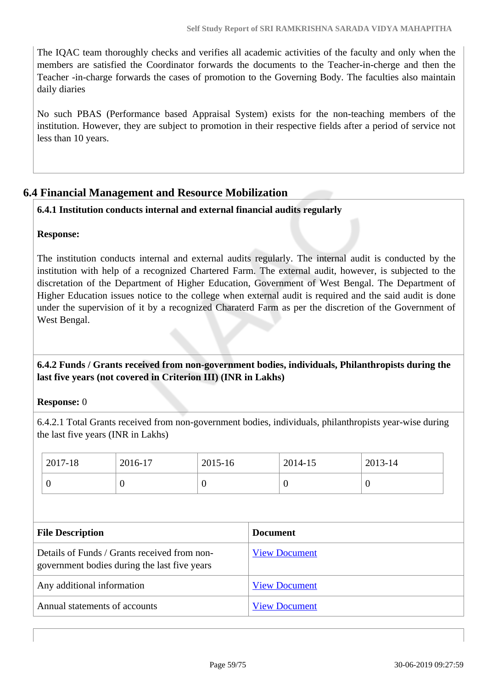The IQAC team thoroughly checks and verifies all academic activities of the faculty and only when the members are satisfied the Coordinator forwards the documents to the Teacher-in-cherge and then the Teacher -in-charge forwards the cases of promotion to the Governing Body. The faculties also maintain daily diaries

No such PBAS (Performance based Appraisal System) exists for the non-teaching members of the institution. However, they are subject to promotion in their respective fields after a period of service not less than 10 years.

# **6.4 Financial Management and Resource Mobilization**

# **6.4.1 Institution conducts internal and external financial audits regularly**

## **Response:**

The institution conducts internal and external audits regularly. The internal audit is conducted by the institution with help of a recognized Chartered Farm. The external audit, however, is subjected to the discretation of the Department of Higher Education, Government of West Bengal. The Department of Higher Education issues notice to the college when external audit is required and the said audit is done under the supervision of it by a recognized Charaterd Farm as per the discretion of the Government of West Bengal.

 **6.4.2 Funds / Grants received from non-government bodies, individuals, Philanthropists during the last five years (not covered in Criterion III) (INR in Lakhs)**

#### **Response:** 0

6.4.2.1 Total Grants received from non-government bodies, individuals, philanthropists year-wise during the last five years (INR in Lakhs)

|                                                                                              | 2017-18                 | 2016-17  | 2015-16              |                 | 2014-15        | 2013-14  |  |
|----------------------------------------------------------------------------------------------|-------------------------|----------|----------------------|-----------------|----------------|----------|--|
|                                                                                              | $\overline{0}$          | $\theta$ | $\overline{0}$       |                 | $\overline{0}$ | $\theta$ |  |
|                                                                                              |                         |          |                      |                 |                |          |  |
|                                                                                              | <b>File Description</b> |          |                      | <b>Document</b> |                |          |  |
| Details of Funds / Grants received from non-<br>government bodies during the last five years |                         |          | <b>View Document</b> |                 |                |          |  |
| Any additional information                                                                   |                         |          | <b>View Document</b> |                 |                |          |  |
| Annual statements of accounts                                                                |                         |          | <b>View Document</b> |                 |                |          |  |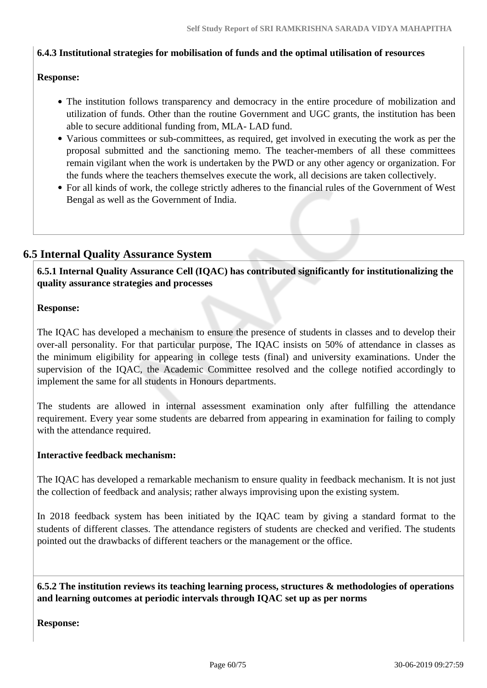#### **6.4.3 Institutional strategies for mobilisation of funds and the optimal utilisation of resources**

#### **Response:**

- The institution follows transparency and democracy in the entire procedure of mobilization and utilization of funds. Other than the routine Government and UGC grants, the institution has been able to secure additional funding from, MLA- LAD fund.
- Various committees or sub-committees, as required, get involved in executing the work as per the proposal submitted and the sanctioning memo. The teacher-members of all these committees remain vigilant when the work is undertaken by the PWD or any other agency or organization. For the funds where the teachers themselves execute the work, all decisions are taken collectively.
- For all kinds of work, the college strictly adheres to the financial rules of the Government of West Bengal as well as the Government of India.

# **6.5 Internal Quality Assurance System**

 **6.5.1 Internal Quality Assurance Cell (IQAC) has contributed significantly for institutionalizing the quality assurance strategies and processes**

#### **Response:**

The IQAC has developed a mechanism to ensure the presence of students in classes and to develop their over-all personality. For that particular purpose, The IQAC insists on 50% of attendance in classes as the minimum eligibility for appearing in college tests (final) and university examinations. Under the supervision of the IQAC, the Academic Committee resolved and the college notified accordingly to implement the same for all students in Honours departments.

The students are allowed in internal assessment examination only after fulfilling the attendance requirement. Every year some students are debarred from appearing in examination for failing to comply with the attendance required.

#### **Interactive feedback mechanism:**

The IQAC has developed a remarkable mechanism to ensure quality in feedback mechanism. It is not just the collection of feedback and analysis; rather always improvising upon the existing system.

In 2018 feedback system has been initiated by the IQAC team by giving a standard format to the students of different classes. The attendance registers of students are checked and verified. The students pointed out the drawbacks of different teachers or the management or the office.

 **6.5.2 The institution reviews its teaching learning process, structures & methodologies of operations and learning outcomes at periodic intervals through IQAC set up as per norms**

**Response:**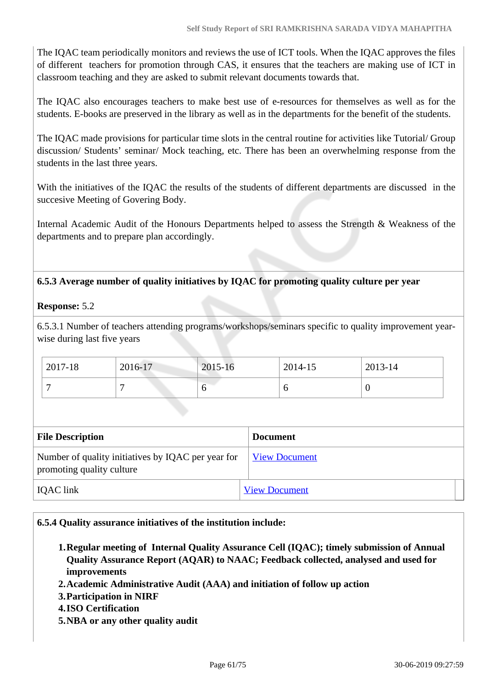The IQAC team periodically monitors and reviews the use of ICT tools. When the IQAC approves the files of different teachers for promotion through CAS, it ensures that the teachers are making use of ICT in classroom teaching and they are asked to submit relevant documents towards that.

The IQAC also encourages teachers to make best use of e-resources for themselves as well as for the students. E-books are preserved in the library as well as in the departments for the benefit of the students.

The IQAC made provisions for particular time slots in the central routine for activities like Tutorial/ Group discussion/ Students' seminar/ Mock teaching, etc. There has been an overwhelming response from the students in the last three years.

With the initiatives of the IQAC the results of the students of different departments are discussed in the succesive Meeting of Govering Body.

Internal Academic Audit of the Honours Departments helped to assess the Strength & Weakness of the departments and to prepare plan accordingly.

## **6.5.3 Average number of quality initiatives by IQAC for promoting quality culture per year**

#### **Response:** 5.2

6.5.3.1 Number of teachers attending programs/workshops/seminars specific to quality improvement yearwise during last five years

| 2017-18 | 2016-17 | 2015-16 | 2014-15 | 2013-14 |
|---------|---------|---------|---------|---------|
|         |         |         | υ       | ν       |

| <b>File Description</b>                                                         | <b>Document</b>      |
|---------------------------------------------------------------------------------|----------------------|
| Number of quality initiatives by IQAC per year for<br>promoting quality culture | <b>View Document</b> |
| IQAC link                                                                       | <b>View Document</b> |

#### **6.5.4 Quality assurance initiatives of the institution include:**

- **1.Regular meeting of Internal Quality Assurance Cell (IQAC); timely submission of Annual Quality Assurance Report (AQAR) to NAAC; Feedback collected, analysed and used for improvements**
- **2.Academic Administrative Audit (AAA) and initiation of follow up action**
- **3.Participation in NIRF**
- **4.ISO Certification**
- **5.NBA or any other quality audit**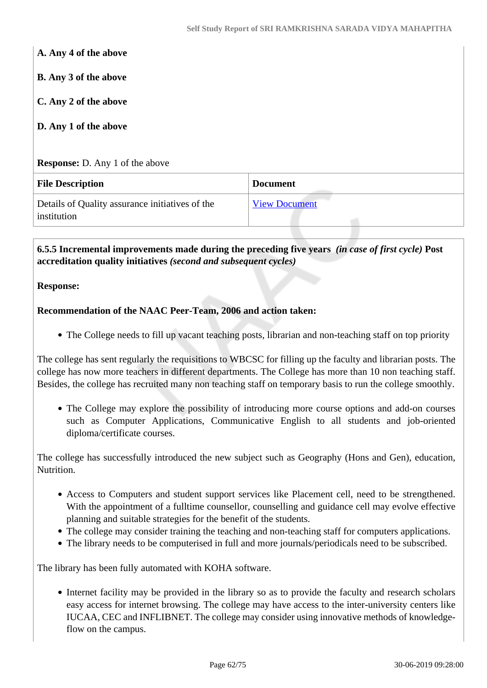| A. Any 4 of the above                                          |                      |
|----------------------------------------------------------------|----------------------|
| <b>B.</b> Any 3 of the above                                   |                      |
| C. Any 2 of the above                                          |                      |
| D. Any 1 of the above                                          |                      |
|                                                                |                      |
| <b>Response:</b> D. Any 1 of the above                         |                      |
| <b>File Description</b>                                        | <b>Document</b>      |
| Details of Quality assurance initiatives of the<br>institution | <b>View Document</b> |

 **6.5.5 Incremental improvements made during the preceding five years** *(in case of first cycle)* **Post accreditation quality initiatives** *(second and subsequent cycles)*

#### **Response:**

#### **Recommendation of the NAAC Peer-Team, 2006 and action taken:**

• The College needs to fill up vacant teaching posts, librarian and non-teaching staff on top priority

The college has sent regularly the requisitions to WBCSC for filling up the faculty and librarian posts. The college has now more teachers in different departments. The College has more than 10 non teaching staff. Besides, the college has recruited many non teaching staff on temporary basis to run the college smoothly.

The College may explore the possibility of introducing more course options and add-on courses such as Computer Applications, Communicative English to all students and job-oriented diploma/certificate courses.

The college has successfully introduced the new subject such as Geography (Hons and Gen), education, Nutrition.

- Access to Computers and student support services like Placement cell, need to be strengthened. With the appointment of a fulltime counsellor, counselling and guidance cell may evolve effective planning and suitable strategies for the benefit of the students.
- The college may consider training the teaching and non-teaching staff for computers applications.
- The library needs to be computerised in full and more journals/periodicals need to be subscribed.

The library has been fully automated with KOHA software.

Internet facility may be provided in the library so as to provide the faculty and research scholars easy access for internet browsing. The college may have access to the inter-university centers like IUCAA, CEC and INFLIBNET. The college may consider using innovative methods of knowledgeflow on the campus.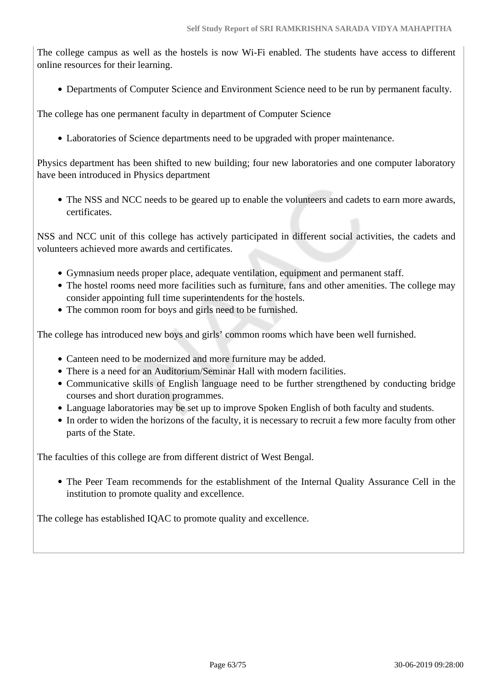The college campus as well as the hostels is now Wi-Fi enabled. The students have access to different online resources for their learning.

Departments of Computer Science and Environment Science need to be run by permanent faculty.

The college has one permanent faculty in department of Computer Science

Laboratories of Science departments need to be upgraded with proper maintenance.

Physics department has been shifted to new building; four new laboratories and one computer laboratory have been introduced in Physics department

The NSS and NCC needs to be geared up to enable the volunteers and cadets to earn more awards, certificates.

NSS and NCC unit of this college has actively participated in different social activities, the cadets and volunteers achieved more awards and certificates.

- Gymnasium needs proper place, adequate ventilation, equipment and permanent staff.
- The hostel rooms need more facilities such as furniture, fans and other amenities. The college may consider appointing full time superintendents for the hostels.
- The common room for boys and girls need to be furnished.

The college has introduced new boys and girls' common rooms which have been well furnished.

- Canteen need to be modernized and more furniture may be added.
- There is a need for an Auditorium/Seminar Hall with modern facilities.
- Communicative skills of English language need to be further strengthened by conducting bridge courses and short duration programmes.
- Language laboratories may be set up to improve Spoken English of both faculty and students.
- In order to widen the horizons of the faculty, it is necessary to recruit a few more faculty from other parts of the State.

The faculties of this college are from different district of West Bengal.

The Peer Team recommends for the establishment of the Internal Quality Assurance Cell in the institution to promote quality and excellence.

The college has established IQAC to promote quality and excellence.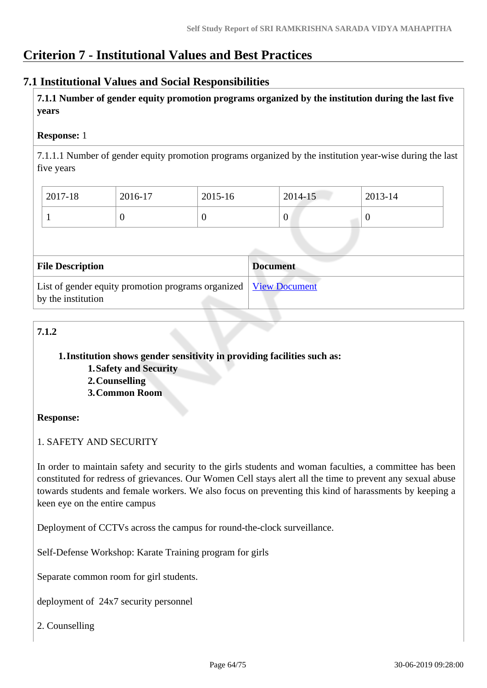# **Criterion 7 - Institutional Values and Best Practices**

# **7.1 Institutional Values and Social Responsibilities**

 **7.1.1 Number of gender equity promotion programs organized by the institution during the last five years** 

#### **Response:** 1

7.1.1.1 Number of gender equity promotion programs organized by the institution year-wise during the last five years

| $2017 - 18$ | 2016-17 | 2015-16 | $2014 - 15$      | 2013-14 |
|-------------|---------|---------|------------------|---------|
|             | ν       |         | $\boldsymbol{0}$ |         |

| <b>File Description</b>                                                                         | <b>Document</b> |
|-------------------------------------------------------------------------------------------------|-----------------|
| List of gender equity promotion programs organized   <u>View Document</u><br>by the institution |                 |

# **7.1.2**

**1.Institution shows gender sensitivity in providing facilities such as:**

- **1.Safety and Security**
- **2.Counselling**
- **3.Common Room**

#### **Response:**

1. SAFETY AND SECURITY

In order to maintain safety and security to the girls students and woman faculties, a committee has been constituted for redress of grievances. Our Women Cell stays alert all the time to prevent any sexual abuse towards students and female workers. We also focus on preventing this kind of harassments by keeping a keen eye on the entire campus

Deployment of CCTVs across the campus for round-the-clock surveillance.

Self-Defense Workshop: Karate Training program for girls

Separate common room for girl students.

deployment of 24x7 security personnel

2. Counselling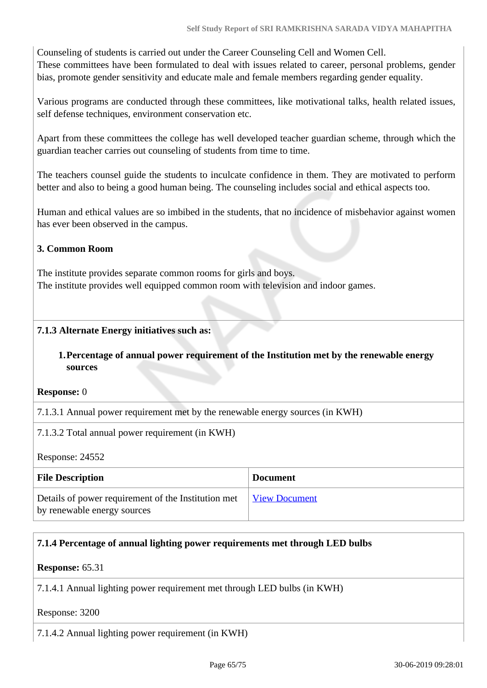Counseling of students is carried out under the Career Counseling Cell and Women Cell. These committees have been formulated to deal with issues related to career, personal problems, gender bias, promote gender sensitivity and educate male and female members regarding gender equality.

Various programs are conducted through these committees, like motivational talks, health related issues, self defense techniques, environment conservation etc.

Apart from these committees the college has well developed teacher guardian scheme, through which the guardian teacher carries out counseling of students from time to time.

The teachers counsel guide the students to inculcate confidence in them. They are motivated to perform better and also to being a good human being. The counseling includes social and ethical aspects too.

Human and ethical values are so imbibed in the students, that no incidence of misbehavior against women has ever been observed in the campus.

## **3. Common Room**

The institute provides separate common rooms for girls and boys. The institute provides well equipped common room with television and indoor games.

## **7.1.3 Alternate Energy initiatives such as:**

## **1.Percentage of annual power requirement of the Institution met by the renewable energy sources**

**Response:** 0

7.1.3.1 Annual power requirement met by the renewable energy sources (in KWH)

7.1.3.2 Total annual power requirement (in KWH)

Response: 24552

| <b>File Description</b>                                                            | <b>Document</b>      |
|------------------------------------------------------------------------------------|----------------------|
| Details of power requirement of the Institution met<br>by renewable energy sources | <u>View Document</u> |

# **7.1.4 Percentage of annual lighting power requirements met through LED bulbs**

**Response:** 65.31

7.1.4.1 Annual lighting power requirement met through LED bulbs (in KWH)

Response: 3200

7.1.4.2 Annual lighting power requirement (in KWH)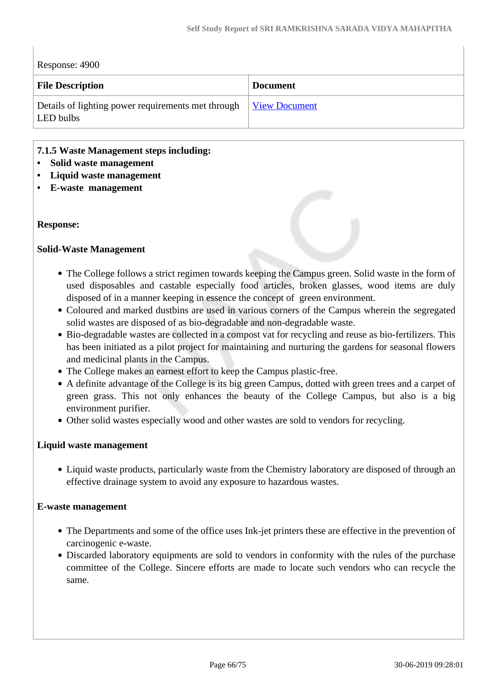| Response: 4900                                                  |                      |
|-----------------------------------------------------------------|----------------------|
| <b>File Description</b>                                         | <b>Document</b>      |
| Details of lighting power requirements met through<br>LED bulbs | <b>View Document</b> |

#### **7.1.5 Waste Management steps including:**

- **Solid waste management**
- **Liquid waste management**
- **E-waste management**

#### **Response:**

#### **Solid-Waste Management**

- The College follows a strict regimen towards keeping the Campus green. Solid waste in the form of used disposables and castable especially food articles, broken glasses, wood items are duly disposed of in a manner keeping in essence the concept of green environment.
- Coloured and marked dustbins are used in various corners of the Campus wherein the segregated solid wastes are disposed of as bio-degradable and non-degradable waste.
- Bio-degradable wastes are collected in a compost vat for recycling and reuse as bio-fertilizers. This has been initiated as a pilot project for maintaining and nurturing the gardens for seasonal flowers and medicinal plants in the Campus.
- The College makes an earnest effort to keep the Campus plastic-free.
- A definite advantage of the College is its big green Campus, dotted with green trees and a carpet of green grass. This not only enhances the beauty of the College Campus, but also is a big environment purifier.
- Other solid wastes especially wood and other wastes are sold to vendors for recycling.

#### **Liquid waste management**

Liquid waste products, particularly waste from the Chemistry laboratory are disposed of through an effective drainage system to avoid any exposure to hazardous wastes.

#### **E-waste management**

- The Departments and some of the office uses Ink-jet printers these are effective in the prevention of carcinogenic e-waste.
- Discarded laboratory equipments are sold to vendors in conformity with the rules of the purchase committee of the College. Sincere efforts are made to locate such vendors who can recycle the same.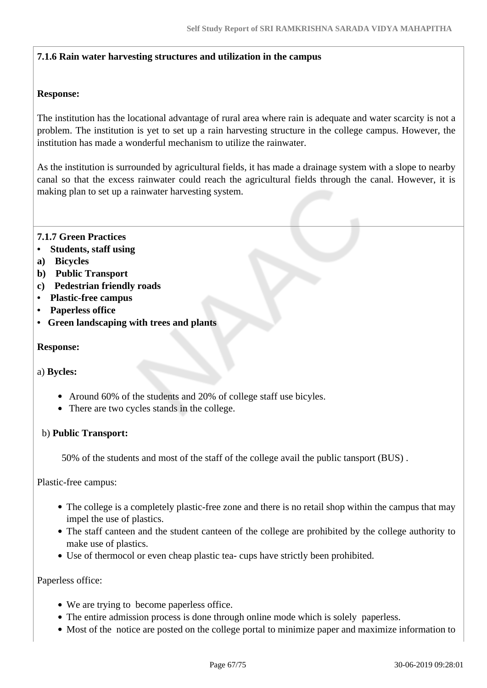#### **7.1.6 Rain water harvesting structures and utilization in the campus**

#### **Response:**

The institution has the locational advantage of rural area where rain is adequate and water scarcity is not a problem. The institution is yet to set up a rain harvesting structure in the college campus. However, the institution has made a wonderful mechanism to utilize the rainwater.

As the institution is surrounded by agricultural fields, it has made a drainage system with a slope to nearby canal so that the excess rainwater could reach the agricultural fields through the canal. However, it is making plan to set up a rainwater harvesting system.

#### **7.1.7 Green Practices**

- **Students, staff using**
- **a) Bicycles**
- **b) Public Transport**
- **c) Pedestrian friendly roads**
- **Plastic-free campus**
- **Paperless office**
- **Green landscaping with trees and plants**

#### **Response:**

#### a) **Bycles:**

- Around 60% of the students and 20% of college staff use bicyles.
- There are two cycles stands in the college.

#### b) **Public Transport:**

50% of the students and most of the staff of the college avail the public tansport (BUS) .

Plastic-free campus:

- The college is a completely plastic-free zone and there is no retail shop within the campus that may impel the use of plastics.
- The staff canteen and the student canteen of the college are prohibited by the college authority to make use of plastics.
- Use of thermocol or even cheap plastic tea- cups have strictly been prohibited.

#### Paperless office:

- We are trying to become paperless office.
- The entire admission process is done through online mode which is solely paperless.
- Most of the notice are posted on the college portal to minimize paper and maximize information to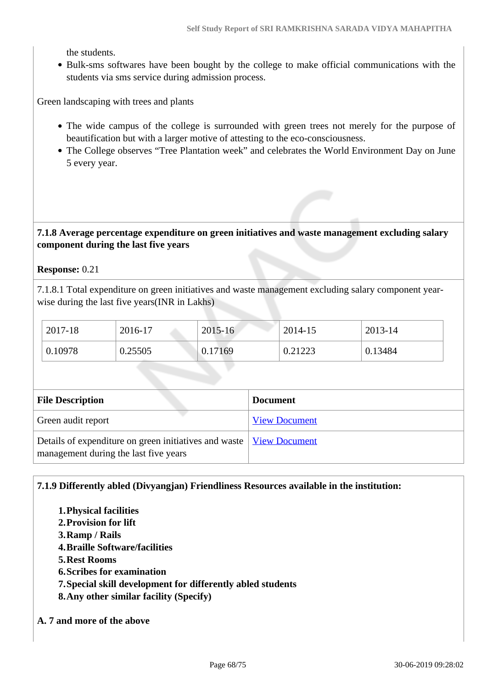the students.

Bulk-sms softwares have been bought by the college to make official communications with the students via sms service during admission process.

Green landscaping with trees and plants

- The wide campus of the college is surrounded with green trees not merely for the purpose of beautification but with a larger motive of attesting to the eco-consciousness.
- The College observes "Tree Plantation week" and celebrates the World Environment Day on June 5 every year.

#### **7.1.8 Average percentage expenditure on green initiatives and waste management excluding salary component during the last five years**

#### **Response:** 0.21

7.1.8.1 Total expenditure on green initiatives and waste management excluding salary component yearwise during the last five years(INR in Lakhs)

| 2017-18 | 2016-17 | $2015 - 16$ | 2014-15 | 2013-14 |
|---------|---------|-------------|---------|---------|
| 0.10978 | 0.25505 | 0.17169     | 0.21223 | 0.13484 |

| <b>File Description</b>                                                                                        | <b>Document</b>      |
|----------------------------------------------------------------------------------------------------------------|----------------------|
| Green audit report                                                                                             | <b>View Document</b> |
| Details of expenditure on green initiatives and waste   View Document<br>management during the last five years |                      |

#### **7.1.9 Differently abled (Divyangjan) Friendliness Resources available in the institution:**

- **1.Physical facilities**
- **2.Provision for lift**
- **3.Ramp / Rails**
- **4.Braille Software/facilities**
- **5.Rest Rooms**
- **6.Scribes for examination**
- **7.Special skill development for differently abled students**
- **8.Any other similar facility (Specify)**

#### **A. 7 and more of the above**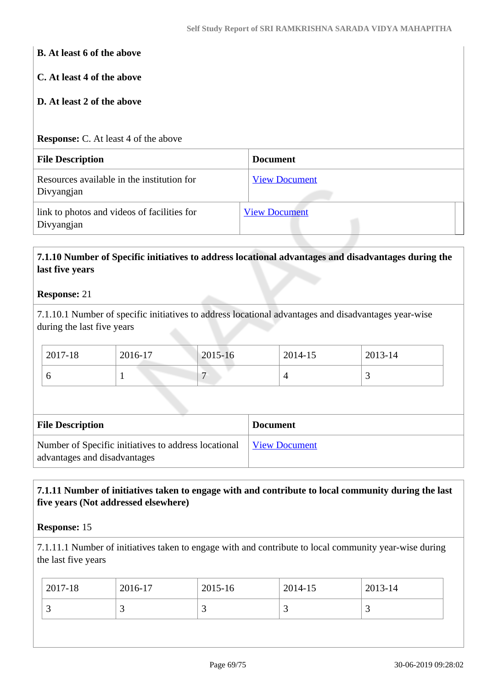#### **B. At least 6 of the above**

#### **C. At least 4 of the above**

#### **D. At least 2 of the above**

#### **Response:** C. At least 4 of the above

| <b>File Description</b>                                   | <b>Document</b>      |
|-----------------------------------------------------------|----------------------|
| Resources available in the institution for<br>Divyangjan  | <b>View Document</b> |
| link to photos and videos of facilities for<br>Divyangjan | <b>View Document</b> |

# **7.1.10 Number of Specific initiatives to address locational advantages and disadvantages during the last five years**

#### **Response:** 21

7.1.10.1 Number of specific initiatives to address locational advantages and disadvantages year-wise during the last five years

| 2017-18 | 2016-17 | 2015-16 | 2014-15 | 2013-14 |
|---------|---------|---------|---------|---------|
|         |         |         |         |         |

| <b>File Description</b>                                                              | <b>Document</b>      |
|--------------------------------------------------------------------------------------|----------------------|
| Number of Specific initiatives to address locational<br>advantages and disadvantages | <b>View Document</b> |

## **7.1.11 Number of initiatives taken to engage with and contribute to local community during the last five years (Not addressed elsewhere)**

#### **Response:** 15

7.1.11.1 Number of initiatives taken to engage with and contribute to local community year-wise during the last five years

|                                | 2017-18 | 2016-17 | $^{\circ}$ 2015-16 | 2014-15 | $2013 - 14$ |
|--------------------------------|---------|---------|--------------------|---------|-------------|
| ت<br><u>ب</u><br>ັ<br><u>ب</u> |         |         |                    |         |             |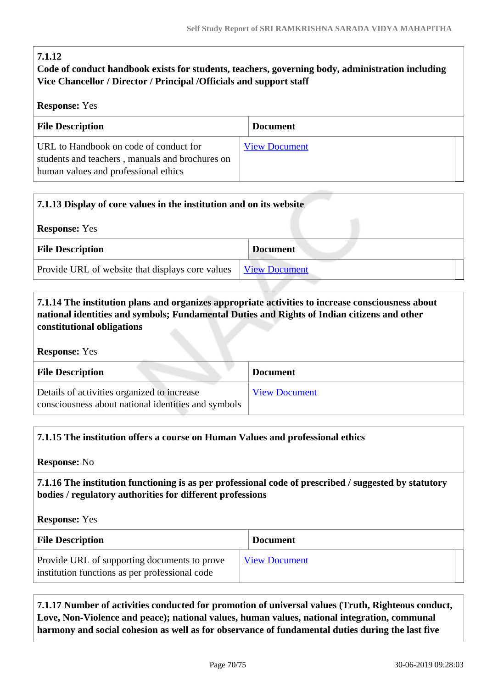# **7.1.12**

# **Code of conduct handbook exists for students, teachers, governing body, administration including Vice Chancellor / Director / Principal /Officials and support staff**

## **Response:** Yes

| <b>File Description</b>                                                                                                           | <b>Document</b>      |
|-----------------------------------------------------------------------------------------------------------------------------------|----------------------|
| URL to Handbook on code of conduct for<br>students and teachers, manuals and brochures on<br>human values and professional ethics | <b>View Document</b> |

| 7.1.13 Display of core values in the institution and on its website |                      |
|---------------------------------------------------------------------|----------------------|
| <b>Response:</b> Yes                                                |                      |
| <b>File Description</b>                                             | <b>Document</b>      |
| Provide URL of website that displays core values                    | <b>View Document</b> |

# **7.1.14 The institution plans and organizes appropriate activities to increase consciousness about national identities and symbols; Fundamental Duties and Rights of Indian citizens and other constitutional obligations**

**Response:** Yes

| <b>File Description</b>                                                                            | <b>Document</b>      |
|----------------------------------------------------------------------------------------------------|----------------------|
| Details of activities organized to increase<br>consciousness about national identities and symbols | <b>View Document</b> |

#### **7.1.15 The institution offers a course on Human Values and professional ethics**

**Response:** No

 **7.1.16 The institution functioning is as per professional code of prescribed / suggested by statutory bodies / regulatory authorities for different professions**

**Response:** Yes

| <b>File Description</b>                                                                        | <b>Document</b>      |
|------------------------------------------------------------------------------------------------|----------------------|
| Provide URL of supporting documents to prove<br>institution functions as per professional code | <b>View Document</b> |

 **7.1.17 Number of activities conducted for promotion of universal values (Truth, Righteous conduct, Love, Non-Violence and peace); national values, human values, national integration, communal harmony and social cohesion as well as for observance of fundamental duties during the last five**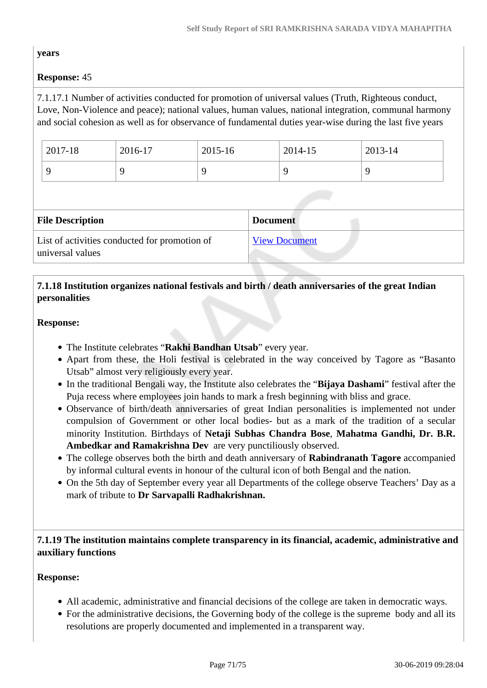## **years**

# **Response:** 45

7.1.17.1 Number of activities conducted for promotion of universal values (Truth, Righteous conduct, Love, Non-Violence and peace); national values, human values, national integration, communal harmony and social cohesion as well as for observance of fundamental duties year-wise during the last five years

| 2017-18 | 2016-17 | 2015-16 | 2014-15 | 2013-14 |
|---------|---------|---------|---------|---------|
|         |         |         |         |         |

| <b>File Description</b>                                           | <b>Document</b>      |
|-------------------------------------------------------------------|----------------------|
| List of activities conducted for promotion of<br>universal values | <b>View Document</b> |

# **7.1.18 Institution organizes national festivals and birth / death anniversaries of the great Indian personalities**

#### **Response:**

- The Institute celebrates "**Rakhi Bandhan Utsab**" every year.
- Apart from these, the Holi festival is celebrated in the way conceived by Tagore as "Basanto" Utsab" almost very religiously every year.
- In the traditional Bengali way, the Institute also celebrates the "**Bijaya Dashami**" festival after the Puja recess where employees join hands to mark a fresh beginning with bliss and grace.
- Observance of birth/death anniversaries of great Indian personalities is implemented not under compulsion of Government or other local bodies- but as a mark of the tradition of a secular minority Institution. Birthdays of **Netaji Subhas Chandra Bose**, **Mahatma Gandhi, Dr. B.R. Ambedkar and Ramakrishna Dev** are very punctiliously observed.
- The college observes both the birth and death anniversary of **Rabindranath Tagore** accompanied by informal cultural events in honour of the cultural icon of both Bengal and the nation.
- On the 5th day of September every year all Departments of the college observe Teachers' Day as a mark of tribute to **Dr Sarvapalli Radhakrishnan.**

## **7.1.19 The institution maintains complete transparency in its financial, academic, administrative and auxiliary functions**

# **Response:**

- All academic, administrative and financial decisions of the college are taken in democratic ways.
- For the administrative decisions, the Governing body of the college is the supreme body and all its resolutions are properly documented and implemented in a transparent way.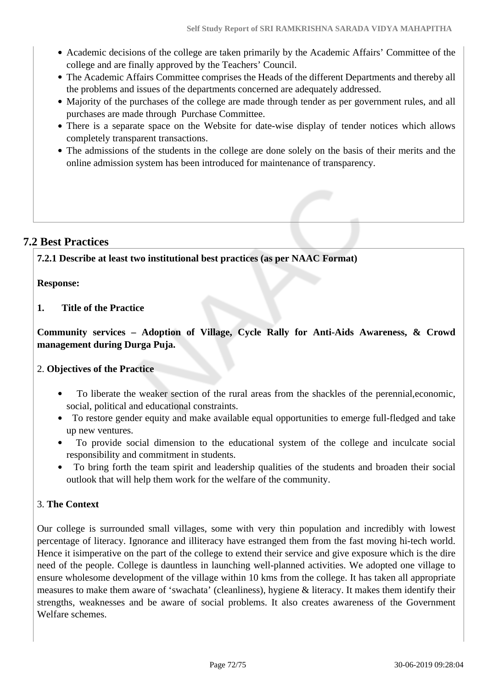- Academic decisions of the college are taken primarily by the Academic Affairs' Committee of the college and are finally approved by the Teachers' Council.
- The Academic Affairs Committee comprises the Heads of the different Departments and thereby all the problems and issues of the departments concerned are adequately addressed.
- Majority of the purchases of the college are made through tender as per government rules, and all purchases are made through Purchase Committee.
- There is a separate space on the Website for date-wise display of tender notices which allows completely transparent transactions.
- The admissions of the students in the college are done solely on the basis of their merits and the online admission system has been introduced for maintenance of transparency.

# **7.2 Best Practices**

**7.2.1 Describe at least two institutional best practices (as per NAAC Format)**

## **Response:**

**1. Title of the Practice**

**Community services – Adoption of Village, Cycle Rally for Anti-Aids Awareness, & Crowd management during Durga Puja.** 

# 2. **Objectives of the Practice**

- To liberate the weaker section of the rural areas from the shackles of the perennial,economic, social, political and educational constraints.
- To restore gender equity and make available equal opportunities to emerge full-fledged and take up new ventures.
- To provide social dimension to the educational system of the college and inculcate social responsibility and commitment in students.
- To bring forth the team spirit and leadership qualities of the students and broaden their social outlook that will help them work for the welfare of the community.

# 3. **The Context**

Our college is surrounded small villages, some with very thin population and incredibly with lowest percentage of literacy. Ignorance and illiteracy have estranged them from the fast moving hi-tech world. Hence it isimperative on the part of the college to extend their service and give exposure which is the dire need of the people. College is dauntless in launching well-planned activities. We adopted one village to ensure wholesome development of the village within 10 kms from the college. It has taken all appropriate measures to make them aware of 'swachata' (cleanliness), hygiene & literacy. It makes them identify their strengths, weaknesses and be aware of social problems. It also creates awareness of the Government Welfare schemes.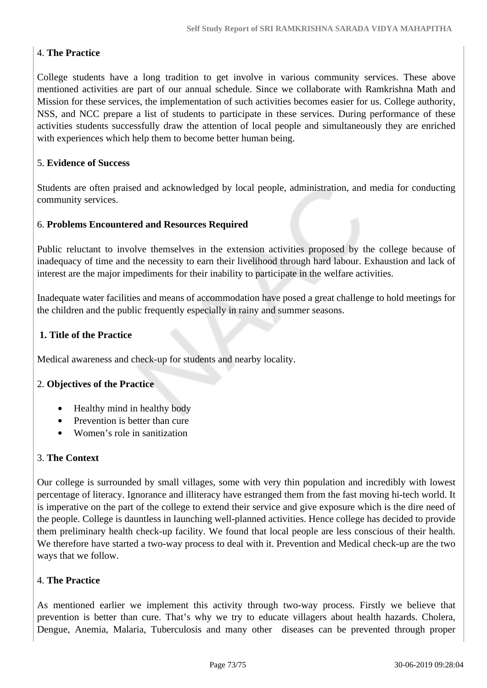# 4. **The Practice**

College students have a long tradition to get involve in various community services. These above mentioned activities are part of our annual schedule. Since we collaborate with Ramkrishna Math and Mission for these services, the implementation of such activities becomes easier for us. College authority, NSS, and NCC prepare a list of students to participate in these services. During performance of these activities students successfully draw the attention of local people and simultaneously they are enriched with experiences which help them to become better human being.

## 5. **Evidence of Success**

Students are often praised and acknowledged by local people, administration, and media for conducting community services.

#### 6. **Problems Encountered and Resources Required**

Public reluctant to involve themselves in the extension activities proposed by the college because of inadequacy of time and the necessity to earn their livelihood through hard labour. Exhaustion and lack of interest are the major impediments for their inability to participate in the welfare activities.

Inadequate water facilities and means of accommodation have posed a great challenge to hold meetings for the children and the public frequently especially in rainy and summer seasons.

#### **1. Title of the Practice**

Medical awareness and check-up for students and nearby locality.

#### 2. **Objectives of the Practice**

- Healthy mind in healthy body
- Prevention is better than cure  $\bullet$
- Women's role in sanitization

## 3. **The Context**

Our college is surrounded by small villages, some with very thin population and incredibly with lowest percentage of literacy. Ignorance and illiteracy have estranged them from the fast moving hi-tech world. It is imperative on the part of the college to extend their service and give exposure which is the dire need of the people. College is dauntless in launching well-planned activities. Hence college has decided to provide them preliminary health check-up facility. We found that local people are less conscious of their health. We therefore have started a two-way process to deal with it. Prevention and Medical check-up are the two ways that we follow.

## 4. **The Practice**

As mentioned earlier we implement this activity through two-way process. Firstly we believe that prevention is better than cure. That's why we try to educate villagers about health hazards. Cholera, Dengue, Anemia, Malaria, Tuberculosis and many other diseases can be prevented through proper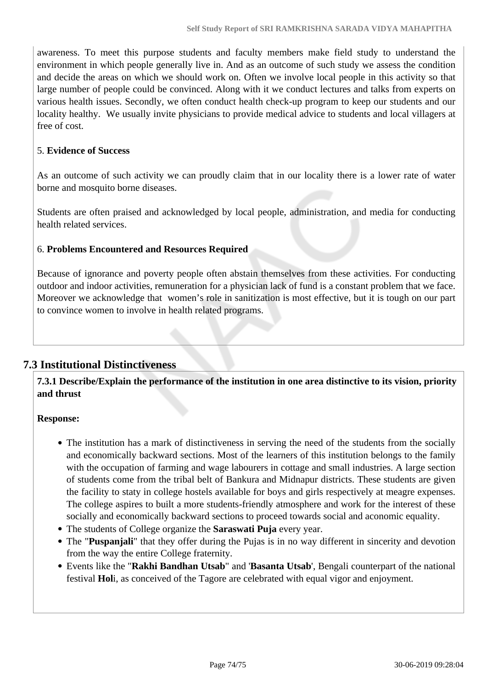awareness. To meet this purpose students and faculty members make field study to understand the environment in which people generally live in. And as an outcome of such study we assess the condition and decide the areas on which we should work on. Often we involve local people in this activity so that large number of people could be convinced. Along with it we conduct lectures and talks from experts on various health issues. Secondly, we often conduct health check-up program to keep our students and our locality healthy. We usually invite physicians to provide medical advice to students and local villagers at free of cost.

# 5. **Evidence of Success**

As an outcome of such activity we can proudly claim that in our locality there is a lower rate of water borne and mosquito borne diseases.

Students are often praised and acknowledged by local people, administration, and media for conducting health related services.

# 6. **Problems Encountered and Resources Required**

Because of ignorance and poverty people often abstain themselves from these activities. For conducting outdoor and indoor activities, remuneration for a physician lack of fund is a constant problem that we face. Moreover we acknowledge that women's role in sanitization is most effective, but it is tough on our part to convince women to involve in health related programs.

# **7.3 Institutional Distinctiveness**

 **7.3.1 Describe/Explain the performance of the institution in one area distinctive to its vision, priority and thrust**

## **Response:**

- The institution has a mark of distinctiveness in serving the need of the students from the socially and economically backward sections. Most of the learners of this institution belongs to the family with the occupation of farming and wage labourers in cottage and small industries. A large section of students come from the tribal belt of Bankura and Midnapur districts. These students are given the facility to staty in college hostels available for boys and girls respectively at meagre expenses. The college aspires to built a more students-friendly atmosphere and work for the interest of these socially and economically backward sections to proceed towards social and aconomic equality.
- The students of College organize the **Saraswati Puja** every year.
- The "**Puspanjali**" that they offer during the Pujas is in no way different in sincerity and devotion from the way the entire College fraternity.
- Events like the "**Rakhi Bandhan Utsab**" and '**Basanta Utsab**', Bengali counterpart of the national festival **Hol**i, as conceived of the Tagore are celebrated with equal vigor and enjoyment.